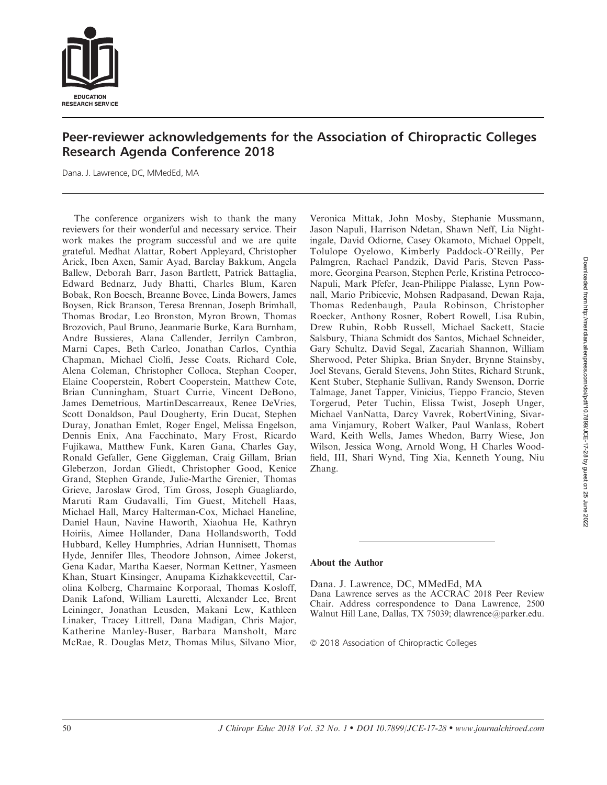

# Peer-reviewer acknowledgements for the Association of Chiropractic Colleges Research Agenda Conference 2018

Dana. J. Lawrence, DC, MMedEd, MA

The conference organizers wish to thank the many reviewers for their wonderful and necessary service. Their work makes the program successful and we are quite grateful. Medhat Alattar, Robert Appleyard, Christopher Arick, Iben Axen, Samir Ayad, Barclay Bakkum, Angela Ballew, Deborah Barr, Jason Bartlett, Patrick Battaglia, Edward Bednarz, Judy Bhatti, Charles Blum, Karen Bobak, Ron Boesch, Breanne Bovee, Linda Bowers, James Boysen, Rick Branson, Teresa Brennan, Joseph Brimhall, Thomas Brodar, Leo Bronston, Myron Brown, Thomas Brozovich, Paul Bruno, Jeanmarie Burke, Kara Burnham, Andre Bussieres, Alana Callender, Jerrilyn Cambron, Marni Capes, Beth Carleo, Jonathan Carlos, Cynthia Chapman, Michael Ciolfi, Jesse Coats, Richard Cole, Alena Coleman, Christopher Colloca, Stephan Cooper, Elaine Cooperstein, Robert Cooperstein, Matthew Cote, Brian Cunningham, Stuart Currie, Vincent DeBono, James Demetrious, MartinDescarreaux, Renee DeVries, Scott Donaldson, Paul Dougherty, Erin Ducat, Stephen Duray, Jonathan Emlet, Roger Engel, Melissa Engelson, Dennis Enix, Ana Facchinato, Mary Frost, Ricardo Fujikawa, Matthew Funk, Karen Gana, Charles Gay, Ronald Gefaller, Gene Giggleman, Craig Gillam, Brian Gleberzon, Jordan Gliedt, Christopher Good, Kenice Grand, Stephen Grande, Julie-Marthe Grenier, Thomas Grieve, Jaroslaw Grod, Tim Gross, Joseph Guagliardo, Maruti Ram Gudavalli, Tim Guest, Mitchell Haas, Michael Hall, Marcy Halterman-Cox, Michael Haneline, Daniel Haun, Navine Haworth, Xiaohua He, Kathryn Hoiriis, Aimee Hollander, Dana Hollandsworth, Todd Hubbard, Kelley Humphries, Adrian Hunnisett, Thomas Hyde, Jennifer Illes, Theodore Johnson, Aimee Jokerst, Gena Kadar, Martha Kaeser, Norman Kettner, Yasmeen Khan, Stuart Kinsinger, Anupama Kizhakkeveettil, Carolina Kolberg, Charmaine Korporaal, Thomas Kosloff, Danik Lafond, William Lauretti, Alexander Lee, Brent Leininger, Jonathan Leusden, Makani Lew, Kathleen Linaker, Tracey Littrell, Dana Madigan, Chris Major, Katherine Manley-Buser, Barbara Mansholt, Marc McRae, R. Douglas Metz, Thomas Milus, Silvano Mior, Veronica Mittak, John Mosby, Stephanie Mussmann, Jason Napuli, Harrison Ndetan, Shawn Neff, Lia Nightingale, David Odiorne, Casey Okamoto, Michael Oppelt, Tolulope Oyelowo, Kimberly Paddock-O'Reilly, Per Palmgren, Rachael Pandzik, David Paris, Steven Passmore, Georgina Pearson, Stephen Perle, Kristina Petrocco-Napuli, Mark Pfefer, Jean-Philippe Pialasse, Lynn Pownall, Mario Pribicevic, Mohsen Radpasand, Dewan Raja, Thomas Redenbaugh, Paula Robinson, Christopher Roecker, Anthony Rosner, Robert Rowell, Lisa Rubin, Drew Rubin, Robb Russell, Michael Sackett, Stacie Salsbury, Thiana Schmidt dos Santos, Michael Schneider, Gary Schultz, David Segal, Zacariah Shannon, William Sherwood, Peter Shipka, Brian Snyder, Brynne Stainsby, Joel Stevans, Gerald Stevens, John Stites, Richard Strunk, Kent Stuber, Stephanie Sullivan, Randy Swenson, Dorrie Talmage, Janet Tapper, Vinicius, Tieppo Francio, Steven Torgerud, Peter Tuchin, Elissa Twist, Joseph Unger, Michael VanNatta, Darcy Vavrek, RobertVining, Sivarama Vinjamury, Robert Walker, Paul Wanlass, Robert Ward, Keith Wells, James Whedon, Barry Wiese, Jon Wilson, Jessica Wong, Arnold Wong, H Charles Woodfield, III, Shari Wynd, Ting Xia, Kenneth Young, Niu Zhang.

# About the Author

Dana. J. Lawrence, DC, MMedEd, MA Dana Lawrence serves as the ACCRAC 2018 Peer Review Chair. Address correspondence to Dana Lawrence, 2500 Walnut Hill Lane, Dallas, TX 75039; dlawrence@parker.edu.

- 2018 Association of Chiropractic Colleges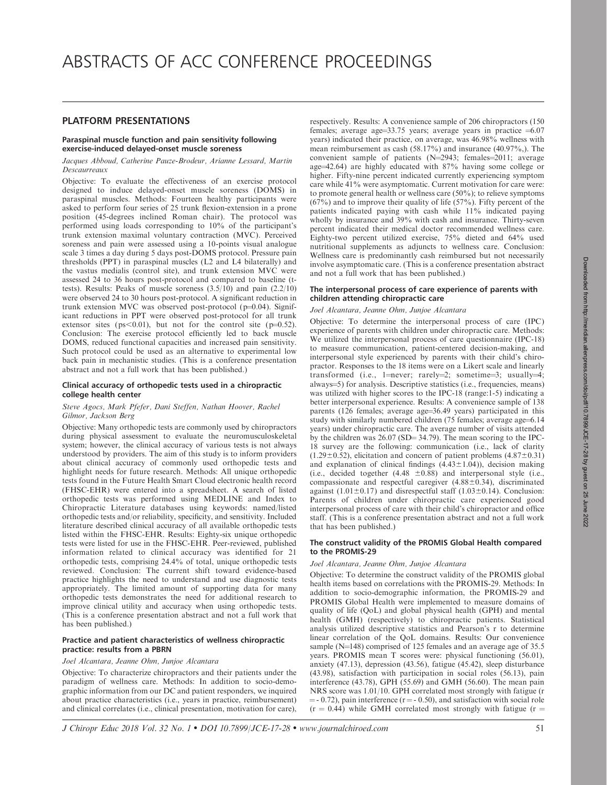# PLATFORM PRESENTATIONS

# Paraspinal muscle function and pain sensitivity following exercise-induced delayed-onset muscle soreness

### Jacques Abboud, Catherine Pauze-Brodeur, Arianne Lessard, Martin Descaurreaux

Objective: To evaluate the effectiveness of an exercise protocol designed to induce delayed-onset muscle soreness (DOMS) in paraspinal muscles. Methods: Fourteen healthy participants were asked to perform four series of 25 trunk flexion-extension in a prone position (45-degrees inclined Roman chair). The protocol was performed using loads corresponding to 10% of the participant's trunk extension maximal voluntary contraction (MVC). Perceived soreness and pain were assessed using a 10-points visual analogue scale 3 times a day during 5 days post-DOMS protocol. Pressure pain thresholds (PPT) in paraspinal muscles (L2 and L4 bilaterally) and the vastus medialis (control site), and trunk extension MVC were assessed 24 to 36 hours post-protocol and compared to baseline (ttests). Results: Peaks of muscle soreness (3.5/10) and pain (2.2/10) were observed 24 to 30 hours post-protocol. A significant reduction in trunk extension MVC was observed post-protocol ( $p=0.04$ ). Significant reductions in PPT were observed post-protocol for all trunk extensor sites ( $ps \le 0.01$ ), but not for the control site ( $p=0.52$ ). Conclusion: The exercise protocol efficiently led to back muscle DOMS, reduced functional capacities and increased pain sensitivity. Such protocol could be used as an alternative to experimental low back pain in mechanistic studies. (This is a conference presentation abstract and not a full work that has been published.)

### Clinical accuracy of orthopedic tests used in a chiropractic college health center

# Steve Agocs, Mark Pfefer, Dani Steffen, Nathan Hoover, Rachel Gilmor, Jackson Berg

Objective: Many orthopedic tests are commonly used by chiropractors during physical assessment to evaluate the neuromusculoskeletal system; however, the clinical accuracy of various tests is not always understood by providers. The aim of this study is to inform providers about clinical accuracy of commonly used orthopedic tests and highlight needs for future research. Methods: All unique orthopedic tests found in the Future Health Smart Cloud electronic health record (FHSC-EHR) were entered into a spreadsheet. A search of listed orthopedic tests was performed using MEDLINE and Index to Chiropractic Literature databases using keywords: named/listed orthopedic tests and/or reliability, specificity, and sensitivity. Included literature described clinical accuracy of all available orthopedic tests listed within the FHSC-EHR. Results: Eighty-six unique orthopedic tests were listed for use in the FHSC-EHR. Peer-reviewed, published information related to clinical accuracy was identified for 21 orthopedic tests, comprising 24.4% of total, unique orthopedic tests reviewed. Conclusion: The current shift toward evidence-based practice highlights the need to understand and use diagnostic tests appropriately. The limited amount of supporting data for many orthopedic tests demonstrates the need for additional research to improve clinical utility and accuracy when using orthopedic tests. (This is a conference presentation abstract and not a full work that has been published.)

# Practice and patient characteristics of wellness chiropractic practice: results from a PBRN

# Joel Alcantara, Jeanne Ohm, Junjoe Alcantara

Objective: To characterize chiropractors and their patients under the paradigm of wellness care. Methods: In addition to socio-demographic information from our DC and patient responders, we inquired about practice characteristics (i.e., years in practice, reimbursement) and clinical correlates (i.e., clinical presentation, motivation for care), respectively. Results: A convenience sample of 206 chiropractors (150 females; average age=33.75 years; average years in practice  $=6.07$ years) indicated their practice, on average, was 46.98% wellness with mean reimbursement as cash (58.17%) and insurance (40.97%,). The convenient sample of patients  $(N=2943;$  females=2011; average age=42.64) are highly educated with 87% having some college or higher. Fifty-nine percent indicated currently experiencing symptom care while 41% were asymptomatic. Current motivation for care were: to promote general health or wellness care (50%); to relieve symptoms  $(67%)$  and to improve their quality of life  $(57%)$ . Fifty percent of the patients indicated paying with cash while 11% indicated paying wholly by insurance and 39% with cash and insurance. Thirty-seven percent indicated their medical doctor recommended wellness care. Eighty-two percent utilized exercise, 75% dieted and 64% used nutritional supplements as adjuncts to wellness care. Conclusion: Wellness care is predominantly cash reimbursed but not necessarily involve asymptomatic care. (This is a conference presentation abstract and not a full work that has been published.)

# The interpersonal process of care experience of parents with children attending chiropractic care

# Joel Alcantara, Jeanne Ohm, Junjoe Alcantara

Objective: To determine the interpersonal process of care (IPC) experience of parents with children under chiropractic care. Methods: We utilized the interpersonal process of care questionnaire (IPC-18) to measure communication, patient-centered decision-making, and interpersonal style experienced by parents with their child's chiropractor. Responses to the 18 items were on a Likert scale and linearly transformed (i.e., 1=never; rarely=2; sometime=3; usually=4; always=5) for analysis. Descriptive statistics (i.e., frequencies, means) was utilized with higher scores to the IPC-18 (range:  $1-5$ ) indicating a better interpersonal experience. Results: A convenience sample of 138 parents  $(126$  females; average age=36.49 years) participated in this study with similarly numbered children (75 females; average age=6.14 years) under chiropractic care. The average number of visits attended by the children was  $26.07$  (SD=  $34.79$ ). The mean scoring to the IPC-18 survey are the following: communication (i.e., lack of clarity  $(1.29\pm0.52)$ , elicitation and concern of patient problems  $(4.87\pm0.31)$ and explanation of clinical findings  $(4.43 \pm 1.04)$ ), decision making (i.e., decided together  $(4.48 \pm 0.88)$  and interpersonal style (i.e., compassionate and respectful caregiver  $(4.88 \pm 0.34)$ , discriminated against  $(1.01 \pm 0.17)$  and disrespectful staff  $(1.03 \pm 0.14)$ . Conclusion: Parents of children under chiropractic care experienced good interpersonal process of care with their child's chiropractor and office staff. (This is a conference presentation abstract and not a full work that has been published.)

### The construct validity of the PROMIS Global Health compared to the PROMIS-29

# Joel Alcantara, Jeanne Ohm, Junjoe Alcantara

Objective: To determine the construct validity of the PROMIS global health items based on correlations with the PROMIS-29. Methods: In addition to socio-demographic information, the PROMIS-29 and PROMIS Global Health were implemented to measure domains of quality of life (QoL) and global physical health (GPH) and mental health (GMH) (respectively) to chiropractic patients. Statistical analysis utilized descriptive statistics and Pearson's r to determine linear correlation of the QoL domains. Results: Our convenience sample ( $N=148$ ) comprised of 125 females and an average age of 35.5 years. PROMIS mean T scores were: physical functioning (56.01), anxiety (47.13), depression (43.56), fatigue (45.42), sleep disturbance (43.98), satisfaction with participation in social roles (56.13), pain interference (43.78), GPH (55.69) and GMH (56.60). The mean pain NRS score was 1.01/10. GPH correlated most strongly with fatigue (r  $=$  - 0.72), pain interference ( $r = -0.50$ ), and satisfaction with social role  $(r = 0.44)$  while GMH correlated most strongly with fatigue (r =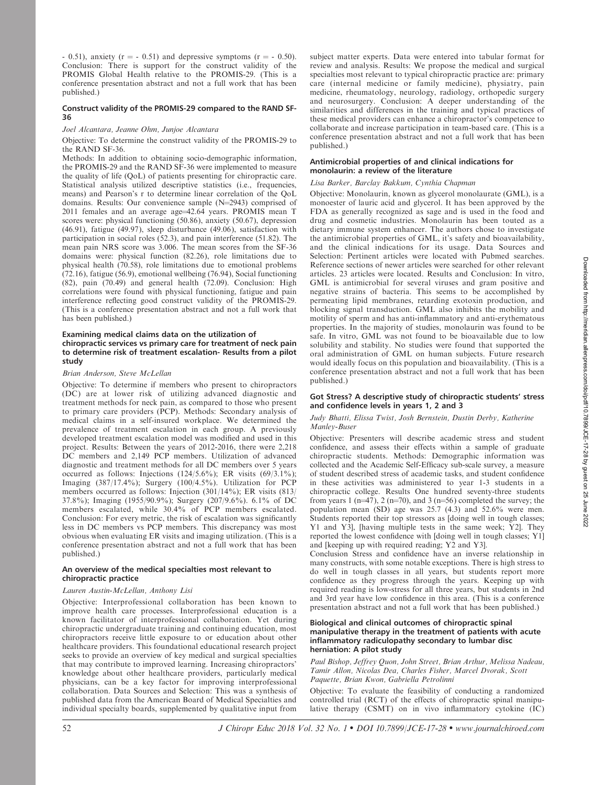$-$  0.51), anxiety (r =  $-$  0.51) and depressive symptoms (r =  $-$  0.50). Conclusion: There is support for the construct validity of the PROMIS Global Health relative to the PROMIS-29. (This is a conference presentation abstract and not a full work that has been published.)

### Construct validity of the PROMIS-29 compared to the RAND SF-36

# Joel Alcantara, Jeanne Ohm, Junjoe Alcantara

Objective: To determine the construct validity of the PROMIS-29 to the RAND SF-36.

Methods: In addition to obtaining socio-demographic information, the PROMIS-29 and the RAND SF-36 were implemented to measure the quality of life (QoL) of patients presenting for chiropractic care. Statistical analysis utilized descriptive statistics (i.e., frequencies, means) and Pearson's r to determine linear correlation of the QoL domains. Results: Our convenience sample  $(N=2943)$  comprised of 2011 females and an average age=42.64 years. PROMIS mean T scores were: physical functioning (50.86), anxiety (50.67), depression (46.91), fatigue (49.97), sleep disturbance (49.06), satisfaction with participation in social roles (52.3), and pain interference (51.82). The mean pain NRS score was 3.006. The mean scores from the SF-36 domains were: physical function (82.26), role limitations due to physical health (70.58), role limitations due to emotional problems (72.16), fatigue (56.9), emotional wellbeing (76.94), Social functioning (82), pain (70.49) and general health (72.09). Conclusion: High correlations were found with physical functioning, fatigue and pain interference reflecting good construct validity of the PROMIS-29. (This is a conference presentation abstract and not a full work that has been published.)

### Examining medical claims data on the utilization of chiropractic services vs primary care for treatment of neck pain to determine risk of treatment escalation- Results from a pilot study

#### Brian Anderson, Steve McLellan

Objective: To determine if members who present to chiropractors (DC) are at lower risk of utilizing advanced diagnostic and treatment methods for neck pain, as compared to those who present to primary care providers (PCP). Methods: Secondary analysis of medical claims in a self-insured workplace. We determined the prevalence of treatment escalation in each group. A previously developed treatment escalation model was modified and used in this project. Results: Between the years of 2012-2016, there were 2,218 DC members and 2,149 PCP members. Utilization of advanced diagnostic and treatment methods for all DC members over 5 years occurred as follows: Injections  $(124/5.6\%)$ ; ER visits  $(69/3.1\%)$ ; Imaging (387/17.4%); Surgery (100/4.5%). Utilization for PCP members occurred as follows: Injection (301/14%); ER visits (813/ 37.8%); Imaging (1955/90.9%); Surgery (207/9.6%). 6.1% of DC members escalated, while 30.4% of PCP members escalated. Conclusion: For every metric, the risk of escalation was significantly less in DC members vs PCP members. This discrepancy was most obvious when evaluating ER visits and imaging utilization. (This is a conference presentation abstract and not a full work that has been published.)

# An overview of the medical specialties most relevant to chiropractic practice

### Lauren Austin-McLellan, Anthony Lisi

Objective: Interprofessional collaboration has been known to improve health care processes. Interprofessional education is a known facilitator of interprofessional collaboration. Yet during chiropractic undergraduate training and continuing education, most chiropractors receive little exposure to or education about other healthcare providers. This foundational educational research project seeks to provide an overview of key medical and surgical specialties that may contribute to improved learning. Increasing chiropractors' knowledge about other healthcare providers, particularly medical physicians, can be a key factor for improving interprofessional collaboration. Data Sources and Selection: This was a synthesis of published data from the American Board of Medical Specialties and individual specialty boards, supplemented by qualitative input from

subject matter experts. Data were entered into tabular format for review and analysis. Results: We propose the medical and surgical specialties most relevant to typical chiropractic practice are: primary care (internal medicine or family medicine), physiatry, pain medicine, rheumatology, neurology, radiology, orthopedic surgery and neurosurgery. Conclusion: A deeper understanding of the similarities and differences in the training and typical practices of these medical providers can enhance a chiropractor's competence to collaborate and increase participation in team-based care. (This is a conference presentation abstract and not a full work that has been published.)

# Antimicrobial properties of and clinical indications for monolaurin: a review of the literature

# Lisa Barker, Barclay Bakkum, Cynthia Chapman

Objective: Monolaurin, known as glycerol monolaurate (GML), is a monoester of lauric acid and glycerol. It has been approved by the FDA as generally recognized as sage and is used in the food and drug and cosmetic industries. Monolaurin has been touted as a dietary immune system enhancer. The authors chose to investigate the antimicrobial properties of GML, it's safety and bioavailability, and the clinical indications for its usage. Data Sources and Selection: Pertinent articles were located with Pubmed searches. Reference sections of newer articles were searched for other relevant articles. 23 articles were located. Results and Conclusion: In vitro, GML is antimicrobial for several viruses and gram positive and negative strains of bacteria. This seems to be accomplished by permeating lipid membranes, retarding exotoxin production, and blocking signal transduction. GML also inhibits the mobility and motility of sperm and has anti-inflammatory and anti-erythematous properties. In the majority of studies, monolaurin was found to be safe. In vitro, GML was not found to be bioavailable due to low solubility and stability. No studies were found that supported the oral administration of GML on human subjects. Future research would ideally focus on this population and bioavailability. (This is a conference presentation abstract and not a full work that has been published.)

### Got Stress? A descriptive study of chiropractic students' stress and confidence levels in years 1, 2 and 3

### Judy Bhatti, Elissa Twist, Josh Bernstein, Dustin Derby, Katherine Manley-Buser

Objective: Presenters will describe academic stress and student confidence, and assess their effects within a sample of graduate chiropractic students. Methods: Demographic information was collected and the Academic Self-Efficacy sub-scale survey, a measure of student described stress of academic tasks, and student confidence in these activities was administered to year 1-3 students in a chiropractic college. Results One hundred seventy-three students from years 1 (n=47), 2 (n=70), and 3 (n=56) completed the survey; the population mean (SD) age was 25.7 (4.3) and 52.6% were men. Students reported their top stressors as [doing well in tough classes; Y1 and Y3], [having multiple tests in the same week; Y2]. They reported the lowest confidence with [doing well in tough classes; Y1] and [keeping up with required reading; Y2 and Y3].

Conclusion Stress and confidence have an inverse relationship in many constructs, with some notable exceptions. There is high stress to do well in tough classes in all years, but students report more confidence as they progress through the years. Keeping up with required reading is low-stress for all three years, but students in 2nd and 3rd year have low confidence in this area. (This is a conference presentation abstract and not a full work that has been published.)

### Biological and clinical outcomes of chiropractic spinal manipulative therapy in the treatment of patients with acute inflammatory radiculopathy secondary to lumbar disc herniation: A pilot study

Paul Bishop, Jeffrey Quon, John Street, Brian Arthur, Melissa Nadeau, Tamir Allon, Nicolas Dea, Charles Fisher, Marcel Dvorak, Scott Paquette, Brian Kwon, Gabriella Petrolinni

Objective: To evaluate the feasibility of conducting a randomized controlled trial (RCT) of the effects of chiropractic spinal manipulative therapy (CSMT) on in vivo inflammatory cytokine (IC)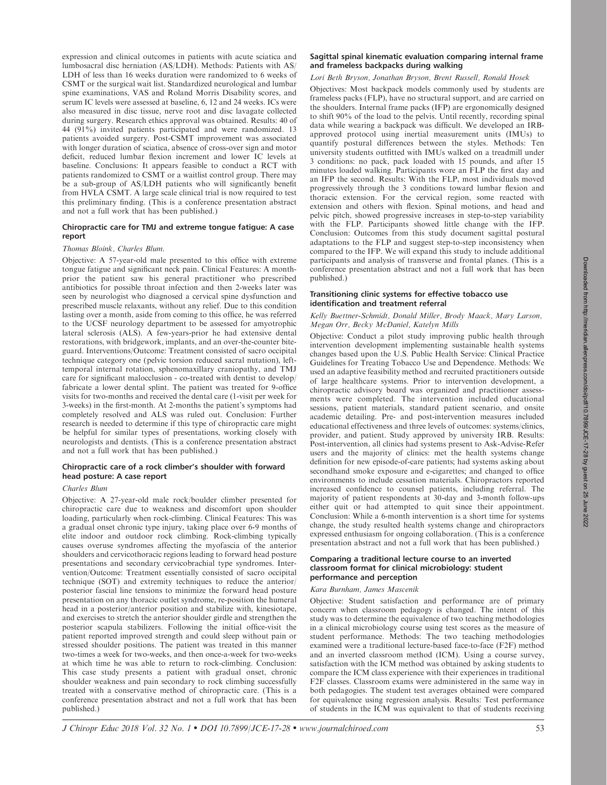expression and clinical outcomes in patients with acute sciatica and lumbosacral disc herniation (AS/LDH). Methods: Patients with AS/ LDH of less than 16 weeks duration were randomized to 6 weeks of CSMT or the surgical wait list. Standardized neurological and lumbar spine examinations, VAS and Roland Morris Disability scores, and serum IC levels were assessed at baseline, 6, 12 and 24 weeks. ICs were also measured in disc tissue, nerve root and disc lavagate collected during surgery. Research ethics approval was obtained. Results: 40 of 44 (91%) invited patients participated and were randomized. 13 patients avoided surgery. Post-CSMT improvement was associated with longer duration of sciatica, absence of cross-over sign and motor deficit, reduced lumbar flexion increment and lower IC levels at baseline. Conclusions: It appears feasible to conduct a RCT with patients randomized to CSMT or a waitlist control group. There may be a sub-group of AS/LDH patients who will significantly benefit from HVLA CSMT. A large scale clinical trial is now required to test this preliminary finding. (This is a conference presentation abstract and not a full work that has been published.)

# Chiropractic care for TMJ and extreme tongue fatigue: A case report

# Thomas Bloink, Charles Blum.

Objective: A 57-year-old male presented to this office with extreme tongue fatigue and significant neck pain. Clinical Features: A monthprior the patient saw his general practitioner who prescribed antibiotics for possible throat infection and then 2-weeks later was seen by neurologist who diagnosed a cervical spine dysfunction and prescribed muscle relaxants, without any relief. Due to this condition lasting over a month, aside from coming to this office, he was referred to the UCSF neurology department to be assessed for amyotrophic lateral sclerosis (ALS). A few-years-prior he had extensive dental restorations, with bridgework, implants, and an over-the-counter biteguard. Interventions/Outcome: Treatment consisted of sacro occipital technique category one (pelvic torsion reduced sacral nutation), lefttemporal internal rotation, sphenomaxillary craniopathy, and TMJ care for significant malocclusion - co-treated with dentist to develop/ fabricate a lower dental splint. The patient was treated for 9-office visits for two-months and received the dental care (1-visit per week for 3-weeks) in the first-month. At 2-months the patient's symptoms had completely resolved and ALS was ruled out. Conclusion: Further research is needed to determine if this type of chiropractic care might be helpful for similar types of presentations, working closely with neurologists and dentists. (This is a conference presentation abstract and not a full work that has been published.)

# Chiropractic care of a rock climber's shoulder with forward head posture: A case report

# Charles Blum

Objective: A 27-year-old male rock/boulder climber presented for chiropractic care due to weakness and discomfort upon shoulder loading, particularly when rock-climbing. Clinical Features: This was a gradual onset chronic type injury, taking place over 6-9 months of elite indoor and outdoor rock climbing. Rock-climbing typically causes overuse syndromes affecting the myofascia of the anterior shoulders and cervicothoracic regions leading to forward head posture presentations and secondary cervicobrachial type syndromes. Intervention/Outcome: Treatment essentially consisted of sacro occipital technique (SOT) and extremity techniques to reduce the anterior/ posterior fascial line tensions to minimize the forward head posture presentation on any thoracic outlet syndrome, re-position the humeral head in a posterior/anterior position and stabilize with, kinesiotape, and exercises to stretch the anterior shoulder girdle and strengthen the posterior scapula stabilizers. Following the initial office-visit the patient reported improved strength and could sleep without pain or stressed shoulder positions. The patient was treated in this manner two-times a week for two-weeks, and then once-a-week for two-weeks at which time he was able to return to rock-climbing. Conclusion: This case study presents a patient with gradual onset, chronic shoulder weakness and pain secondary to rock climbing successfully treated with a conservative method of chiropractic care. (This is a conference presentation abstract and not a full work that has been published.)

# Sagittal spinal kinematic evaluation comparing internal frame and frameless backpacks during walking

# Lori Beth Bryson, Jonathan Bryson, Brent Russell, Ronald Hosek

Objectives: Most backpack models commonly used by students are frameless packs (FLP), have no structural support, and are carried on the shoulders. Internal frame packs (IFP) are ergonomically designed to shift 90% of the load to the pelvis. Until recently, recording spinal data while wearing a backpack was difficult. We developed an IRBapproved protocol using inertial measurement units (IMUs) to quantify postural differences between the styles. Methods: Ten university students outfitted with IMUs walked on a treadmill under 3 conditions: no pack, pack loaded with 15 pounds, and after 15 minutes loaded walking. Participants wore an FLP the first day and an IFP the second. Results: With the FLP, most individuals moved progressively through the 3 conditions toward lumbar flexion and thoracic extension. For the cervical region, some reacted with extension and others with flexion. Spinal motions, and head and pelvic pitch, showed progressive increases in step-to-step variability with the FLP. Participants showed little change with the IFP. Conclusion: Outcomes from this study document sagittal postural adaptations to the FLP and suggest step-to-step inconsistency when compared to the IFP. We will expand this study to include additional participants and analysis of transverse and frontal planes. (This is a conference presentation abstract and not a full work that has been published.)

# Transitioning clinic systems for effective tobacco use identification and treatment referral

# Kelly Buettner-Schmidt, Donald Miller, Brody Maack, Mary Larson, Megan Orr, Becky McDaniel, Katelyn Mills

Objective: Conduct a pilot study improving public health through intervention development implementing sustainable health systems changes based upon the U.S. Public Health Service: Clinical Practice Guidelines for Treating Tobacco Use and Dependence. Methods: We used an adaptive feasibility method and recruited practitioners outside of large healthcare systems. Prior to intervention development, a chiropractic advisory board was organized and practitioner assessments were completed. The intervention included educational sessions, patient materials, standard patient scenario, and onsite academic detailing. Pre- and post-intervention measures included educational effectiveness and three levels of outcomes: systems/clinics, provider, and patient. Study approved by university IRB. Results: Post-intervention, all clinics had systems present to Ask-Advise-Refer users and the majority of clinics: met the health systems change definition for new episode-of-care patients; had systems asking about secondhand smoke exposure and e-cigarettes; and changed to office environments to include cessation materials. Chiropractors reported increased confidence to counsel patients, including referral. The majority of patient respondents at 30-day and 3-month follow-ups either quit or had attempted to quit since their appointment. Conclusion: While a 6-month intervention is a short time for systems change, the study resulted health systems change and chiropractors expressed enthusiasm for ongoing collaboration. (This is a conference presentation abstract and not a full work that has been published.)

# Comparing a traditional lecture course to an inverted classroom format for clinical microbiology: student performance and perception

# Kara Burnham, James Mascenik

Objective: Student satisfaction and performance are of primary concern when classroom pedagogy is changed. The intent of this study was to determine the equivalence of two teaching methodologies in a clinical microbiology course using test scores as the measure of student performance. Methods: The two teaching methodologies examined were a traditional lecture-based face-to-face (F2F) method and an inverted classroom method (ICM). Using a course survey, satisfaction with the ICM method was obtained by asking students to compare the ICM class experience with their experiences in traditional F2F classes. Classroom exams were administered in the same way in both pedagogies. The student test averages obtained were compared for equivalence using regression analysis. Results: Test performance of students in the ICM was equivalent to that of students receiving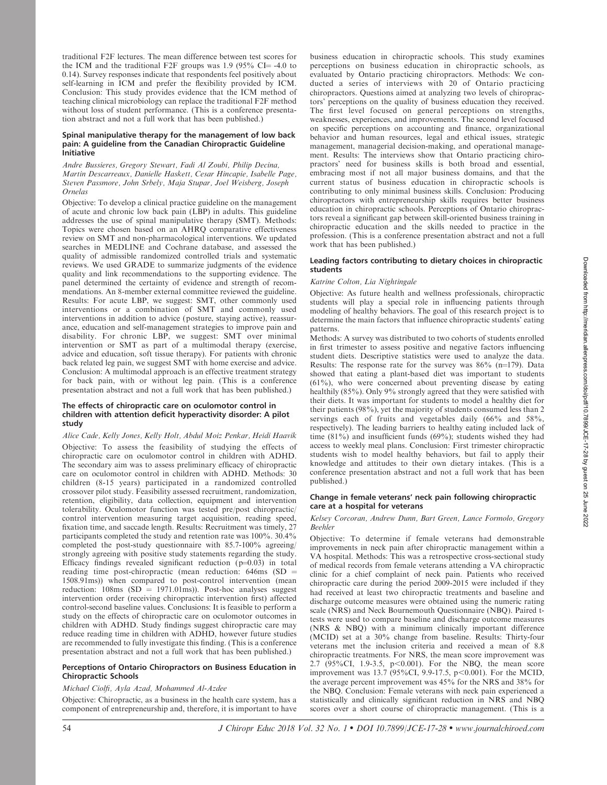traditional F2F lectures. The mean difference between test scores for the ICM and the traditional F2F groups was 1.9 (95% CI $=$  -4.0 to 0.14). Survey responses indicate that respondents feel positively about self-learning in ICM and prefer the flexibility provided by ICM. Conclusion: This study provides evidence that the ICM method of teaching clinical microbiology can replace the traditional F2F method without loss of student performance. (This is a conference presentation abstract and not a full work that has been published.)

#### Spinal manipulative therapy for the management of low back pain: A guideline from the Canadian Chiropractic Guideline Initiative

Andre Bussieres, Gregory Stewart, Fadi Al Zoubi, Philip Decina, Martin Descarreaux, Danielle Haskett, Cesar Hincapie, Isabelle Page, Steven Passmore, John Srbely, Maja Stupar, Joel Weisberg, Joseph Ornelas

Objective: To develop a clinical practice guideline on the management of acute and chronic low back pain (LBP) in adults. This guideline addresses the use of spinal manipulative therapy (SMT). Methods: Topics were chosen based on an AHRQ comparative effectiveness review on SMT and non-pharmacological interventions. We updated searches in MEDLINE and Cochrane database, and assessed the quality of admissible randomized controlled trials and systematic reviews. We used GRADE to summarize judgments of the evidence quality and link recommendations to the supporting evidence. The panel determined the certainty of evidence and strength of recommendations. An 8-member external committee reviewed the guideline. Results: For acute LBP, we suggest: SMT, other commonly used interventions or a combination of SMT and commonly used interventions in addition to advice (posture, staying active), reassurance, education and self-management strategies to improve pain and disability. For chronic LBP, we suggest: SMT over minimal intervention or SMT as part of a multimodal therapy (exercise, advice and education, soft tissue therapy). For patients with chronic back related leg pain, we suggest SMT with home exercise and advice. Conclusion: A multimodal approach is an effective treatment strategy for back pain, with or without leg pain. (This is a conference presentation abstract and not a full work that has been published.)

# The effects of chiropractic care on oculomotor control in children with attention deficit hyperactivity disorder: A pilot study

# Alice Cade, Kelly Jones, Kelly Holt, Abdul Moiz Penkar, Heidi Haavik

Objective: To assess the feasibility of studying the effects of chiropractic care on oculomotor control in children with ADHD. The secondary aim was to assess preliminary efficacy of chiropractic care on oculomotor control in children with ADHD. Methods: 30 children (8-15 years) participated in a randomized controlled crossover pilot study. Feasibility assessed recruitment, randomization, retention, eligibility, data collection, equipment and intervention tolerability. Oculomotor function was tested pre/post chiropractic/ control intervention measuring target acquisition, reading speed, fixation time, and saccade length. Results: Recruitment was timely, 27 participants completed the study and retention rate was 100%. 30.4% completed the post-study questionnaire with 85.7-100% agreeing/ strongly agreeing with positive study statements regarding the study. Efficacy findings revealed significant reduction  $(p=0.03)$  in total reading time post-chiropractic (mean reduction:  $646ms$  (SD = 1508.91ms)) when compared to post-control intervention (mean reduction:  $108 \text{ms}$  (SD = 1971.01ms)). Post-hoc analyses suggest intervention order (receiving chiropractic intervention first) affected control-second baseline values. Conclusions: It is feasible to perform a study on the effects of chiropractic care on oculomotor outcomes in children with ADHD. Study findings suggest chiropractic care may reduce reading time in children with ADHD, however future studies are recommended to fully investigate this finding. (This is a conference presentation abstract and not a full work that has been published.)

### Perceptions of Ontario Chiropractors on Business Education in Chiropractic Schools

# Michael Ciolfi, Ayla Azad, Mohammed Al-Azdee

Objective: Chiropractic, as a business in the health care system, has a component of entrepreneurship and, therefore, it is important to have business education in chiropractic schools. This study examines perceptions on business education in chiropractic schools, as evaluated by Ontario practicing chiropractors. Methods: We conducted a series of interviews with 20 of Ontario practicing chiropractors. Questions aimed at analyzing two levels of chiropractors' perceptions on the quality of business education they received. The first level focused on general perceptions on strengths, weaknesses, experiences, and improvements. The second level focused on specific perceptions on accounting and finance, organizational behavior and human resources, legal and ethical issues, strategic management, managerial decision-making, and operational management. Results: The interviews show that Ontario practicing chiropractors' need for business skills is both broad and essential, embracing most if not all major business domains, and that the current status of business education in chiropractic schools is contributing to only minimal business skills. Conclusion: Producing chiropractors with entrepreneurship skills requires better business education in chiropractic schools. Perceptions of Ontario chiropractors reveal a significant gap between skill-oriented business training in chiropractic education and the skills needed to practice in the profession. (This is a conference presentation abstract and not a full work that has been published.)

### Leading factors contributing to dietary choices in chiropractic students

### Katrine Colton, Lia Nightingale

Objective: As future health and wellness professionals, chiropractic students will play a special role in influencing patients through modeling of healthy behaviors. The goal of this research project is to determine the main factors that influence chiropractic students' eating patterns.

Methods: A survey was distributed to two cohorts of students enrolled in first trimester to assess positive and negative factors influencing student diets. Descriptive statistics were used to analyze the data. Results: The response rate for the survey was  $86\%$  (n=179). Data showed that eating a plant-based diet was important to students (61%), who were concerned about preventing disease by eating healthily (85%). Only 9% strongly agreed that they were satisfied with their diets. It was important for students to model a healthy diet for their patients (98%), yet the majority of students consumed less than 2 servings each of fruits and vegetables daily (66% and 58%, respectively). The leading barriers to healthy eating included lack of time (81%) and insufficient funds (69%); students wished they had access to weekly meal plans. Conclusion: First trimester chiropractic students wish to model healthy behaviors, but fail to apply their knowledge and attitudes to their own dietary intakes. (This is a conference presentation abstract and not a full work that has been published.)

# Change in female veterans' neck pain following chiropractic care at a hospital for veterans

### Kelsey Corcoran, Andrew Dunn, Bart Green, Lance Formolo, Gregory Beehler

Objective: To determine if female veterans had demonstrable improvements in neck pain after chiropractic management within a VA hospital. Methods: This was a retrospective cross-sectional study of medical records from female veterans attending a VA chiropractic clinic for a chief complaint of neck pain. Patients who received chiropractic care during the period 2009-2015 were included if they had received at least two chiropractic treatments and baseline and discharge outcome measures were obtained using the numeric rating scale (NRS) and Neck Bournemouth Questionnaire (NBQ). Paired ttests were used to compare baseline and discharge outcome measures (NRS & NBQ) with a minimum clinically important difference (MCID) set at a 30% change from baseline. Results: Thirty-four veterans met the inclusion criteria and received a mean of 8.8 chiropractic treatments. For NRS, the mean score improvement was 2.7  $(95\% CI, 1.9-3.5, p<0.001)$ . For the NBQ, the mean score improvement was  $13.7 \overline{()}95\%$ CI,  $9.9-17.5$ , p $<0.001$ ). For the MCID, the average percent improvement was 45% for the NRS and 38% for the NBQ. Conclusion: Female veterans with neck pain experienced a statistically and clinically significant reduction in NRS and NBQ scores over a short course of chiropractic management. (This is a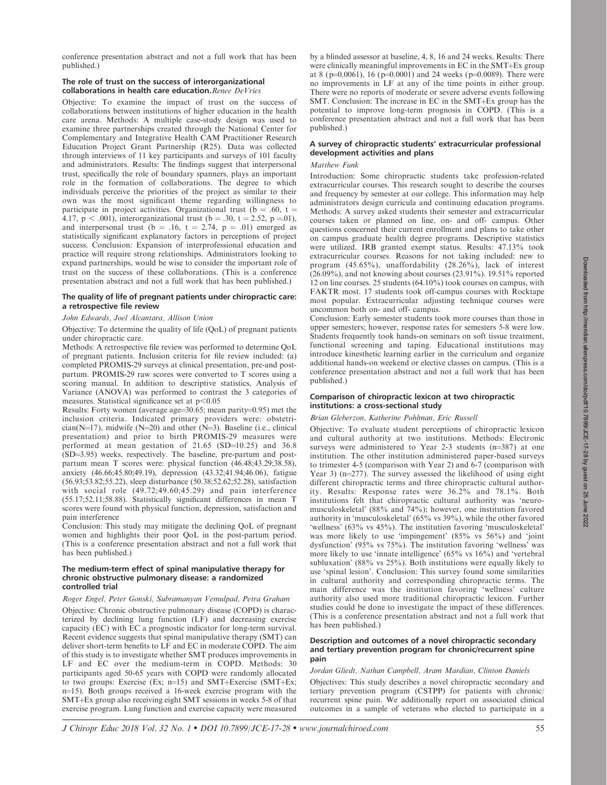conference presentation abstract and not a full work that has been published.)

# The role of trust on the success of interorganizational collaborations in health care education. Renee DeVries

Objective: To examine the impact of trust on the success of collaborations between institutions of higher education in the health care arena. Methods: A multiple case-study design was used to examine three partnerships created through the National Center for Complementary and Integrative Health CAM Practitioner Research Education Project Grant Partnership (R25). Data was collected through interviews of 11 key participants and surveys of 101 faculty and administrators. Results: The findings suggest that interpersonal trust, specifically the role of boundary spanners, plays an important role in the formation of collaborations. The degree to which individuals perceive the priorities of the project as similar to their own was the most significant theme regarding willingness to participate in project activities. Organizational trust ( $b = .60$ ,  $t =$ 4.17,  $p < .001$ ), interorganizational trust (b = .30, t = 2.52, p = 01), and interpersonal trust ( $b = .16$ ,  $t = 2.74$ ,  $p = .01$ ) emerged as statistically significant explanatory factors in perceptions of project success. Conclusion: Expansion of interprofessional education and practice will require strong relationships. Administrators looking to expand partnerships, would be wise to consider the important role of trust on the success of these collaborations. (This is a conference presentation abstract and not a full work that has been published.)

### The quality of life of pregnant patients under chiropractic care: a retrospective file review

#### John Edwards, Joel Alcantara, Allison Union

Objective: To determine the quality of life (QoL) of pregnant patients under chiropractic care.

Methods: A retrospective file review was performed to determine QoL of pregnant patients. Inclusion criteria for file review included: (a) completed PROMIS-29 surveys at clinical presentation, pre-and postpartum. PROMIS-29 raw scores were converted to T scores using a scoring manual. In addition to descriptive statistics, Analysis of Variance (ANOVA) was performed to contrast the 3 categories of measures. Statistical significance set at  $p<0.05$ 

Results: Forty women (average age= $30.65$ ; mean parity= $0.95$ ) met the inclusion criteria. Indicated primary providers were: obstetri $cian(N=17)$ , midwife (N=20) and other (N=3). Baseline (i.e., clinical presentation) and prior to birth PROMIS-29 measures were performed at mean gestation of  $21.65$  (SD= $10.25$ ) and 36.8 (SD=3.95) weeks, respectively. The baseline, pre-partum and postpartum mean T scores were: physical function (46.48;43.29;38.58), anxiety (46.66;45.80;49.19), depression (43.32;41.94;46.06), fatigue (56.93;53.82;55.22), sleep disturbance (50.38;52.62;52.28), satisfaction with social role (49.72;49.60;45.29) and pain interference (55.17;52.11;58.88). Statistically significant differences in mean T scores were found with physical function, depression, satisfaction and pain interference

Conclusion: This study may mitigate the declining QoL of pregnant women and highlights their poor QoL in the post-partum period. (This is a conference presentation abstract and not a full work that has been published.)

### The medium-term effect of spinal manipulative therapy for chronic obstructive pulmonary disease: a randomized controlled trial

### Roger Engel, Peter Gonski, Subramanyan Vemulpad, Petra Graham

Objective: Chronic obstructive pulmonary disease (COPD) is characterized by declining lung function (LF) and decreasing exercise capacity (EC) with EC a prognostic indicator for long-term survival. Recent evidence suggests that spinal manipulative therapy (SMT) can deliver short-term benefits to LF and EC in moderate COPD. The aim of this study is to investigate whether SMT produces improvements in LF and EC over the medium-term in COPD. Methods: 30 participants aged 50-65 years with COPD were randomly allocated to two groups: Exercise (Ex;  $n=15$ ) and SMT+Exercise (SMT+Ex; n=15). Both groups received a 16-week exercise program with the SMT+Ex group also receiving eight SMT sessions in weeks 5-8 of that exercise program. Lung function and exercise capacity were measured by a blinded assessor at baseline, 4, 8, 16 and 24 weeks. Results: There were clinically meaningful improvements in EC in the SMT+Ex group at 8 (p=0.0061), 16 (p=0.0001) and 24 weeks (p=0.0089). There were no improvements in LF at any of the time points in either group. There were no reports of moderate or severe adverse events following SMT. Conclusion: The increase in  $EC$  in the SMT+ $Ex$  group has the potential to improve long-term prognosis in COPD. (This is a conference presentation abstract and not a full work that has been published.)

### A survey of chiropractic students' extracurricular professional development activities and plans

# Matthew Funk

Introduction: Some chiropractic students take profession-related extracurricular courses. This research sought to describe the courses and frequency by semester at our college. This information may help administrators design curricula and continuing education programs. Methods: A survey asked students their semester and extracurricular courses taken or planned on line, on- and off- campus. Other questions concerned their current enrollment and plans to take other on campus graduate health degree programs. Descriptive statistics were utilized. IRB granted exempt status. Results: 47.13% took extracurricular courses. Reasons for not taking included: new to program (45.65%), unaffordability (28.26%), lack of interest (26.09%), and not knowing about courses (23.91%). 19.51% reported 12 on line courses. 25 students (64.10%) took courses on campus, with FAKTR most. 17 students took off-campus courses with Rocktape most popular. Extracurricular adjusting technique courses were uncommon both on- and off- campus.

Conclusion: Early semester students took more courses than those in upper semesters; however, response rates for semesters 5-8 were low. Students frequently took hands-on seminars on soft tissue treatment, functional screening and taping. Educational institutions may introduce kinesthetic learning earlier in the curriculum and organize additional hands-on weekend or elective classes on campus. (This is a conference presentation abstract and not a full work that has been published.)

#### Comparison of chiropractic lexicon at two chiropractic institutions: a cross-sectional study

#### Brian Gleberzon, Katherine Pohlman, Eric Russell

Objective: To evaluate student perceptions of chiropractic lexicon and cultural authority at two institutions. Methods: Electronic surveys were administered to Year 2-3 students  $(n=387)$  at one institution. The other institution administered paper-based surveys to trimester 4-5 (comparison with Year 2) and 6-7 (comparison with Year 3) ( $n=277$ ). The survey assessed the likelihood of using eight different chiropractic terms and three chiropractic cultural authority. Results: Response rates were 36.2% and 78.1%. Both institutions felt that chiropractic cultural authority was 'neuromusculoskeletal' (88% and 74%); however, one institution favored authority in 'musculoskeletal' (65% vs 39%), while the other favored 'wellness' (63% vs 45%). The institution favoring 'musculoskeletal' was more likely to use 'impingement' (85% vs 56%) and 'joint dysfunction' (95% vs 75%). The institution favoring 'wellness' was more likely to use 'innate intelligence' (65% vs 16%) and 'vertebral subluxation' (88% vs 25%). Both institutions were equally likely to use 'spinal lesion'. Conclusion: This survey found some similarities in cultural authority and corresponding chiropractic terms. The main difference was the institution favoring 'wellness' culture authority also used more traditional chiropractic lexicon. Further studies could be done to investigate the impact of these differences. (This is a conference presentation abstract and not a full work that has been published.)

### Description and outcomes of a novel chiropractic secondary and tertiary prevention program for chronic/recurrent spine pain

#### Jordan Gliedt, Nathan Campbell, Aram Mardian, Clinton Daniels

Objectives: This study describes a novel chiropractic secondary and tertiary prevention program (CSTPP) for patients with chronic/ recurrent spine pain. We additionally report on associated clinical outcomes in a sample of veterans who elected to participate in a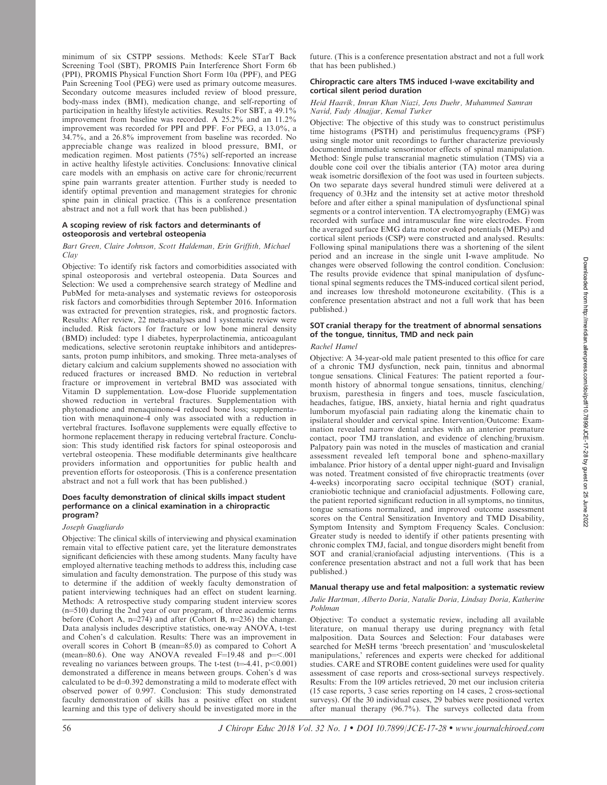minimum of six CSTPP sessions. Methods: Keele STarT Back Screening Tool (SBT), PROMIS Pain Interference Short Form 6b (PPI), PROMIS Physical Function Short Form 10a (PPF), and PEG Pain Screening Tool (PEG) were used as primary outcome measures. Secondary outcome measures included review of blood pressure, body-mass index (BMI), medication change, and self-reporting of participation in healthy lifestyle activities. Results: For SBT, a 49.1% improvement from baseline was recorded. A 25.2% and an 11.2% improvement was recorded for PPI and PPF. For PEG, a 13.0%, a 34.7%, and a 26.8% improvement from baseline was recorded. No appreciable change was realized in blood pressure, BMI, or medication regimen. Most patients (75%) self-reported an increase in active healthy lifestyle activities. Conclusions: Innovative clinical care models with an emphasis on active care for chronic/recurrent spine pain warrants greater attention. Further study is needed to identify optimal prevention and management strategies for chronic spine pain in clinical practice. (This is a conference presentation abstract and not a full work that has been published.)

# A scoping review of risk factors and determinants of osteoporosis and vertebral osteopenia

Bart Green, Claire Johnson, Scott Haldeman, Erin Griffith, Michael Clay

Objective: To identify risk factors and comorbidities associated with spinal osteoporosis and vertebral osteopenia. Data Sources and Selection: We used a comprehensive search strategy of Medline and PubMed for meta-analyses and systematic reviews for osteoporosis risk factors and comorbidities through September 2016. Information was extracted for prevention strategies, risk, and prognostic factors. Results: After review, 22 meta-analyses and 1 systematic review were included. Risk factors for fracture or low bone mineral density (BMD) included: type 1 diabetes, hyperprolactinemia, anticoagulant medications, selective serotonin reuptake inhibitors and antidepressants, proton pump inhibitors, and smoking. Three meta-analyses of dietary calcium and calcium supplements showed no association with reduced fractures or increased BMD. No reduction in vertebral fracture or improvement in vertebral BMD was associated with Vitamin D supplementation. Low-dose Fluoride supplementation showed reduction in vertebral fractures. Supplementation with phytonadione and menaquinone-4 reduced bone loss; supplementation with menaquinone-4 only was associated with a reduction in vertebral fractures. Isoflavone supplements were equally effective to hormone replacement therapy in reducing vertebral fracture. Conclusion: This study identified risk factors for spinal osteoporosis and vertebral osteopenia. These modifiable determinants give healthcare providers information and opportunities for public health and prevention efforts for osteoporosis. (This is a conference presentation abstract and not a full work that has been published.)

# Does faculty demonstration of clinical skills impact student performance on a clinical examination in a chiropractic program?

# Joseph Guagliardo

Objective: The clinical skills of interviewing and physical examination remain vital to effective patient care, yet the literature demonstrates significant deficiencies with these among students. Many faculty have employed alternative teaching methods to address this, including case simulation and faculty demonstration. The purpose of this study was to determine if the addition of weekly faculty demonstration of patient interviewing techniques had an effect on student learning. Methods: A retrospective study comparing student interview scores  $(n=510)$  during the 2nd year of our program, of three academic terms before (Cohort A,  $n=274$ ) and after (Cohort B,  $n=236$ ) the change. Data analysis includes descriptive statistics, one-way ANOVA, t-test and Cohen's d calculation. Results: There was an improvement in overall scores in Cohort B (mean=85.0) as compared to Cohort A (mean=80.6). One way ANOVA revealed F=19.48 and  $p=<.001$ revealing no variances between groups. The t-test (t=4.41,  $p<0.001$ ) demonstrated a difference in means between groups. Cohen's d was calculated to be  $d=0.392$  demonstrating a mild to moderate effect with observed power of 0.997. Conclusion: This study demonstrated faculty demonstration of skills has a positive effect on student learning and this type of delivery should be investigated more in the

future. (This is a conference presentation abstract and not a full work that has been published.)

# Chiropractic care alters TMS induced I-wave excitability and cortical silent period duration

# Heid Haavik, Imran Khan Niazi, Jens Duehr, Muhammed Samran Navid, Fady Alnajjar, Kemal Turker

Objective: The objective of this study was to construct peristimulus time histograms (PSTH) and peristimulus frequencygrams (PSF) using single motor unit recordings to further characterize previously documented immediate sensorimotor effects of spinal manipulation. Method: Single pulse transcranial magnetic stimulation (TMS) via a double cone coil over the tibialis anterior (TA) motor area during weak isometric dorsiflexion of the foot was used in fourteen subjects. On two separate days several hundred stimuli were delivered at a frequency of 0.3Hz and the intensity set at active motor threshold before and after either a spinal manipulation of dysfunctional spinal segments or a control intervention. TA electromyography (EMG) was recorded with surface and intramuscular fine wire electrodes. From the averaged surface EMG data motor evoked potentials (MEPs) and cortical silent periods (CSP) were constructed and analysed. Results: Following spinal manipulations there was a shortening of the silent period and an increase in the single unit I-wave amplitude. No changes were observed following the control condition. Conclusion: The results provide evidence that spinal manipulation of dysfunctional spinal segments reduces the TMS-induced cortical silent period, and increases low threshold motoneurone excitability. (This is a conference presentation abstract and not a full work that has been published.)

# SOT cranial therapy for the treatment of abnormal sensations of the tongue, tinnitus, TMD and neck pain

# Rachel Hamel

Objective: A 34-year-old male patient presented to this office for care of a chronic TMJ dysfunction, neck pain, tinnitus and abnormal tongue sensations. Clinical Features: The patient reported a fourmonth history of abnormal tongue sensations, tinnitus, clenching/ bruxism, paresthesia in fingers and toes, muscle fasciculation, headaches, fatigue, IBS, anxiety, hiatal hernia and right quadratus lumborum myofascial pain radiating along the kinematic chain to ipsilateral shoulder and cervical spine. Intervention/Outcome: Examination revealed narrow dental arches with an anterior premature contact, poor TMJ translation, and evidence of clenching/bruxism. Palpatory pain was noted in the muscles of mastication and cranial assessment revealed left temporal bone and spheno-maxillary imbalance. Prior history of a dental upper night-guard and Invisalign was noted. Treatment consisted of five chiropractic treatments (over 4-weeks) incorporating sacro occipital technique (SOT) cranial, craniobiotic technique and craniofacial adjustments. Following care, the patient reported significant reduction in all symptoms, no tinnitus, tongue sensations normalized, and improved outcome assessment scores on the Central Sensitization Inventory and TMD Disability, Symptom Intensity and Symptom Frequency Scales. Conclusion: Greater study is needed to identify if other patients presenting with chronic complex TMJ, facial, and tongue disorders might benefit from SOT and cranial/craniofacial adjusting interventions. (This is a conference presentation abstract and not a full work that has been published.)

# Manual therapy use and fetal malposition: a systematic review

### Julie Hartman, Alberto Doria, Natalie Doria, Lindsay Doria, Katherine Pohlman

Objective: To conduct a systematic review, including all available literature, on manual therapy use during pregnancy with fetal malposition. Data Sources and Selection: Four databases were searched for MeSH terms 'breech presentation' and 'musculoskeletal manipulations,' references and experts were checked for additional studies. CARE and STROBE content guidelines were used for quality assessment of case reports and cross-sectional surveys respectively. Results: From the 109 articles retrieved, 20 met our inclusion criteria (15 case reports, 3 case series reporting on 14 cases, 2 cross-sectional surveys). Of the 30 individual cases, 29 babies were positioned vertex after manual therapy (96.7%). The surveys collected data from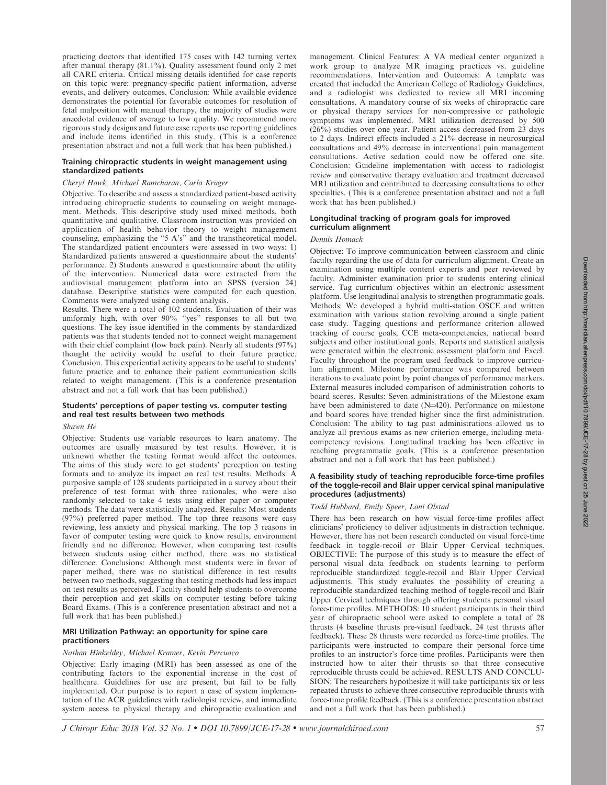practicing doctors that identified 175 cases with 142 turning vertex after manual therapy (81.1%). Quality assessment found only 2 met all CARE criteria. Critical missing details identified for case reports on this topic were: pregnancy-specific patient information, adverse events, and delivery outcomes. Conclusion: While available evidence demonstrates the potential for favorable outcomes for resolution of fetal malposition with manual therapy, the majority of studies were anecdotal evidence of average to low quality. We recommend more rigorous study designs and future case reports use reporting guidelines and include items identified in this study. (This is a conference presentation abstract and not a full work that has been published.)

### Training chiropractic students in weight management using standardized patients

### Cheryl Hawk, Michael Ramcharan, Carla Kruger

Objective. To describe and assess a standardized patient-based activity introducing chiropractic students to counseling on weight management. Methods. This descriptive study used mixed methods, both quantitative and qualitative. Classroom instruction was provided on application of health behavior theory to weight management counseling, emphasizing the ''5 A's'' and the transtheoretical model. The standardized patient encounters were assessed in two ways: 1) Standardized patients answered a questionnaire about the students' performance. 2) Students answered a questionnaire about the utility of the intervention. Numerical data were extracted from the audiovisual management platform into an SPSS (version 24) database. Descriptive statistics were computed for each question. Comments were analyzed using content analysis.

Results. There were a total of 102 students. Evaluation of their was uniformly high, with over 90% "yes" responses to all but two questions. The key issue identified in the comments by standardized patients was that students tended not to connect weight management with their chief complaint (low back pain). Nearly all students (97%) thought the activity would be useful to their future practice. Conclusion. This experiential activity appears to be useful to students' future practice and to enhance their patient communication skills related to weight management. (This is a conference presentation abstract and not a full work that has been published.)

### Students' perceptions of paper testing vs. computer testing and real test results between two methods

# Shawn He

Objective: Students use variable resources to learn anatomy. The outcomes are usually measured by test results. However, it is unknown whether the testing format would affect the outcomes. The aims of this study were to get students' perception on testing formats and to analyze its impact on real test results. Methods: A purposive sample of 128 students participated in a survey about their preference of test format with three rationales, who were also randomly selected to take 4 tests using either paper or computer methods. The data were statistically analyzed. Results: Most students (97%) preferred paper method. The top three reasons were easy reviewing, less anxiety and physical marking. The top 3 reasons in favor of computer testing were quick to know results, environment friendly and no difference. However, when comparing test results between students using either method, there was no statistical difference. Conclusions: Although most students were in favor of paper method, there was no statistical difference in test results between two methods, suggesting that testing methods had less impact on test results as perceived. Faculty should help students to overcome their perception and get skills on computer testing before taking Board Exams. (This is a conference presentation abstract and not a full work that has been published.)

### MRI Utilization Pathway: an opportunity for spine care practitioners

#### Nathan Hinkeldey, Michael Kramer, Kevin Percuoco

Objective: Early imaging (MRI) has been assessed as one of the contributing factors to the exponential increase in the cost of healthcare. Guidelines for use are present, but fail to be fully implemented. Our purpose is to report a case of system implementation of the ACR guidelines with radiologist review, and immediate system access to physical therapy and chiropractic evaluation and management. Clinical Features: A VA medical center organized a work group to analyze MR imaging practices vs. guideline recommendations. Intervention and Outcomes: A template was created that included the American College of Radiology Guidelines, and a radiologist was dedicated to review all MRI incoming consultations. A mandatory course of six weeks of chiropractic care or physical therapy services for non-compressive or pathologic symptoms was implemented. MRI utilization decreased by 500 (26%) studies over one year. Patient access decreased from 23 days to 2 days. Indirect effects included a 21% decrease in neurosurgical consultations and 49% decrease in interventional pain management consultations. Active sedation could now be offered one site. Conclusion: Guideline implementation with access to radiologist review and conservative therapy evaluation and treatment decreased MRI utilization and contributed to decreasing consultations to other specialties. (This is a conference presentation abstract and not a full work that has been published.)

### Longitudinal tracking of program goals for improved curriculum alignment

### Dennis Homack

Objective: To improve communication between classroom and clinic faculty regarding the use of data for curriculum alignment. Create an examination using multiple content experts and peer reviewed by faculty. Administer examination prior to students entering clinical service. Tag curriculum objectives within an electronic assessment platform. Use longitudinal analysis to strengthen programmatic goals. Methods: We developed a hybrid multi-station OSCE and written examination with various station revolving around a single patient case study. Tagging questions and performance criterion allowed tracking of course goals, CCE meta-competencies, national board subjects and other institutional goals. Reports and statistical analysis were generated within the electronic assessment platform and Excel. Faculty throughout the program used feedback to improve curriculum alignment. Milestone performance was compared between iterations to evaluate point by point changes of performance markers. External measures included comparison of administration cohorts to board scores. Results: Seven administrations of the Milestone exam have been administered to date  $(N=420)$ . Performance on milestone and board scores have trended higher since the first administration. Conclusion: The ability to tag past administrations allowed us to analyze all previous exams as new criterion emerge, including metacompetency revisions. Longitudinal tracking has been effective in reaching programmatic goals. (This is a conference presentation abstract and not a full work that has been published.)

### A feasibility study of teaching reproducible force-time profiles of the toggle-recoil and Blair upper cervical spinal manipulative procedures (adjustments)

#### Todd Hubbard, Emily Speer, Loni Olstad

There has been research on how visual force-time profiles affect clinicians' proficiency to deliver adjustments in distraction technique. However, there has not been research conducted on visual force-time feedback in toggle-recoil or Blair Upper Cervical techniques. OBJECTIVE: The purpose of this study is to measure the effect of personal visual data feedback on students learning to perform reproducible standardized toggle-recoil and Blair Upper Cervical adjustments. This study evaluates the possibility of creating a reproducible standardized teaching method of toggle-recoil and Blair Upper Cervical techniques through offering students personal visual force-time profiles. METHODS: 10 student participants in their third year of chiropractic school were asked to complete a total of 28 thrusts (4 baseline thrusts pre-visual feedback, 24 test thrusts after feedback). These 28 thrusts were recorded as force-time profiles. The participants were instructed to compare their personal force-time profiles to an instructor's force-time profiles. Participants were then instructed how to alter their thrusts so that three consecutive reproducible thrusts could be achieved. RESULTS AND CONCLU-SION: The researchers hypothesize it will take participants six or less repeated thrusts to achieve three consecutive reproducible thrusts with force-time profile feedback. (This is a conference presentation abstract and not a full work that has been published.)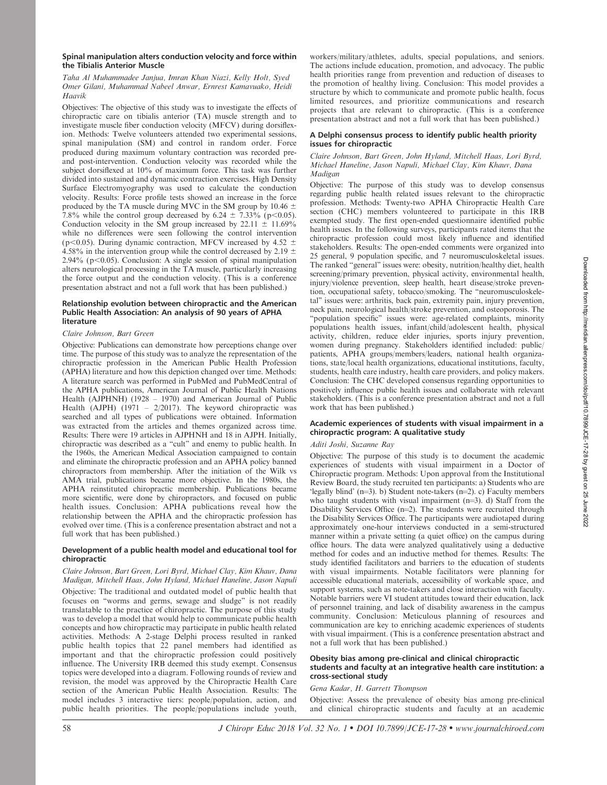# A Delphi consensus process to identify public health priority issues for chiropractic

workers/military/athletes, adults, special populations, and seniors.

### Claire Johnson, Bart Green, John Hyland, Mitchell Haas, Lori Byrd, Michael Haneline, Jason Napuli, Michael Clay, Kim Khauv, Dana Madigan

Objective: The purpose of this study was to develop consensus regarding public health related issues relevant to the chiropractic profession. Methods: Twenty-two APHA Chiropractic Health Care section (CHC) members volunteered to participate in this IRB exempted study. The first open-ended questionnaire identified public health issues. In the following surveys, participants rated items that the chiropractic profession could most likely influence and identified stakeholders. Results: The open-ended comments were organized into 25 general, 9 population specific, and 7 neuromusculoskeletal issues. The ranked ''general'' issues were: obesity, nutrition/healthy diet, health screening/primary prevention, physical activity, environmental health, injury/violence prevention, sleep health, heart disease/stroke prevention, occupational safety, tobacco/smoking. The ''neuromusculoskeletal'' issues were: arthritis, back pain, extremity pain, injury prevention, neck pain, neurological health/stroke prevention, and osteoporosis. The "population specific" issues were: age-related complaints, minority populations health issues, infant/child/adolescent health, physical activity, children, reduce elder injuries, sports injury prevention, women during pregnancy. Stakeholders identified included: public/ patients, APHA groups/members/leaders, national health organizations, state/local health organizations, educational institutions, faculty, students, health care industry, health care providers, and policy makers. Conclusion: The CHC developed consensus regarding opportunities to positively influence public health issues and collaborate with relevant stakeholders. (This is a conference presentation abstract and not a full work that has been published.)

# Academic experiences of students with visual impairment in a chiropractic program: A qualitative study

# Aditi Joshi, Suzanne Ray

Objective: The purpose of this study is to document the academic experiences of students with visual impairment in a Doctor of Chiropractic program. Methods: Upon approval from the Institutional Review Board, the study recruited ten participants: a) Students who are 'legally blind' (n=3). b) Student note-takers (n=2). c) Faculty members who taught students with visual impairment  $(n=3)$ . d) Staff from the Disability Services Office  $(n=2)$ . The students were recruited through the Disability Services Office. The participants were audiotaped during approximately one-hour interviews conducted in a semi-structured manner within a private setting (a quiet office) on the campus during office hours. The data were analyzed qualitatively using a deductive method for codes and an inductive method for themes. Results: The study identified facilitators and barriers to the education of students with visual impairments. Notable facilitators were planning for accessible educational materials, accessibility of workable space, and support systems, such as note-takers and close interaction with faculty. Notable barriers were VI student attitudes toward their education, lack of personnel training, and lack of disability awareness in the campus community. Conclusion: Meticulous planning of resources and communication are key to enriching academic experiences of students with visual impairment. (This is a conference presentation abstract and not a full work that has been published.)

# Obesity bias among pre-clinical and clinical chiropractic students and faculty at an integrative health care institution: a cross-sectional study

# Gena Kadar, H. Garrett Thompson

Objective: Assess the prevalence of obesity bias among pre-clinical and clinical chiropractic students and faculty at an academic

### Spinal manipulation alters conduction velocity and force within the Tibialis Anterior Muscle

# Taha Al Muhammadee Janjua, Imran Khan Niazi, Kelly Holt, Syed Omer Gilani, Muhammad Nabeel Anwar, Ernrest Kamavuako, Heidi Haavik

Objectives: The objective of this study was to investigate the effects of chiropractic care on tibialis anterior (TA) muscle strength and to investigate muscle fiber conduction velocity (MFCV) during dorsiflexion. Methods: Twelve volunteers attended two experimental sessions, spinal manipulation (SM) and control in random order. Force produced during maximum voluntary contraction was recorded preand post-intervention. Conduction velocity was recorded while the subject dorsiflexed at 10% of maximum force. This task was further divided into sustained and dynamic contraction exercises. High Density Surface Electromyography was used to calculate the conduction velocity. Results: Force profile tests showed an increase in the force produced by the TA muscle during MVC in the SM group by 10.46  $\pm$ 7.8% while the control group decreased by 6.24  $\pm$  7.33% (p $<0.05$ ). Conduction velocity in the SM group increased by  $22.11 \pm 11.69\%$ while no differences were seen following the control intervention (p<0.05). During dynamic contraction, MFCV increased by 4.52  $\pm$ 4.58% in the intervention group while the control decreased by 2.19  $\pm$ 2.94% ( $p$ <0.05). Conclusion: A single session of spinal manipulation alters neurological processing in the TA muscle, particularly increasing the force output and the conduction velocity. (This is a conference presentation abstract and not a full work that has been published.)

# Relationship evolution between chiropractic and the American Public Health Association: An analysis of 90 years of APHA literature

# Claire Johnson, Bart Green

Objective: Publications can demonstrate how perceptions change over time. The purpose of this study was to analyze the representation of the chiropractic profession in the American Public Health Profession (APHA) literature and how this depiction changed over time. Methods: A literature search was performed in PubMed and PubMedCentral of the APHA publications, American Journal of Public Health Nations Health (AJPHNH) (1928 - 1970) and American Journal of Public Health (AJPH)  $(1971 - 2/2017)$ . The keyword chiropractic was searched and all types of publications were obtained. Information was extracted from the articles and themes organized across time. Results: There were 19 articles in AJPHNH and 18 in AJPH. Initially, chiropractic was described as a ''cult'' and enemy to public health. In the 1960s, the American Medical Association campaigned to contain and eliminate the chiropractic profession and an APHA policy banned chiropractors from membership. After the initiation of the Wilk vs AMA trial, publications became more objective. In the 1980s, the APHA reinstituted chiropractic membership. Publications became more scientific, were done by chiropractors, and focused on public health issues. Conclusion: APHA publications reveal how the relationship between the APHA and the chiropractic profession has evolved over time. (This is a conference presentation abstract and not a full work that has been published.)

# Development of a public health model and educational tool for chiropractic

## Claire Johnson, Bart Green, Lori Byrd, Michael Clay, Kim Khauv, Dana Madigan, Mitchell Haas, John Hyland, Michael Haneline, Jason Napuli

Objective: The traditional and outdated model of public health that focuses on ''worms and germs, sewage and sludge'' is not readily translatable to the practice of chiropractic. The purpose of this study was to develop a model that would help to communicate public health concepts and how chiropractic may participate in public health related activities. Methods: A 2-stage Delphi process resulted in ranked public health topics that 22 panel members had identified as important and that the chiropractic profession could positively influence. The University IRB deemed this study exempt. Consensus topics were developed into a diagram. Following rounds of review and revision, the model was approved by the Chiropractic Health Care section of the American Public Health Association. Results: The model includes 3 interactive tiers: people/population, action, and public health priorities. The people/populations include youth,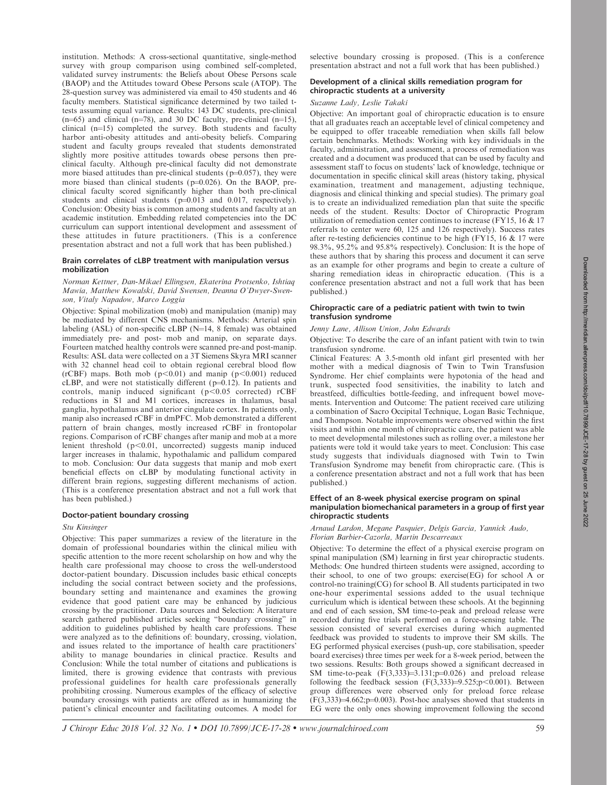institution. Methods: A cross-sectional quantitative, single-method survey with group comparison using combined self-completed, validated survey instruments: the Beliefs about Obese Persons scale (BAOP) and the Attitudes toward Obese Persons scale (ATOP). The 28-question survey was administered via email to 450 students and 46 faculty members. Statistical significance determined by two tailed ttests assuming equal variance. Results: 143 DC students, pre-clinical  $(n=65)$  and clinical  $(n=78)$ , and 30 DC faculty, pre-clinical  $(n=15)$ , clinical  $(n=15)$  completed the survey. Both students and faculty harbor anti-obesity attitudes and anti-obesity beliefs. Comparing student and faculty groups revealed that students demonstrated slightly more positive attitudes towards obese persons then preclinical faculty. Although pre-clinical faculty did not demonstrate more biased attitudes than pre-clinical students ( $p=0.057$ ), they were more biased than clinical students ( $p=0.026$ ). On the BAOP, preclinical faculty scored significantly higher than both pre-clinical students and clinical students  $(p=0.013$  and 0.017, respectively). Conclusion: Obesity bias is common among students and faculty at an academic institution. Embedding related competencies into the DC curriculum can support intentional development and assessment of these attitudes in future practitioners. (This is a conference presentation abstract and not a full work that has been published.)

# Brain correlates of cLBP treatment with manipulation versus mobilization

### Norman Kettner, Dan-Mikael Ellingsen, Ekaterina Protsenko, Ishtiaq Mawia, Matthew Kowalski, David Swensen, Deanna O'Dwyer-Swenson, Vitaly Napadow, Marco Loggia

Objective: Spinal mobilization (mob) and manipulation (manip) may be mediated by different CNS mechanisms. Methods: Arterial spin labeling (ASL) of non-specific cLBP ( $N=14$ , 8 female) was obtained immediately pre- and post- mob and manip, on separate days. Fourteen matched healthy controls were scanned pre-and post-manip. Results: ASL data were collected on a 3T Siemens Skyra MRI scanner with 32 channel head coil to obtain regional cerebral blood flow (rCBF) maps. Both mob ( $p<0.01$ ) and manip ( $p<0.001$ ) reduced cLBP, and were not statistically different  $(p=0.12)$ . In patients and controls, manip induced significant ( $p<0.05$  corrected) rCBF reductions in S1 and M1 cortices, increases in thalamus, basal ganglia, hypothalamus and anterior cingulate cortex. In patients only, manip also increased rCBF in dmPFC. Mob demonstrated a different pattern of brain changes, mostly increased rCBF in frontopolar regions. Comparison of rCBF changes after manip and mob at a more lenient threshold  $(p<0.01$ , uncorrected) suggests manip induced larger increases in thalamic, hypothalamic and pallidum compared to mob. Conclusion: Our data suggests that manip and mob exert beneficial effects on cLBP by modulating functional activity in different brain regions, suggesting different mechanisms of action. (This is a conference presentation abstract and not a full work that has been published.)

# Doctor-patient boundary crossing

# Stu Kinsinger

Objective: This paper summarizes a review of the literature in the domain of professional boundaries within the clinical milieu with specific attention to the more recent scholarship on how and why the health care professional may choose to cross the well-understood doctor-patient boundary. Discussion includes basic ethical concepts including the social contract between society and the professions, boundary setting and maintenance and examines the growing evidence that good patient care may be enhanced by judicious crossing by the practitioner. Data sources and Selection: A literature search gathered published articles seeking ''boundary crossing'' in addition to guidelines published by health care professions. These were analyzed as to the definitions of: boundary, crossing, violation, and issues related to the importance of health care practitioners' ability to manage boundaries in clinical practice. Results and Conclusion: While the total number of citations and publications is limited, there is growing evidence that contrasts with previous professional guidelines for health care professionals generally prohibiting crossing. Numerous examples of the efficacy of selective boundary crossings with patients are offered as in humanizing the patient's clinical encounter and facilitating outcomes. A model for selective boundary crossing is proposed. (This is a conference presentation abstract and not a full work that has been published.)

### Development of a clinical skills remediation program for chiropractic students at a university

# Suzanne Lady, Leslie Takaki

Objective: An important goal of chiropractic education is to ensure that all graduates reach an acceptable level of clinical competency and be equipped to offer traceable remediation when skills fall below certain benchmarks. Methods: Working with key individuals in the faculty, administration, and assessment, a process of remediation was created and a document was produced that can be used by faculty and assessment staff to focus on students' lack of knowledge, technique or documentation in specific clinical skill areas (history taking, physical examination, treatment and management, adjusting technique, diagnosis and clinical thinking and special studies). The primary goal is to create an individualized remediation plan that suite the specific needs of the student. Results: Doctor of Chiropractic Program utilization of remediation center continues to increase (FY15, 16 & 17 referrals to center were 60, 125 and 126 respectively). Success rates after re-testing deficiencies continue to be high (FY15, 16  $& 17$  were 98.3%, 95.2% and 95.8% respectively). Conclusion: It is the hope of these authors that by sharing this process and document it can serve as an example for other programs and begin to create a culture of sharing remediation ideas in chiropractic education. (This is a conference presentation abstract and not a full work that has been published.)

#### Chiropractic care of a pediatric patient with twin to twin transfusion syndrome

#### Jenny Lane, Allison Union, John Edwards

Objective: To describe the care of an infant patient with twin to twin transfusion syndrome.

Clinical Features: A 3.5-month old infant girl presented with her mother with a medical diagnosis of Twin to Twin Transfusion Syndrome. Her chief complaints were hypotonia of the head and trunk, suspected food sensitivities, the inability to latch and breastfeed, difficulties bottle-feeding, and infrequent bowel movements. Intervention and Outcome: The patient received care utilizing a combination of Sacro Occipital Technique, Logan Basic Technique, and Thompson. Notable improvements were observed within the first visits and within one month of chiropractic care, the patient was able to meet developmental milestones such as rolling over, a milestone her patients were told it would take years to meet. Conclusion: This case study suggests that individuals diagnosed with Twin to Twin Transfusion Syndrome may benefit from chiropractic care. (This is a conference presentation abstract and not a full work that has been published.)

### Effect of an 8-week physical exercise program on spinal manipulation biomechanical parameters in a group of first year chiropractic students

### Arnaud Lardon, Megane Pasquier, Delgis Garcia, Yannick Audo, Florian Barbier-Cazorla, Martin Descarreaux

Objective: To determine the effect of a physical exercise program on spinal manipulation (SM) learning in first year chiropractic students. Methods: One hundred thirteen students were assigned, according to their school, to one of two groups: exercise(EG) for school A or control-no training(CG) for school B. All students participated in two one-hour experimental sessions added to the usual technique curriculum which is identical between these schools. At the beginning and end of each session, SM time-to-peak and preload release were recorded during five trials performed on a force-sensing table. The session consisted of several exercises during which augmented feedback was provided to students to improve their SM skills. The EG performed physical exercises (push-up, core stabilisation, speeder board exercises) three times per week for a 8-week period, between the two sessions. Results: Both groups showed a significant decreased in SM time-to-peak  $(F(3,333)=3.131;p=0.026)$  and preload release following the feedback session  $(F(3,333)=9.525;p<0.001)$ . Between group differences were observed only for preload force release  $(F(3,333)=4.662;p=0.003)$ . Post-hoc analyses showed that students in EG were the only ones showing improvement following the second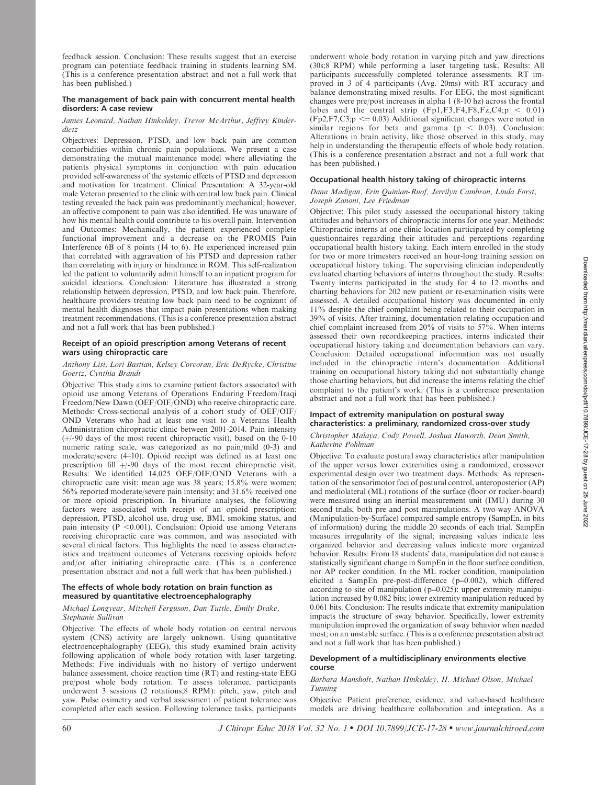feedback session. Conclusion: These results suggest that an exercise program can potentiate feedback training in students learning SM. (This is a conference presentation abstract and not a full work that has been published.)

### The management of back pain with concurrent mental health disorders: A case review

# James Leonard, Nathan Hinkeldey, Trevor McArthur, Jeffrey Kinderdietz

Objectives: Depression, PTSD, and low back pain are common comorbidities within chronic pain populations. We present a case demonstrating the mutual maintenance model where alleviating the patients physical symptoms in conjunction with pain education provided self-awareness of the systemic effects of PTSD and depression and motivation for treatment. Clinical Presentation: A 32-year-old male Veteran presented to the clinic with central low back pain. Clinical testing revealed the back pain was predominantly mechanical; however, an affective component to pain was also identified. He was unaware of how his mental health could contribute to his overall pain. Intervention and Outcomes: Mechanically, the patient experienced complete functional improvement and a decrease on the PROMIS Pain Interference  $6\overrightarrow{B}$  of 8 points (14 to 6). He experienced increased pain that correlated with aggravation of his PTSD and depression rather than correlating with injury or hindrance in ROM. This self-realization led the patient to voluntarily admit himself to an inpatient program for suicidal ideations. Conclusion: Literature has illustrated a strong relationship between depression, PTSD, and low back pain. Therefore, healthcare providers treating low back pain need to be cognizant of mental health diagnoses that impact pain presentations when making treatment recommendations. (This is a conference presentation abstract and not a full work that has been published.)

## Receipt of an opioid prescription among Veterans of recent wars using chiropractic care

# Anthony Lisi, Lori Bastian, Kelsey Corcoran, Eric DeRycke, Christine Goertz, Cynthia Brandt

Objective: This study aims to examine patient factors associated with opioid use among Veterans of Operations Enduring Freedom/Iraqi Freedom/New Dawn (OEF/OIF/OND) who receive chiropractic care. Methods: Cross-sectional analysis of a cohort study of OEF/OIF/ OND Veterans who had at least one visit to a Veterans Health Administration chiropractic clinic between 2001-2014. Pain intensity  $(+/-90$  days of the most recent chiropractic visit), based on the 0-10 numeric rating scale, was categorized as no pain/mild (0-3) and moderate/severe (4–10). Opioid receipt was defined as at least one prescription fill  $+/-90$  days of the most recent chiropractic visit. Results: We identified 14,025 OEF/OIF/OND Veterans with a chiropractic care visit: mean age was 38 years; 15.8% were women; 56% reported moderate/severe pain intensity; and 31.6% received one or more opioid prescription. In bivariate analyses, the following factors were associated with receipt of an opioid prescription: depression, PTSD, alcohol use, drug use, BMI, smoking status, and pain intensity ( $P < 0.001$ ). Conclsuion: Opioid use among Veterans receiving chiropractic care was common, and was associated with several clinical factors. This highlights the need to assess characteristics and treatment outcomes of Veterans receiving opioids before and/or after initiating chiropractic care. (This is a conference presentation abstract and not a full work that has been published.)

# The effects of whole body rotation on brain function as measured by quantitative electroencephalography

# Michael Longyear, Mitchell Ferguson, Dan Tuttle, Emily Drake, Stephanie Sullivan

Objective: The effects of whole body rotation on central nervous system (CNS) activity are largely unknown. Using quantitative electroencephalography (EEG), this study examined brain activity following application of whole body rotation with laser targeting. Methods: Five individuals with no history of vertigo underwent balance assessment, choice reaction time (RT) and resting-state EEG pre/post whole body rotation. To assess tolerance, participants underwent 3 sessions (2 rotations,8 RPM): pitch, yaw, pitch and yaw. Pulse oximetry and verbal assessment of patient tolerance was completed after each session. Following tolerance tasks, participants underwent whole body rotation in varying pitch and yaw directions (30s;8 RPM) while performing a laser targeting task. Results: All participants successfully completed tolerance assessments. RT improved in 3 of 4 participants (Avg. 20ms) with RT accuracy and balance demonstrating mixed results. For EEG, the most significant changes were pre/post increases in alpha 1 (8-10 hz) across the frontal lobes and the central strip  $(Fp1, F3, F4, F8, Fz, C4; p < 0.01)$  $(Fp2, F7, C3; p \le 0.03)$  Additional significant changes were noted in similar regions for beta and gamma ( $p < 0.03$ ). Conclusion: Alterations in brain activity, like those observed in this study, may help in understanding the therapeutic effects of whole body rotation. (This is a conference presentation abstract and not a full work that has been published.)

# Occupational health history taking of chiropractic interns

### Dana Madigan, Erin Quinian-Ruof, Jerrilyn Cambron, Linda Forst, Joseph Zanoni, Lee Friedman

Objective: This pilot study assessed the occupational history taking attitudes and behaviors of chiropractic interns for one year. Methods: Chiropractic interns at one clinic location participated by completing questionnaires regarding their attitudes and perceptions regarding occupational health history taking. Each intern enrolled in the study for two or more trimesters received an hour-long training session on occupational history taking. The supervising clinician independently evaluated charting behaviors of interns throughout the study. Results: Twenty interns participated in the study for 4 to 12 months and charting behaviors for 202 new patient or re-examination visits were assessed. A detailed occupational history was documented in only 11% despite the chief complaint being related to their occupation in 39% of visits. After training, documentation relating occupation and chief complaint increased from 20% of visits to 57%. When interns assessed their own recordkeeping practices, interns indicated their occupational history taking and documentation behaviors can vary. Conclusion: Detailed occupational information was not usually included in the chiropractic intern's documentation. Additional training on occupational history taking did not substantially change those charting behaviors, but did increase the interns relating the chief complaint to the patient's work. (This is a conference presentation abstract and not a full work that has been published.)

### Impact of extremity manipulation on postural sway characteristics: a preliminary, randomized cross-over study

### Christopher Malaya, Cody Powell, Joshua Haworth, Dean Smith, Katherine Pohlman

Objective: To evaluate postural sway characteristics after manipulation of the upper versus lower extremities using a randomized, crossover experimental design over two treatment days. Methods: As representation of the sensorimotor foci of postural control, anteroposterior (AP) and mediolateral (ML) rotations of the surface (floor or rocker-board) were measured using an inertial measurement unit (IMU) during 30 second trials, both pre and post manipulations. A two-way ANOVA (Manipulation-by-Surface) compared sample entropy (SampEn, in bits of information) during the middle 20 seconds of each trial. SampEn measures irregularity of the signal; increasing values indicate less organized behavior and decreasing values indicate more organized behavior. Results: From 18 students' data, manipulation did not cause a statistically significant change in SampEn in the floor surface condition, nor AP rocker condition. In the ML rocker condition, manipulation elicited a SampEn pre-post-difference ( $p=0.002$ ), which differed according to site of manipulation ( $p=0.025$ ): upper extremity manipulation increased by 0.082 bits; lower extremity manipulation reduced by 0.061 bits. Conclusion: The results indicate that extremity manipulation impacts the structure of sway behavior. Specifically, lower extremity manipulation improved the organization of sway behavior when needed most; on an unstable surface. (This is a conference presentation abstract and not a full work that has been published.)

### Development of a multidisciplinary environments elective course

## Barbara Mansholt, Nathan Hinkeldey, H. Michael Olson, Michael Tunning

Objective: Patient preference, evidence, and value-based healthcare models are driving healthcare collaboration and integration. As a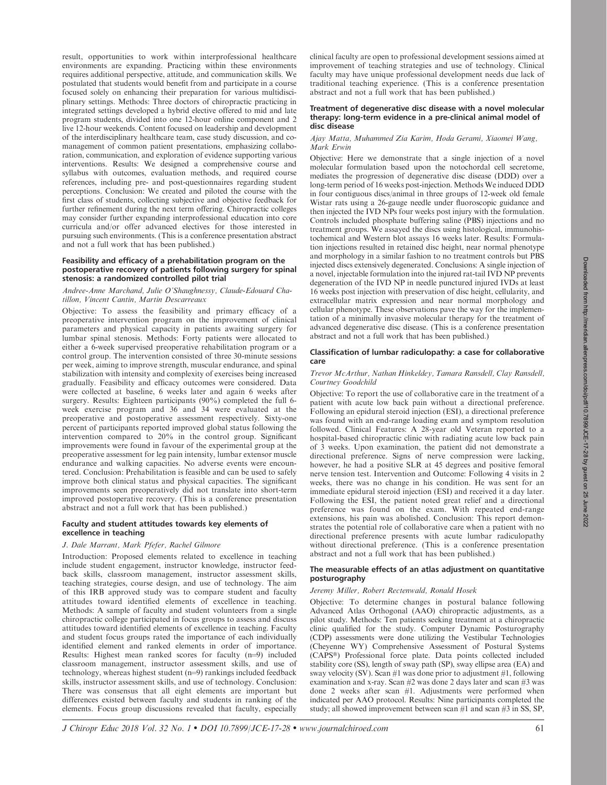result, opportunities to work within interprofessional healthcare environments are expanding. Practicing within these environments requires additional perspective, attitude, and communication skills. We postulated that students would benefit from and participate in a course focused solely on enhancing their preparation for various multidisciplinary settings. Methods: Three doctors of chiropractic practicing in integrated settings developed a hybrid elective offered to mid and late program students, divided into one 12-hour online component and 2 live 12-hour weekends. Content focused on leadership and development of the interdisciplinary healthcare team, case study discussion, and comanagement of common patient presentations, emphasizing collaboration, communication, and exploration of evidence supporting various interventions. Results: We designed a comprehensive course and syllabus with outcomes, evaluation methods, and required course references, including pre- and post-questionnaires regarding student perceptions. Conclusion: We created and piloted the course with the first class of students, collecting subjective and objective feedback for further refinement during the next term offering. Chiropractic colleges may consider further expanding interprofessional education into core curricula and/or offer advanced electives for those interested in pursuing such environments. (This is a conference presentation abstract and not a full work that has been published.)

### Feasibility and efficacy of a prehabilitation program on the postoperative recovery of patients following surgery for spinal stenosis: a randomized controlled pilot trial

### Andree-Anne Marchand, Julie O'Shaughnessy, Claude-Edouard Chatillon, Vincent Cantin, Martin Descarreaux

Objective: To assess the feasibility and primary efficacy of a preoperative intervention program on the improvement of clinical parameters and physical capacity in patients awaiting surgery for lumbar spinal stenosis. Methods: Forty patients were allocated to either a 6-week supervised preoperative rehabilitation program or a control group. The intervention consisted of three 30-minute sessions per week, aiming to improve strength, muscular endurance, and spinal stabilization with intensity and complexity of exercises being increased gradually. Feasibility and efficacy outcomes were considered. Data were collected at baseline, 6 weeks later and again 6 weeks after surgery. Results: Eighteen participants (90%) completed the full 6 week exercise program and 36 and 34 were evaluated at the preoperative and postoperative assessment respectively. Sixty-one percent of participants reported improved global status following the intervention compared to 20% in the control group. Significant improvements were found in favour of the experimental group at the preoperative assessment for leg pain intensity, lumbar extensor muscle endurance and walking capacities. No adverse events were encountered. Conclusion: Prehabilitation is feasible and can be used to safely improve both clinical status and physical capacities. The significant improvements seen preoperatively did not translate into short-term improved postoperative recovery. (This is a conference presentation abstract and not a full work that has been published.)

### Faculty and student attitudes towards key elements of excellence in teaching

### J. Dale Marrant, Mark Pfefer, Rachel Gilmore

Introduction: Proposed elements related to excellence in teaching include student engagement, instructor knowledge, instructor feedback skills, classroom management, instructor assessment skills, teaching strategies, course design, and use of technology. The aim of this IRB approved study was to compare student and faculty attitudes toward identified elements of excellence in teaching. Methods: A sample of faculty and student volunteers from a single chiropractic college participated in focus groups to assess and discuss attitudes toward identified elements of excellence in teaching. Faculty and student focus groups rated the importance of each individually identified element and ranked elements in order of importance. Results: Highest mean ranked scores for faculty  $(n=9)$  included classroom management, instructor assessment skills, and use of technology, whereas highest student  $(n=9)$  rankings included feedback skills, instructor assessment skills, and use of technology. Conclusion: There was consensus that all eight elements are important but differences existed between faculty and students in ranking of the elements. Focus group discussions revealed that faculty, especially clinical faculty are open to professional development sessions aimed at improvement of teaching strategies and use of technology. Clinical faculty may have unique professional development needs due lack of traditional teaching experience. (This is a conference presentation abstract and not a full work that has been published.)

#### Treatment of degenerative disc disease with a novel molecular therapy: long-term evidence in a pre-clinical animal model of disc disease

### Ajay Matta, Muhammed Zia Karim, Hoda Gerami, Xiaomei Wang, Mark Erwin

Objective: Here we demonstrate that a single injection of a novel molecular formulation based upon the notochordal cell secretome, mediates the progression of degenerative disc disease (DDD) over a long-term period of 16 weeks post-injection. Methods We induced DDD in four contiguous discs/animal in three groups of 12-week old female Wistar rats using a 26-gauge needle under fluoroscopic guidance and then injected the IVD NPs four weeks post injury with the formulation. Controls included phosphate buffering saline (PBS) injections and no treatment groups. We assayed the discs using histological, immunohistochemical and Western blot assays 16 weeks later. Results: Formulation injections resulted in retained disc height, near normal phenotype and morphology in a similar fashion to no treatment controls but PBS injected discs extensively degenerated. Conclusions: A single injection of a novel, injectable formulation into the injured rat-tail IVD NP prevents degeneration of the IVD NP in needle punctured injured IVDs at least 16 weeks post injection with preservation of disc height, cellularity, and extracellular matrix expression and near normal morphology and cellular phenotype. These observations pave the way for the implementation of a minimally invasive molecular therapy for the treatment of advanced degenerative disc disease. (This is a conference presentation abstract and not a full work that has been published.)

### Classification of lumbar radiculopathy: a case for collaborative care

#### Trevor McArthur, Nathan Hinkeldey, Tamara Ransdell, Clay Ransdell, Courtney Goodchild

Objective: To report the use of collaborative care in the treatment of a patient with acute low back pain without a directional preference. Following an epidural steroid injection (ESI), a directional preference was found with an end-range loading exam and symptom resolution followed. Clinical Features: A 28-year old Veteran reported to a hospital-based chiropractic clinic with radiating acute low back pain of 3 weeks. Upon examination, the patient did not demonstrate a directional preference. Signs of nerve compression were lacking, however, he had a positive SLR at 45 degrees and positive femoral nerve tension test. Intervention and Outcome: Following 4 visits in 2 weeks, there was no change in his condition. He was sent for an immediate epidural steroid injection (ESI) and received it a day later. Following the ESI, the patient noted great relief and a directional preference was found on the exam. With repeated end-range extensions, his pain was abolished. Conclusion: This report demonstrates the potential role of collaborative care when a patient with no directional preference presents with acute lumbar radiculopathy without directional preference. (This is a conference presentation abstract and not a full work that has been published.)

#### The measurable effects of an atlas adjustment on quantitative posturography

#### Jeremy Miller, Robert Rectenwald, Ronald Hosek

Objective: To determine changes in postural balance following Advanced Atlas Orthogonal (AAO) chiropractic adjustments, as a pilot study. Methods: Ten patients seeking treatment at a chiropractic clinic qualified for the study. Computer Dynamic Posturography (CDP) assessments were done utilizing the Vestibular Technologies (Cheyenne WY) Comprehensive Assessment of Postural Systems (CAPS®) Professional force plate. Data points collected included stability core (SS), length of sway path (SP), sway ellipse area (EA) and sway velocity (SV). Scan  $#1$  was done prior to adjustment  $#1$ , following examination and x-ray. Scan #2 was done 2 days later and scan #3 was done 2 weeks after scan #1. Adjustments were performed when indicated per AAO protocol. Results: Nine participants completed the study; all showed improvement between scan #1 and scan #3 in SS, SP,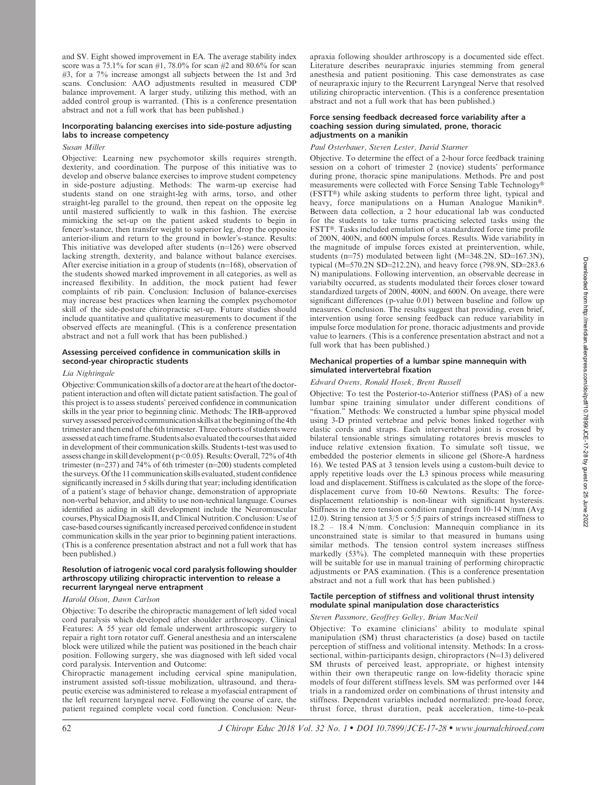and SV. Eight showed improvement in EA. The average stability index score was a  $75.1\%$  for scan #1, 78.0% for scan #2 and 80.6% for scan #3, for a 7% increase amongst all subjects between the 1st and 3rd scans. Conclusion: AAO adjustments resulted in measured CDP balance improvement. A larger study, utilizing this method, with an added control group is warranted. (This is a conference presentation abstract and not a full work that has been published.)

# Incorporating balancing exercises into side-posture adjusting labs to increase competency

Susan Miller

Objective: Learning new psychomotor skills requires strength, dexterity, and coordination. The purpose of this initiative was to develop and observe balance exercises to improve student competency in side-posture adjusting. Methods: The warm-up exercise had students stand on one straight-leg with arms, torso, and other straight-leg parallel to the ground, then repeat on the opposite leg until mastered sufficiently to walk in this fashion. The exercise mimicking the set-up on the patient asked students to begin in fencer's-stance, then transfer weight to superior leg, drop the opposite anterior-ilium and return to the ground in bowler's-stance. Results: This initiative was developed after students  $(n=126)$  were observed lacking strength, dexterity, and balance without balance exercises. After exercise initiation in a group of students  $(n=168)$ , observation of the students showed marked improvement in all categories, as well as increased flexibility. In addition, the mock patient had fewer complaints of rib pain. Conclusion: Inclusion of balance-exercises may increase best practices when learning the complex psychomotor skill of the side-posture chiropractic set-up. Future studies should include quantitative and qualitative measurements to document if the observed effects are meaningful. (This is a conference presentation abstract and not a full work that has been published.)

# Assessing perceived confidence in communication skills in second-year chiropractic students

### Lia Nightingale

Objective: Communication skills of a doctor are at the heart of the doctorpatient interaction and often will dictate patient satisfaction. The goal of this project is to assess students' perceived confidence in communication skills in the year prior to beginning clinic. Methods: The IRB-approved survey assessed perceived communication skills at the beginning of the 4th trimester and then end of the 6th trimester. Three cohorts of students were assessed at each time frame. Students also evaluated the courses that aided in development of their communication skills. Students t-test was used to assess change in skill development ( $p<0.05$ ). Results: Overall, 72% of 4th trimester ( $n=237$ ) and 74% of 6th trimester ( $n=200$ ) students completed the surveys. Of the 11 communication skills evaluated, student confidence significantly increased in 5 skills during that year; including identification of a patient's stage of behavior change, demonstration of appropriate non-verbal behavior, and ability to use non-technical language. Courses identified as aiding in skill development include the Neuromuscular courses, Physical Diagnosis II, and Clinical Nutrition. Conclusion: Use of case-based courses significantly increased perceived confidence in student communication skills in the year prior to beginning patient interactions. (This is a conference presentation abstract and not a full work that has been published.)

### Resolution of iatrogenic vocal cord paralysis following shoulder arthroscopy utilizing chiropractic intervention to release a recurrent laryngeal nerve entrapment

### Harold Olson, Dawn Carlson

Objective: To describe the chiropractic management of left sided vocal cord paralysis which developed after shoulder arthroscopy. Clinical Features: A 55 year old female underwent arthroscopic surgery to repair a right torn rotator cuff. General anesthesia and an interscalene block were utilized while the patient was positioned in the beach chair position. Following surgery, she was diagnosed with left sided vocal cord paralysis. Intervention and Outcome:

Chiropractic management including cervical spine manipulation, instrument assisted soft-tissue mobilization, ultrasound, and therapeutic exercise was administered to release a myofascial entrapment of the left recurrent laryngeal nerve. Following the course of care, the patient regained complete vocal cord function. Conclusion: Neurapraxia following shoulder arthroscopy is a documented side effect. Literature describes neurapraxic injuries stemming from general anesthesia and patient positioning. This case demonstrates as case of neurapraxic injury to the Recurrent Laryngeal Nerve that resolved utilizing chiropractic intervention. (This is a conference presentation abstract and not a full work that has been published.)

### Force sensing feedback decreased force variability after a coaching session during simulated, prone, thoracic adjustments on a manikin

### Paul Osterbauer, Steven Lester, David Starmer

Objective. To determine the effect of a 2-hour force feedback training session on a cohort of trimester 2 (novice) students' performance during prone, thoracic spine manipulations. Methods. Pre and post measurements were collected with Force Sensing Table Technology® (FSTT®) while asking students to perform three light, typical and heavy, force manipulations on a Human Analogue Manikin®. Between data collection, a 2 hour educational lab was conducted for the students to take turns practicing selected tasks using the FSTT®. Tasks included emulation of a standardized force time profile of 200N, 400N, and 600N impulse forces. Results. Wide variability in the magnitude of impulse forces existed at preintervention, while, students (n=75) modulated between light (M=348.2N, SD=167.3N), typical ( $M=570.2N$  SD=212.2N), and heavy force (798.9N, SD=283.6) N) manipulations. Following intervention, an observable decrease in variabilty occurred, as students modulated their forces closer toward standardized targets of 200N, 400N, and 600N. On aveage, there were significant differences (p-value 0.01) between baseline and follow up measures. Conclusion. The results suggest that providing, even brief, intervention using force sensing feedback can reduce variability in impulse force modulation for prone, thoracic adjustments and provide value to learners. (This is a conference presentation abstract and not a full work that has been published.)

#### Mechanical properties of a lumbar spine mannequin with simulated intervertebral fixation

### Edward Owens, Ronald Hosek, Brent Russell

Objective: To test the Posterior-to-Anterior stiffness (PAS) of a new lumbar spine training simulator under different conditions of "fixation." Methods: We constructed a lumbar spine physical model using 3-D printed vertebrae and pelvic bones linked together with elastic cords and straps. Each intervertebral joint is crossed by bilateral tensionable strings simulating rotatores brevis muscles to induce relative extension fixation. To simulate soft tissue, we embedded the posterior elements in silicone gel (Shore-A hardness 16). We tested PAS at 3 tension levels using a custom-built device to apply repetitive loads over the L3 spinous process while measuring load and displacement. Stiffness is calculated as the slope of the forcedisplacement curve from 10-60 Newtons. Results: The forcedisplacement relationship is non-linear with significant hysteresis. Stiffness in the zero tension condition ranged from 10-14 N/mm (Avg 12.0). String tension at 3/5 or 5/5 pairs of strings increased stiffness to 18.2 – 18.4 N/mm. Conclusion: Mannequin compliance in its unconstrained state is similar to that measured in humans using similar methods. The tension control system increases stiffness markedly (53%). The completed mannequin with these properties will be suitable for use in manual training of performing chiropractic adjustments or PAS examination. (This is a conference presentation abstract and not a full work that has been published.)

# Tactile perception of stiffness and volitional thrust intensity modulate spinal manipulation dose characteristics

# Steven Passmore, Geoffrey Gelley, Brian MacNeil

Objective: To examine clinicians' ability to modulate spinal manipulation (SM) thrust characteristics (a dose) based on tactile perception of stiffness and volitional intensity. Methods: In a crosssectional, within-participants design, chiropractors  $(N=13)$  delivered SM thrusts of perceived least, appropriate, or highest intensity within their own therapeutic range on low-fidelity thoracic spine models of four different stiffness levels. SM was performed over 144 trials in a randomized order on combinations of thrust intensity and stiffness. Dependent variables included normalized: pre-load force, thrust force, thrust duration, peak acceleration, time-to-peak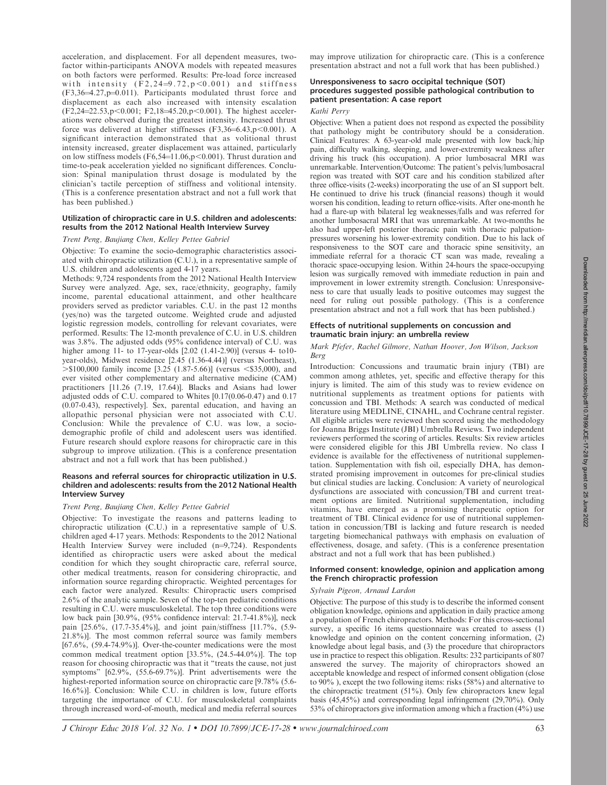acceleration, and displacement. For all dependent measures, twofactor within-participants ANOVA models with repeated measures on both factors were performed. Results: Pre-load force increased with intensity  $(F2, 24=9.72, p<0.001)$  and stiffness  $(F3,36=4.27, p=0.011)$ . Participants modulated thrust force and displacement as each also increased with intensity escalation  $(F2,24=22.53,p<0.001; F2,18=45.20,p<0.001)$ . The highest accelerations were observed during the greatest intensity. Increased thrust force was delivered at higher stiffnesses  $(F3,36=6.43,p<0.001)$ . A significant interaction demonstrated that as volitional thrust intensity increased, greater displacement was attained, particularly on low stiffness models (F6,54=11.06,p<0.001). Thrust duration and time-to-peak acceleration yielded no significant differences. Conclusion: Spinal manipulation thrust dosage is modulated by the clinician's tactile perception of stiffness and volitional intensity. (This is a conference presentation abstract and not a full work that has been published.)

### Utilization of chiropractic care in U.S. children and adolescents: results from the 2012 National Health Interview Survey

#### Trent Peng, Baujiang Chen, Kelley Pettee Gabriel

Objective: To examine the socio-demographic characteristics associated with chiropractic utilization (C.U.), in a representative sample of U.S. children and adolescents aged 4-17 years.

Methods: 9,724 respondents from the 2012 National Health Interview Survey were analyzed. Age, sex, race/ethnicity, geography, family income, parental educational attainment, and other healthcare providers served as predictor variables. C.U. in the past 12 months (yes/no) was the targeted outcome. Weighted crude and adjusted logistic regression models, controlling for relevant covariates, were performed. Results: The 12-month prevalence of C.U. in U.S. children was 3.8%. The adjusted odds (95% confidence interval) of C.U. was higher among 11- to 17-year-olds [2.02 (1.41-2.90)] (versus 4- to10 year-olds), Midwest residence [2.45 (1.36-4.44)] (versus Northeast),  $>$ \$100,000 family income [3.25 (1.87-5.66)] (versus <\$35,000), and ever visited other complementary and alternative medicine (CAM) practitioners [11.26 (7.19, 17.64)]. Blacks and Asians had lower adjusted odds of C.U. compared to Whites [0.17(0.06-0.47) and 0.17 (0.07-0.43), respectively]. Sex, parental education, and having an allopathic personal physician were not associated with C.U. Conclusion: While the prevalence of C.U. was low, a sociodemographic profile of child and adolescent users was identified. Future research should explore reasons for chiropractic care in this subgroup to improve utilization. (This is a conference presentation abstract and not a full work that has been published.)

### Reasons and referral sources for chiropractic utilization in U.S. children and adolescents: results from the 2012 National Health Interview Survey

#### Trent Peng, Baujiang Chen, Kelley Pettee Gabriel

Objective: To investigate the reasons and patterns leading to chiropractic utilization (C.U.) in a representative sample of U.S. children aged 4-17 years. Methods: Respondents to the 2012 National Health Interview Survey were included  $(n=9,724)$ . Respondents identified as chiropractic users were asked about the medical condition for which they sought chiropractic care, referral source, other medical treatments, reason for considering chiropractic, and information source regarding chiropractic. Weighted percentages for each factor were analyzed. Results: Chiropractic users comprised 2.6% of the analytic sample. Seven of the top-ten pediatric conditions resulting in C.U. were musculoskeletal. The top three conditions were low back pain [30.9%, (95% confidence interval: 21.7-41.8%)], neck pain [25.6%, (17.7-35.4%)], and joint pain/stiffness [11.7%, (5.9- 21.8%)]. The most common referral source was family members  $[67.6\%, (59.4-74.9\%)]$ . Over-the-counter medications were the most common medical treatment option [33.5%, (24.5-44.0%)]. The top reason for choosing chiropractic was that it ''treats the cause, not just symptoms"  $[62.9\%, (55.6-69.7\%)]$ . Print advertisements were the highest-reported information source on chiropractic care [9.78% (5.6-16.6%)]. Conclusion: While C.U. in children is low, future efforts targeting the importance of C.U. for musculoskeletal complaints through increased word-of-mouth, medical and media referral sources may improve utilization for chiropractic care. (This is a conference presentation abstract and not a full work that has been published.)

# Unresponsiveness to sacro occipital technique (SOT) procedures suggested possible pathological contribution to patient presentation: A case report

### Kathi Perry

Objective: When a patient does not respond as expected the possibility that pathology might be contributory should be a consideration. Clinical Features: A 63-year-old male presented with low back/hip pain, difficulty walking, sleeping, and lower-extremity weakness after driving his truck (his occupation). A prior lumbosacral MRI was unremarkable. Intervention/Outcome: The patient's pelvis/lumbosacral region was treated with SOT care and his condition stabilized after three office-visits (2-weeks) incorporating the use of an SI support belt. He continued to drive his truck (financial reasons) though it would worsen his condition, leading to return office-visits. After one-month he had a flare-up with bilateral leg weaknesses/falls and was referred for another lumbosacral MRI that was unremarkable. At two-months he also had upper-left posterior thoracic pain with thoracic palpationpressures worsening his lower-extremity condition. Due to his lack of responsiveness to the SOT care and thoracic spine sensitivity, an immediate referral for a thoracic CT scan was made, revealing a thoracic space-occupying lesion. Within 24-hours the space-occupying lesion was surgically removed with immediate reduction in pain and improvement in lower extremity strength. Conclusion: Unresponsiveness to care that usually leads to positive outcomes may suggest the need for ruling out possible pathology. (This is a conference presentation abstract and not a full work that has been published.)

# Effects of nutritional supplements on concussion and traumatic brain injury: an umbrella review

### Mark Pfefer, Rachel Gilmore, Nathan Hoover, Jon Wilson, Jackson Berg

Introduction: Concussions and traumatic brain injury (TBI) are common among athletes, yet, specific and effective therapy for this injury is limited. The aim of this study was to review evidence on nutritional supplements as treatment options for patients with concussion and TBI. Methods: A search was conducted of medical literature using MEDLINE, CINAHL, and Cochrane central register. All eligible articles were reviewed then scored using the methodology for Joanna Briggs Institute (JBI) Umbrella Reviews. Two independent reviewers performed the scoring of articles. Results: Six review articles were considered eligible for this JBI Umbrella review. No class I evidence is available for the effectiveness of nutritional supplementation. Supplementation with fish oil, especially DHA, has demonstrated promising improvement in outcomes for pre-clinical studies but clinical studies are lacking. Conclusion: A variety of neurological dysfunctions are associated with concussion/TBI and current treatment options are limited. Nutritional supplementation, including vitamins, have emerged as a promising therapeutic option for treatment of TBI. Clinical evidence for use of nutritional supplementation in concussion/TBI is lacking and future research is needed targeting biomechanical pathways with emphasis on evaluation of effectiveness, dosage, and safety. (This is a conference presentation abstract and not a full work that has been published.)

### Informed consent: knowledge, opinion and application among the French chiropractic profession

#### Sylvain Pigeon, Arnaud Lardon

Objective: The purpose of this study is to describe the informed consent obligation knowledge, opinions and application in daily practice among a population of French chiropractors. Methods: For this cross-sectional survey, a specific 16 items questionnaire was created to assess (1) knowledge and opinion on the content concerning information, (2) knowledge about legal basis, and (3) the procedure that chiropractors use in practice to respect this obligation. Results: 232 participants of 807 answered the survey. The majority of chiropractors showed an acceptable knowledge and respect of informed consent obligation (close to 90% ), except the two following items: risks (58%) and alternative to the chiropractic treatment (51%). Only few chiropractors knew legal basis (45,45%) and corresponding legal infringement (29,70%). Only 53% of chiropractors give information among which a fraction (4%) use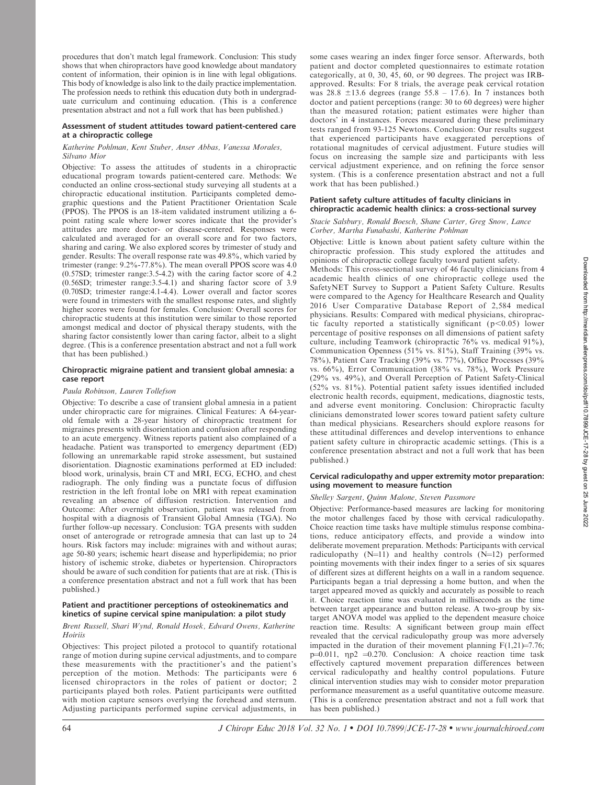procedures that don't match legal framework. Conclusion: This study shows that when chiropractors have good knowledge about mandatory content of information, their opinion is in line with legal obligations. This body of knowledge is also link to the daily practice implementation. The profession needs to rethink this education duty both in undergraduate curriculum and continuing education. (This is a conference presentation abstract and not a full work that has been published.)

### Assessment of student attitudes toward patient-centered care at a chiropractic college

### Katherine Pohlman, Kent Stuber, Anser Abbas, Vanessa Morales, Silvano Mior

Objective: To assess the attitudes of students in a chiropractic educational program towards patient-centered care. Methods: We conducted an online cross-sectional study surveying all students at a chiropractic educational institution. Participants completed demographic questions and the Patient Practitioner Orientation Scale (PPOS). The PPOS is an 18-item validated instrument utilizing a 6 point rating scale where lower scores indicate that the provider's attitudes are more doctor- or disease-centered. Responses were calculated and averaged for an overall score and for two factors, sharing and caring. We also explored scores by trimester of study and gender. Results: The overall response rate was 49.8%, which varied by trimester (range: 9.2%-77.8%). The mean overall PPOS score was 4.0 (0.57SD; trimester range:3.5-4.2) with the caring factor score of 4.2 (0.56SD; trimester range:3.5-4.1) and sharing factor score of 3.9 (0.70SD; trimester range:4.1-4.4). Lower overall and factor scores were found in trimesters with the smallest response rates, and slightly higher scores were found for females. Conclusion: Overall scores for chiropractic students at this institution were similar to those reported amongst medical and doctor of physical therapy students, with the sharing factor consistently lower than caring factor, albeit to a slight degree. (This is a conference presentation abstract and not a full work that has been published.)

# Chiropractic migraine patient and transient global amnesia: a case report

### Paula Robinson, Lauren Tollefson

Objective: To describe a case of transient global amnesia in a patient under chiropractic care for migraines. Clinical Features: A 64-yearold female with a 28-year history of chiropractic treatment for migraines presents with disorientation and confusion after responding to an acute emergency. Witness reports patient also complained of a headache. Patient was transported to emergency department (ED) following an unremarkable rapid stroke assessment, but sustained disorientation. Diagnostic examinations performed at ED included: blood work, urinalysis, brain CT and MRI, ECG, ECHO, and chest radiograph. The only finding was a punctate focus of diffusion restriction in the left frontal lobe on MRI with repeat examination revealing an absence of diffusion restriction. Intervention and Outcome: After overnight observation, patient was released from hospital with a diagnosis of Transient Global Amnesia (TGA). No further follow-up necessary. Conclusion: TGA presents with sudden onset of anterograde or retrograde amnesia that can last up to 24 hours. Risk factors may include: migraines with and without auras; age 50-80 years; ischemic heart disease and hyperlipidemia; no prior history of ischemic stroke, diabetes or hypertension. Chiropractors should be aware of such condition for patients that are at risk. (This is a conference presentation abstract and not a full work that has been published.)

# Patient and practitioner perceptions of osteokinematics and kinetics of supine cervical spine manipulation: a pilot study

# Brent Russell, Shari Wynd, Ronald Hosek, Edward Owens, Katherine Hoiriis

Objectives: This project piloted a protocol to quantify rotational range of motion during supine cervical adjustments, and to compare these measurements with the practitioner's and the patient's perception of the motion. Methods: The participants were 6 licensed chiropractors in the roles of patient or doctor; 2 participants played both roles. Patient participants were outfitted with motion capture sensors overlying the forehead and sternum. Adjusting participants performed supine cervical adjustments, in some cases wearing an index finger force sensor. Afterwards, both patient and doctor completed questionnaires to estimate rotation categorically, at 0, 30, 45, 60, or 90 degrees. The project was IRBapproved. Results: For 8 trials, the average peak cervical rotation was  $28.8 \pm 13.6$  degrees (range  $55.8 - 17.6$ ). In 7 instances both doctor and patient perceptions (range: 30 to 60 degrees) were higher than the measured rotation; patient estimates were higher than doctors' in 4 instances. Forces measured during these preliminary tests ranged from 93-125 Newtons. Conclusion: Our results suggest that experienced participants have exaggerated perceptions of rotational magnitudes of cervical adjustment. Future studies will focus on increasing the sample size and participants with less cervical adjustment experience, and on refining the force sensor system. (This is a conference presentation abstract and not a full work that has been published.)

### Patient safety culture attitudes of faculty clinicians in chiropractic academic health clinics: a cross-sectional survey

# Stacie Salsbury, Ronald Boesch, Shane Carter, Greg Snow, Lance Corber, Martha Funabashi, Katherine Pohlman

Objective: Little is known about patient safety culture within the chiropractic profession. This study explored the attitudes and opinions of chiropractic college faculty toward patient safety.

Methods: This cross-sectional survey of 46 faculty clinicians from 4 academic health clinics of one chiropractic college used the SafetyNET Survey to Support a Patient Safety Culture. Results were compared to the Agency for Healthcare Research and Quality 2016 User Comparative Database Report of 2,584 medical physicians. Results: Compared with medical physicians, chiropractic faculty reported a statistically significant  $(p<0.05)$  lower percentage of positive responses on all dimensions of patient safety culture, including Teamwork (chiropractic 76% vs. medical 91%), Communication Openness (51% vs. 81%), Staff Training (39% vs. 78%), Patient Care Tracking (39% vs. 77%), Office Processes (39% vs. 66%), Error Communication (38% vs. 78%), Work Pressure (29% vs. 49%), and Overall Perception of Patient Safety-Clinical (52% vs. 81%). Potential patient safety issues identified included electronic health records, equipment, medications, diagnostic tests, and adverse event monitoring. Conclusion: Chiropractic faculty clinicians demonstrated lower scores toward patient safety culture than medical physicians. Researchers should explore reasons for these attitudinal differences and develop interventions to enhance patient safety culture in chiropractic academic settings. (This is a conference presentation abstract and not a full work that has been published.)

## Cervical radiculopathy and upper extremity motor preparation: using movement to measure function

# Shelley Sargent, Quinn Malone, Steven Passmore

Objective: Performance-based measures are lacking for monitoring the motor challenges faced by those with cervical radiculopathy. Choice reaction time tasks have multiple stimulus response combinations, reduce anticipatory effects, and provide a window into deliberate movement preparation. Methods: Participants with cervical radiculopathy  $(N=1)$  and healthy controls  $(N=12)$  performed pointing movements with their index finger to a series of six squares of different sizes at different heights on a wall in a random sequence. Participants began a trial depressing a home button, and when the target appeared moved as quickly and accurately as possible to reach it. Choice reaction time was evaluated in milliseconds as the time between target appearance and button release. A two-group by sixtarget ANOVA model was applied to the dependent measure choice reaction time. Results: A significant between group main effect revealed that the cervical radiculopathy group was more adversely impacted in the duration of their movement planning  $F(1,21)=7.76$ ; p=0.011,  $np2 = 0.270$ . Conclusion: A choice reaction time task effectively captured movement preparation differences between cervical radiculopathy and healthy control populations. Future clinical intervention studies may wish to consider motor preparation performance measurement as a useful quantitative outcome measure. (This is a conference presentation abstract and not a full work that has been published.)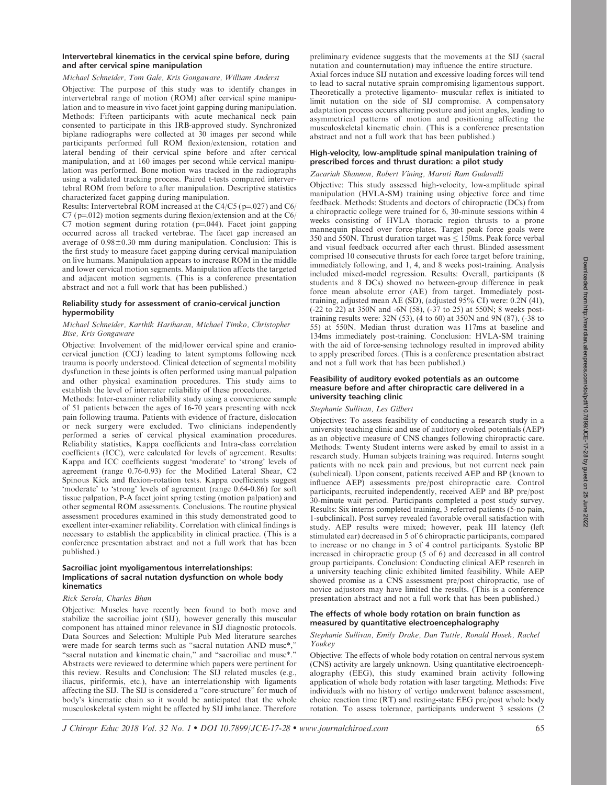# Intervertebral kinematics in the cervical spine before, during and after cervical spine manipulation

# Michael Schneider, Tom Gale, Kris Gongaware, William Anderst

Objective: The purpose of this study was to identify changes in intervertebral range of motion (ROM) after cervical spine manipulation and to measure in vivo facet joint gapping during manipulation. Methods: Fifteen participants with acute mechanical neck pain consented to participate in this IRB-approved study. Synchronized biplane radiographs were collected at 30 images per second while participants performed full ROM flexion/extension, rotation and lateral bending of their cervical spine before and after cervical manipulation, and at 160 images per second while cervical manipulation was performed. Bone motion was tracked in the radiographs using a validated tracking process. Paired t-tests compared intervertebral ROM from before to after manipulation. Descriptive statistics characterized facet gapping during manipulation.

Results: Intervertebral ROM increased at the C4/C5 ( $p=027$ ) and C6/  $C7$  (p=012) motion segments during flexion/extension and at the  $C6/$ C7 motion segment during rotation  $(p=0.044)$ . Facet joint gapping occurred across all tracked vertebrae. The facet gap increased an average of  $0.98\pm0.30$  mm during manipulation. Conclusion: This is the first study to measure facet gapping during cervical manipulation on live humans. Manipulation appears to increase ROM in the middle and lower cervical motion segments. Manipulation affects the targeted and adjacent motion segments. (This is a conference presentation abstract and not a full work that has been published.)

# Reliability study for assessment of cranio-cervical junction hypermobility

# Michael Schneider, Karthik Hariharan, Michael Timko, Christopher Bise, Kris Gongaware

Objective: Involvement of the mid/lower cervical spine and craniocervical junction (CCJ) leading to latent symptoms following neck trauma is poorly understood. Clinical detection of segmental mobility dysfunction in these joints is often performed using manual palpation and other physical examination procedures. This study aims to establish the level of interrater reliability of these procedures.

Methods: Inter-examiner reliability study using a convenience sample of 51 patients between the ages of 16-70 years presenting with neck pain following trauma. Patients with evidence of fracture, dislocation or neck surgery were excluded. Two clinicians independently performed a series of cervical physical examination procedures. Reliability statistics, Kappa coefficients and Intra-class correlation coefficients (ICC), were calculated for levels of agreement. Results: Kappa and ICC coefficients suggest 'moderate' to 'strong' levels of agreement (range 0.76-0.93) for the Modified Lateral Shear, C2 Spinous Kick and flexion-rotation tests. Kappa coefficients suggest 'moderate' to 'strong' levels of agreement (range 0.64-0.86) for soft tissue palpation, P-A facet joint spring testing (motion palpation) and other segmental ROM assessments. Conclusions. The routine physical assessment procedures examined in this study demonstrated good to excellent inter-examiner reliability. Correlation with clinical findings is necessary to establish the applicability in clinical practice. (This is a conference presentation abstract and not a full work that has been published.)

# Sacroiliac joint myoligamentous interrelationships: Implications of sacral nutation dysfunction on whole body kinematics

# Rick Serola, Charles Blum

Objective: Muscles have recently been found to both move and stabilize the sacroiliac joint (SIJ), however generally this muscular component has attained minor relevance in SIJ diagnostic protocols. Data Sources and Selection: Multiple Pub Med literature searches were made for search terms such as "sacral nutation AND musc\*," "sacral nutation and kinematic chain," and "sacroiliac and musc\*." Abstracts were reviewed to determine which papers were pertinent for this review. Results and Conclusion: The SIJ related muscles (e.g., iliacus, piriformis, etc.), have an interrelationship with ligaments affecting the SIJ. The SIJ is considered a ''core-structure'' for much of body's kinematic chain so it would be anticipated that the whole musculoskeletal system might be affected by SIJ imbalance. Therefore preliminary evidence suggests that the movements at the SIJ (sacral nutation and counternutation) may influence the entire structure. Axial forces induce SIJ nutation and excessive loading forces will tend to lead to sacral nutative sprain compromising ligamentous support. Theoretically a protective ligamento- muscular reflex is initiated to limit nutation on the side of SIJ compromise. A compensatory adaptation process occurs altering posture and joint angles, leading to asymmetrical patterns of motion and positioning affecting the musculoskeletal kinematic chain. (This is a conference presentation abstract and not a full work that has been published.)

# High-velocity, low-amplitude spinal manipulation training of prescribed forces and thrust duration: a pilot study

# Zacariah Shannon, Robert Vining, Maruti Ram Gudavalli

Objective: This study assessed high-velocity, low-amplitude spinal manipulation (HVLA-SM) training using objective force and time feedback. Methods: Students and doctors of chiropractic (DCs) from a chiropractic college were trained for 6, 30-minute sessions within 4 weeks consisting of HVLA thoracic region thrusts to a prone mannequin placed over force-plates. Target peak force goals were 350 and 550N. Thrust duration target was  $\leq 150$ ms. Peak force verbal and visual feedback occurred after each thrust. Blinded assessment comprised 10 consecutive thrusts for each force target before training, immediately following, and 1, 4, and 8 weeks post-training. Analysis included mixed-model regression. Results: Overall, participants (8 students and 8 DCs) showed no between-group difference in peak force mean absolute error (AE) from target. Immediately posttraining, adjusted mean AE (SD), (adjusted  $95\%$  CI) were:  $0.2N(41)$ , (-22 to 22) at 350N and -6N (58), (-37 to 25) at 550N; 8 weeks posttraining results were: 32N (53), (4 to 60) at 350N and 9N (87), (-38 to 55) at 550N. Median thrust duration was 117ms at baseline and 134ms immediately post-training. Conclusion: HVLA-SM training with the aid of force-sensing technology resulted in improved ability to apply prescribed forces. (This is a conference presentation abstract and not a full work that has been published.)

# Feasibility of auditory evoked potentials as an outcome measure before and after chiropractic care delivered in a university teaching clinic

# Stephanie Sullivan, Les Gilbert

Objectives: To assess feasibility of conducting a research study in a university teaching clinic and use of auditory evoked potentials (AEP) as an objective measure of CNS changes following chiropractic care. Methods: Twenty Student interns were asked by email to assist in a research study. Human subjects training was required. Interns sought patients with no neck pain and previous, but not current neck pain (subclinical). Upon consent, patients received AEP and BP (known to influence AEP) assessments pre/post chiropractic care. Control participants, recruited independently, received AEP and BP pre/post 30-minute wait period. Participants completed a post study survey. Results: Six interns completed training, 3 referred patients (5-no pain, 1-subclinical). Post survey revealed favorable overall satisfaction with study. AEP results were mixed; however, peak III latency (left stimulated ear) decreased in 5 of 6 chiropractic participants, compared to increase or no change in 3 of 4 control participants. Systolic BP increased in chiropractic group (5 of 6) and decreased in all control group participants. Conclusion: Conducting clinical AEP research in a university teaching clinic exhibited limited feasibility. While AEP showed promise as a CNS assessment pre/post chiropractic, use of novice adjustors may have limited the results. (This is a conference presentation abstract and not a full work that has been published.)

# The effects of whole body rotation on brain function as measured by quantitative electroencephalography

# Stephanie Sullivan, Emily Drake, Dan Tuttle, Ronald Hosek, Rachel Youkey

Objective: The effects of whole body rotation on central nervous system (CNS) activity are largely unknown. Using quantitative electroencephalography (EEG), this study examined brain activity following application of whole body rotation with laser targeting. Methods: Five individuals with no history of vertigo underwent balance assessment, choice reaction time (RT) and resting-state EEG pre/post whole body rotation. To assess tolerance, participants underwent 3 sessions (2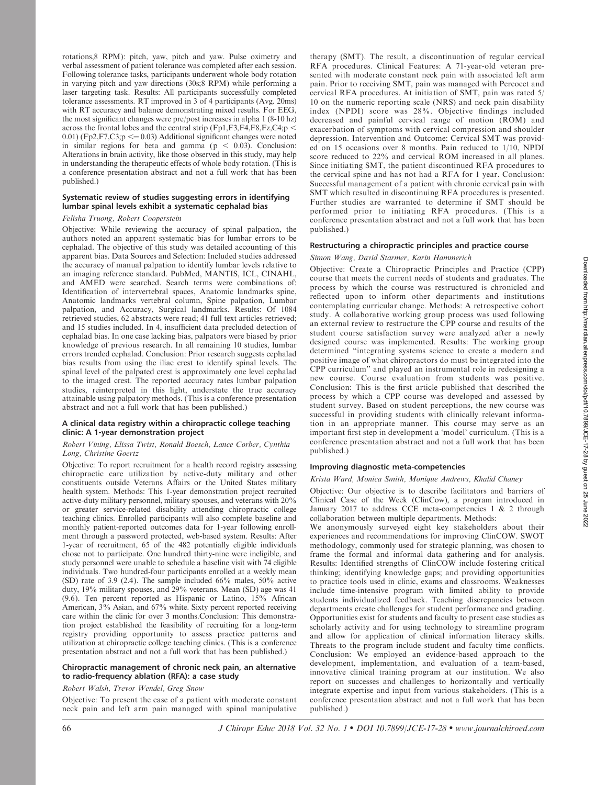rotations,8 RPM): pitch, yaw, pitch and yaw. Pulse oximetry and verbal assessment of patient tolerance was completed after each session. Following tolerance tasks, participants underwent whole body rotation in varying pitch and yaw directions (30s;8 RPM) while performing a laser targeting task. Results: All participants successfully completed tolerance assessments. RT improved in 3 of 4 participants (Avg. 20ms) with RT accuracy and balance demonstrating mixed results. For EEG, the most significant changes were pre/post increases in alpha 1 (8-10 hz) across the frontal lobes and the central strip (Fp1,F3,F4,F8,Fz,C4;p  $\lt$ 0.01) (Fp2, F7, C3;  $p \le 0.03$ ) Additional significant changes were noted in similar regions for beta and gamma ( $p < 0.03$ ). Conclusion: Alterations in brain activity, like those observed in this study, may help in understanding the therapeutic effects of whole body rotation. (This is a conference presentation abstract and not a full work that has been published.)

# Systematic review of studies suggesting errors in identifying lumbar spinal levels exhibit a systematic cephalad bias

# Felisha Truong, Robert Cooperstein

Objective: While reviewing the accuracy of spinal palpation, the authors noted an apparent systematic bias for lumbar errors to be cephalad. The objective of this study was detailed accounting of this apparent bias. Data Sources and Selection: Included studies addressed the accuracy of manual palpation to identify lumbar levels relative to an imaging reference standard. PubMed, MANTIS, ICL, CINAHL, and AMED were searched. Search terms were combinations of: Identification of intervertebral spaces, Anatomic landmarks spine, Anatomic landmarks vertebral column, Spine palpation, Lumbar palpation, and Accuracy, Surgical landmarks. Results: Of 1084 retrieved studies, 62 abstracts were read; 41 full text articles retrieved; and 15 studies included. In 4, insufficient data precluded detection of cephalad bias. In one case lacking bias, palpators were biased by prior knowledge of previous research. In all remaining 10 studies, lumbar errors trended cephalad. Conclusion: Prior research suggests cephalad bias results from using the iliac crest to identify spinal levels. The spinal level of the palpated crest is approximately one level cephalad to the imaged crest. The reported accuracy rates lumbar palpation studies, reinterpreted in this light, understate the true accuracy attainable using palpatory methods. (This is a conference presentation abstract and not a full work that has been published.)

# A clinical data registry within a chiropractic college teaching clinic: A 1-year demonstration project

### Robert Vining, Elissa Twist, Ronald Boesch, Lance Corber, Cynthia Long, Christine Goertz

Objective: To report recruitment for a health record registry assessing chiropractic care utilization by active-duty military and other constituents outside Veterans Affairs or the United States military health system. Methods: This 1-year demonstration project recruited active-duty military personnel, military spouses, and veterans with 20% or greater service-related disability attending chiropractic college teaching clinics. Enrolled participants will also complete baseline and monthly patient-reported outcomes data for 1-year following enrollment through a password protected, web-based system. Results: After 1-year of recruitment, 65 of the 482 potentially eligible individuals chose not to participate. One hundred thirty-nine were ineligible, and study personnel were unable to schedule a baseline visit with 74 eligible individuals. Two hundred-four participants enrolled at a weekly mean (SD) rate of 3.9 (2.4). The sample included 66% males, 50% active duty, 19% military spouses, and 29% veterans. Mean (SD) age was 41 (9.6). Ten percent reported as Hispanic or Latino, 15% African American, 3% Asian, and 67% white. Sixty percent reported receiving care within the clinic for over 3 months.Conclusion: This demonstration project established the feasibility of recruiting for a long-term registry providing opportunity to assess practice patterns and utilization at chiropractic college teaching clinics. (This is a conference presentation abstract and not a full work that has been published.)

# Chiropractic management of chronic neck pain, an alternative to radio-frequency ablation (RFA): a case study

# Robert Walsh, Trevor Wendel, Greg Snow

Objective: To present the case of a patient with moderate constant neck pain and left arm pain managed with spinal manipulative therapy (SMT). The result, a discontinuation of regular cervical RFA procedures. Clinical Features: A 71-year-old veteran presented with moderate constant neck pain with associated left arm pain. Prior to receiving SMT, pain was managed with Percocet and cervical RFA procedures. At initiation of SMT, pain was rated 5/ 10 on the numeric reporting scale (NRS) and neck pain disability index (NPDI) score was 28%. Objective findings included decreased and painful cervical range of motion (ROM) and exacerbation of symptoms with cervical compression and shoulder depression. Intervention and Outcome: Cervical SMT was provided on 15 occasions over 8 months. Pain reduced to 1/10, NPDI score reduced to 22% and cervical ROM increased in all planes. Since initiating SMT, the patient discontinued RFA procedures to the cervical spine and has not had a RFA for 1 year. Conclusion: Successful management of a patient with chronic cervical pain with SMT which resulted in discontinuing RFA procedures is presented. Further studies are warranted to determine if SMT should be performed prior to initiating RFA procedures. (This is a conference presentation abstract and not a full work that has been published.)

# Restructuring a chiropractic principles and practice course

# Simon Wang, David Starmer, Karin Hammerich

Objective: Create a Chiropractic Principles and Practice (CPP) course that meets the current needs of students and graduates. The process by which the course was restructured is chronicled and reflected upon to inform other departments and institutions contemplating curricular change. Methods: A retrospective cohort study. A collaborative working group process was used following an external review to restructure the CPP course and results of the student course satisfaction survey were analyzed after a newly designed course was implemented. Results: The working group determined ''integrating systems science to create a modern and positive image of what chiropractors do must be integrated into the CPP curriculum'' and played an instrumental role in redesigning a new course. Course evaluation from students was positive. Conclusion: This is the first article published that described the process by which a CPP course was developed and assessed by student survey. Based on student perceptions, the new course was successful in providing students with clinically relevant information in an appropriate manner. This course may serve as an important first step in development a 'model' curriculum. (This is a conference presentation abstract and not a full work that has been published.)

#### Improving diagnostic meta-competencies

### Krista Ward, Monica Smith, Monique Andrews, Khalid Chaney

Objective: Our objective is to describe facilitators and barriers of Clinical Case of the Week (ClinCow), a program introduced in January 2017 to address CCE meta-competencies 1 & 2 through collaboration between multiple departments. Methods:

We anonymously surveyed eight key stakeholders about their experiences and recommendations for improving ClinCOW. SWOT methodology, commonly used for strategic planning, was chosen to frame the formal and informal data gathering and for analysis. Results: Identified strengths of ClinCOW include fostering critical thinking; identifying knowledge gaps; and providing opportunities to practice tools used in clinic, exams and classrooms. Weaknesses include time-intensive program with limited ability to provide students individualized feedback. Teaching discrepancies between departments create challenges for student performance and grading. Opportunities exist for students and faculty to present case studies as scholarly activity and for using technology to streamline program and allow for application of clinical information literacy skills. Threats to the program include student and faculty time conflicts. Conclusion: We employed an evidence-based approach to the development, implementation, and evaluation of a team-based, innovative clinical training program at our institution. We also report on successes and challenges to horizontally and vertically integrate expertise and input from various stakeholders. (This is a conference presentation abstract and not a full work that has been published.)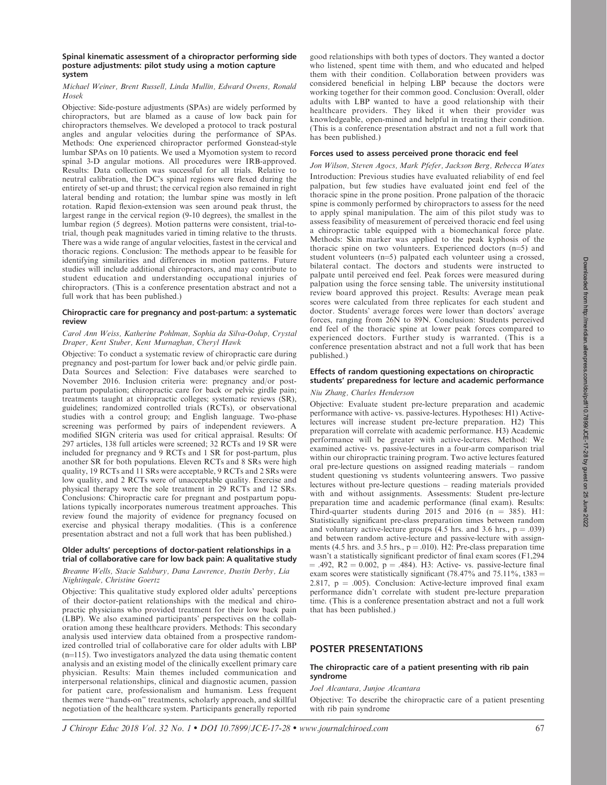### Michael Weiner, Brent Russell, Linda Mullin, Edward Owens, Ronald Hosek

Objective: Side-posture adjustments (SPAs) are widely performed by chiropractors, but are blamed as a cause of low back pain for chiropractors themselves. We developed a protocol to track postural angles and angular velocities during the performance of SPAs. Methods: One experienced chiropractor performed Gonstead-style lumbar SPAs on 10 patients. We used a Myomotion system to record spinal 3-D angular motions. All procedures were IRB-approved. Results: Data collection was successful for all trials. Relative to neutral calibration, the DC's spinal regions were flexed during the entirety of set-up and thrust; the cervical region also remained in right lateral bending and rotation; the lumbar spine was mostly in left rotation. Rapid flexion-extension was seen around peak thrust, the largest range in the cervical region (9-10 degrees), the smallest in the lumbar region (5 degrees). Motion patterns were consistent, trial-totrial, though peak magnitudes varied in timing relative to the thrusts. There was a wide range of angular velocities, fastest in the cervical and thoracic regions. Conclusion: The methods appear to be feasible for identifying similarities and differences in motion patterns. Future studies will include additional chiropractors, and may contribute to student education and understanding occupational injuries of chiropractors. (This is a conference presentation abstract and not a full work that has been published.)

# Chiropractic care for pregnancy and post-partum: a systematic review

# Carol Ann Weiss, Katherine Pohlman, Sophia da Silva-Oolup, Crystal Draper, Kent Stuber, Kent Murnaghan, Cheryl Hawk

Objective: To conduct a systematic review of chiropractic care during pregnancy and post-partum for lower back and/or pelvic girdle pain. Data Sources and Selection: Five databases were searched to November 2016. Inclusion criteria were: pregnancy and/or postpartum population; chiropractic care for back or pelvic girdle pain; treatments taught at chiropractic colleges; systematic reviews (SR), guidelines; randomized controlled trials (RCTs), or observational studies with a control group; and English language. Two-phase screening was performed by pairs of independent reviewers. A modified SIGN criteria was used for critical appraisal. Results: Of 297 articles, 138 full articles were screened; 32 RCTs and 19 SR were included for pregnancy and 9 RCTs and 1 SR for post-partum, plus another SR for both populations. Eleven RCTs and 8 SRs were high quality, 19 RCTs and 11 SRs were acceptable, 9 RCTs and 2 SRs were low quality, and 2 RCTs were of unacceptable quality. Exercise and physical therapy were the sole treatment in 29 RCTs and 12 SRs. Conclusions: Chiropractic care for pregnant and postpartum populations typically incorporates numerous treatment approaches. This review found the majority of evidence for pregnancy focused on exercise and physical therapy modalities. (This is a conference presentation abstract and not a full work that has been published.)

# Older adults' perceptions of doctor-patient relationships in a trial of collaborative care for low back pain: A qualitative study

### Breanne Wells, Stacie Salsbury, Dana Lawrence, Dustin Derby, Lia Nightingale, Christine Goertz

Objective: This qualitative study explored older adults' perceptions of their doctor-patient relationships with the medical and chiropractic physicians who provided treatment for their low back pain (LBP). We also examined participants' perspectives on the collaboration among these healthcare providers. Methods: This secondary analysis used interview data obtained from a prospective randomized controlled trial of collaborative care for older adults with LBP  $(n=115)$ . Two investigators analyzed the data using thematic content analysis and an existing model of the clinically excellent primary care physician. Results: Main themes included communication and interpersonal relationships, clinical and diagnostic acumen, passion for patient care, professionalism and humanism. Less frequent themes were ''hands-on'' treatments, scholarly approach, and skillful negotiation of the healthcare system. Participants generally reported good relationships with both types of doctors. They wanted a doctor who listened, spent time with them, and who educated and helped them with their condition. Collaboration between providers was considered beneficial in helping LBP because the doctors were working together for their common good. Conclusion: Overall, older adults with LBP wanted to have a good relationship with their healthcare providers. They liked it when their provider was knowledgeable, open-mined and helpful in treating their condition. (This is a conference presentation abstract and not a full work that has been published.)

# Forces used to assess perceived prone thoracic end feel

Jon Wilson, Steven Agocs, Mark Pfefer, Jackson Berg, Rebecca Wates Introduction: Previous studies have evaluated reliability of end feel palpation, but few studies have evaluated joint end feel of the thoracic spine in the prone position. Prone palpation of the thoracic spine is commonly performed by chiropractors to assess for the need to apply spinal manipulation. The aim of this pilot study was to assess feasibility of measurement of perceived thoracic end feel using a chiropractic table equipped with a biomechanical force plate. Methods: Skin marker was applied to the peak kyphosis of the thoracic spine on two volunteers. Experienced doctors  $(n=5)$  and student volunteers  $(n=5)$  palpated each volunteer using a crossed, bilateral contact. The doctors and students were instructed to palpate until perceived end feel. Peak forces were measured during palpation using the force sensing table. The university institutional review board approved this project. Results: Average mean peak scores were calculated from three replicates for each student and doctor. Students' average forces were lower than doctors' average forces, ranging from 26N to 89N. Conclusion: Students perceived end feel of the thoracic spine at lower peak forces compared to experienced doctors. Further study is warranted. (This is a conference presentation abstract and not a full work that has been published.)

# Effects of random questioning expectations on chiropractic students' preparedness for lecture and academic performance

# Niu Zhang, Charles Henderson

Objective: Evaluate student pre-lecture preparation and academic performance with active- vs. passive-lectures. Hypotheses: H1) Activelectures will increase student pre-lecture preparation. H2) This preparation will correlate with academic performance. H3) Academic performance will be greater with active-lectures. Method: We examined active- vs. passive-lectures in a four-arm comparison trial within our chiropractic training program. Two active lectures featured oral pre-lecture questions on assigned reading materials – random student questioning vs students volunteering answers. Two passive lectures without pre-lecture questions – reading materials provided with and without assignments. Assessments: Student pre-lecture preparation time and academic performance (final exam). Results: Third-quarter students during 2015 and 2016 ( $n = 385$ ). H1: Statistically significant pre-class preparation times between random and voluntary active-lecture groups  $(4.5 \text{ hrs. and } 3.6 \text{ hrs.}, p = .039)$ and between random active-lecture and passive-lecture with assignments (4.5 hrs. and 3.5 hrs.,  $p = .010$ ). H2: Pre-class preparation time wasn't a statistically significant predictor of final exam scores (F1,294  $= .492, R2 = 0.002, p = .484$ . H3: Active- vs. passive-lecture final exam scores were statistically significant (78.47% and 75.11%, t383 = 2.817,  $p = .005$ ). Conclusion: Active-lecture improved final exam performance didn't correlate with student pre-lecture preparation time. (This is a conference presentation abstract and not a full work that has been published.)

# POSTER PRESENTATIONS

# The chiropractic care of a patient presenting with rib pain syndrome

Joel Alcantara, Junjoe Alcantara

Objective: To describe the chiropractic care of a patient presenting with rib pain syndrome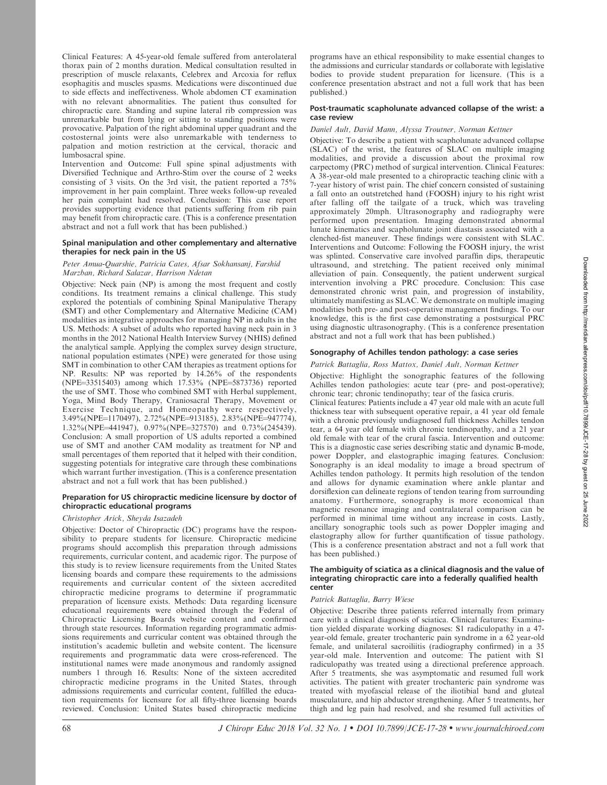Clinical Features: A 45-year-old female suffered from anterolateral thorax pain of 2 months duration. Medical consultation resulted in prescription of muscle relaxants, Celebrex and Arcoxia for reflux esophagitis and muscles spasms. Medications were discontinued due to side effects and ineffectiveness. Whole abdomen CT examination with no relevant abnormalities. The patient thus consulted for chiropractic care. Standing and supine lateral rib compression was unremarkable but from lying or sitting to standing positions were provocative. Palpation of the right abdominal upper quadrant and the costosternal joints were also unremarkable with tenderness to palpation and motion restriction at the cervical, thoracic and lumbosacral spine.

Intervention and Outcome: Full spine spinal adjustments with Diversified Technique and Arthro-Stim over the course of 2 weeks consisting of 3 visits. On the 3rd visit, the patient reported a 75% improvement in her pain complaint. Three weeks follow-up revealed her pain complaint had resolved. Conclusion: This case report provides supporting evidence that patients suffering from rib pain may benefit from chiropractic care. (This is a conference presentation abstract and not a full work that has been published.)

### Spinal manipulation and other complementary and alternative therapies for neck pain in the US

### Peter Amua-Quarshie, Patricia Cates, Afsar Sokhansanj, Farshid Marzban, Richard Salazar, Harrison Ndetan

Objective: Neck pain (NP) is among the most frequent and costly conditions. Its treatment remains a clinical challenge. This study explored the potentials of combining Spinal Manipulative Therapy (SMT) and other Complementary and Alternative Medicine (CAM) modalities as integrative approaches for managing NP in adults in the US. Methods: A subset of adults who reported having neck pain in 3 months in the 2012 National Health Interview Survey (NHIS) defined the analytical sample. Applying the complex survey design structure, national population estimates (NPE) were generated for those using SMT in combination to other CAM therapies as treatment options for NP. Results: NP was reported by 14.26% of the respondents  $(NPE=33515403)$  among which  $17.53\%$  (NPE=5873736) reported the use of SMT. Those who combined SMT with Herbal supplement, Yoga, Mind Body Therapy, Craniosacral Therapy, Movement or Exercise Technique, and Homeopathy were respectively, 3.49%(NPE=1170497), 2.72%(NPE=913185), 2.83%(NPE=947774), 1.32%(NPE=441947), 0.97%(NPE=327570) and 0.73%(245439). Conclusion: A small proportion of US adults reported a combined use of SMT and another CAM modality as treatment for NP and small percentages of them reported that it helped with their condition, suggesting potentials for integrative care through these combinations which warrant further investigation. (This is a conference presentation abstract and not a full work that has been published.)

### Preparation for US chiropractic medicine licensure by doctor of chiropractic educational programs

# Christopher Arick, Sheyda Isazadeh

Objective: Doctor of Chiropractic (DC) programs have the responsibility to prepare students for licensure. Chiropractic medicine programs should accomplish this preparation through admissions requirements, curricular content, and academic rigor. The purpose of this study is to review licensure requirements from the United States licensing boards and compare these requirements to the admissions requirements and curricular content of the sixteen accredited chiropractic medicine programs to determine if programmatic preparation of licensure exists. Methods: Data regarding licensure educational requirements were obtained through the Federal of Chiropractic Licensing Boards website content and confirmed through state resources. Information regarding programmatic admissions requirements and curricular content was obtained through the institution's academic bulletin and website content. The licensure requirements and programmatic data were cross-referenced. The institutional names were made anonymous and randomly assigned numbers 1 through 16. Results: None of the sixteen accredited chiropractic medicine programs in the United States, through admissions requirements and curricular content, fulfilled the education requirements for licensure for all fifty-three licensing boards reviewed. Conclusion: United States based chiropractic medicine

programs have an ethical responsibility to make essential changes to the admissions and curricular standards or collaborate with legislative bodies to provide student preparation for licensure. (This is a conference presentation abstract and not a full work that has been published.)

### Post-traumatic scapholunate advanced collapse of the wrist: a case review

### Daniel Ault, David Mann, Alyssa Troutner, Norman Kettner

Objective: To describe a patient with scapholunate advanced collapse (SLAC) of the wrist, the features of SLAC on multiple imaging modalities, and provide a discussion about the proximal row carpectomy (PRC) method of surgical intervention. Clinical Features: A 38-year-old male presented to a chiropractic teaching clinic with a 7-year history of wrist pain. The chief concern consisted of sustaining a fall onto an outstretched hand (FOOSH) injury to his right wrist after falling off the tailgate of a truck, which was traveling approximately 20mph. Ultrasonography and radiography were performed upon presentation. Imaging demonstrated abnormal lunate kinematics and scapholunate joint diastasis associated with a clenched-fist maneuver. These findings were consistent with SLAC. Interventions and Outcome: Following the FOOSH injury, the wrist was splinted. Conservative care involved paraffin dips, therapeutic ultrasound, and stretching. The patient received only minimal alleviation of pain. Consequently, the patient underwent surgical intervention involving a PRC procedure. Conclusion: This case demonstrated chronic wrist pain, and progression of instability, ultimately manifesting as SLAC. We demonstrate on multiple imaging modalities both pre- and post-operative management findings. To our knowledge, this is the first case demonstrating a postsurgical PRC using diagnostic ultrasonography. (This is a conference presentation abstract and not a full work that has been published.)

### Sonography of Achilles tendon pathology: a case series

# Patrick Battaglia, Ross Mattox, Daniel Ault, Norman Kettner

Objective: Highlight the sonographic features of the following Achilles tendon pathologies: acute tear (pre- and post-operative); chronic tear; chronic tendinopathy; tear of the fasica cruris.

Clinical features: Patients include a 47 year old male with an acute full thickness tear with subsequent operative repair, a 41 year old female with a chronic previously undiagnosed full thickness Achilles tendon tear, a 64 year old female with chronic tendinopathy, and a 21 year old female with tear of the crural fascia. Intervention and outcome: This is a diagnostic case series describing static and dynamic B-mode, power Doppler, and elastographic imaging features. Conclusion: Sonography is an ideal modality to image a broad spectrum of Achilles tendon pathology. It permits high resolution of the tendon and allows for dynamic examination where ankle plantar and dorsiflexion can delineate regions of tendon tearing from surrounding anatomy. Furthermore, sonography is more economical than magnetic resonance imaging and contralateral comparison can be performed in minimal time without any increase in costs. Lastly, ancillary sonographic tools such as power Doppler imaging and elastography allow for further quantification of tissue pathology. (This is a conference presentation abstract and not a full work that has been published.)

#### The ambiguity of sciatica as a clinical diagnosis and the value of integrating chiropractic care into a federally qualified health center

### Patrick Battaglia, Barry Wiese

Objective: Describe three patients referred internally from primary care with a clinical diagnosis of sciatica. Clinical features: Examination yielded disparate working diagnoses: S1 radiculopathy in a 47 year-old female, greater trochanteric pain syndrome in a 62 year-old female, and unilateral sacroiliitis (radiography confirmed) in a 35 year-old male. Intervention and outcome: The patient with S1 radiculopathy was treated using a directional preference approach. After 5 treatments, she was asymptomatic and resumed full work activities. The patient with greater trochanteric pain syndrome was treated with myofascial release of the iliotibial band and gluteal musculature, and hip abductor strengthening. After 5 treatments, her thigh and leg pain had resolved, and she resumed full activities of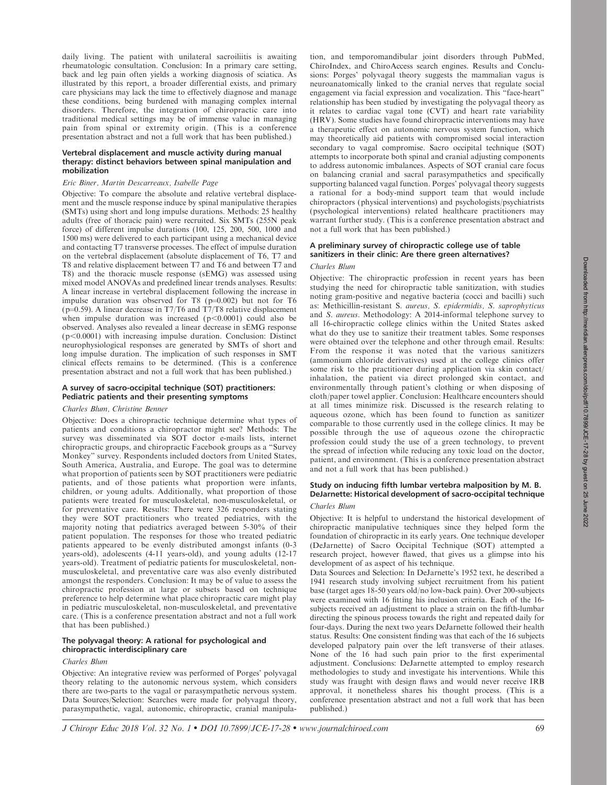daily living. The patient with unilateral sacroiliitis is awaiting rheumatologic consultation. Conclusion: In a primary care setting, back and leg pain often yields a working diagnosis of sciatica. As illustrated by this report, a broader differential exists, and primary care physicians may lack the time to effectively diagnose and manage these conditions, being burdened with managing complex internal disorders. Therefore, the integration of chiropractic care into traditional medical settings may be of immense value in managing pain from spinal or extremity origin. (This is a conference presentation abstract and not a full work that has been published.)

# Vertebral displacement and muscle activity during manual therapy: distinct behaviors between spinal manipulation and mobilization

### Eric Biner, Martin Descarreaux, Isabelle Page

Objective: To compare the absolute and relative vertebral displacement and the muscle response induce by spinal manipulative therapies (SMTs) using short and long impulse durations. Methods: 25 healthy adults (free of thoracic pain) were recruited. Six SMTs (255N peak force) of different impulse durations (100, 125, 200, 500, 1000 and 1500 ms) were delivered to each participant using a mechanical device and contacting T7 transverse processes. The effect of impulse duration on the vertebral displacement (absolute displacement of T6, T7 and T8 and relative displacement between T7 and T6 and between T7 and T8) and the thoracic muscle response (sEMG) was assessed using mixed model ANOVAs and predefined linear trends analyses. Results: A linear increase in vertebral displacement following the increase in impulse duration was observed for T8 ( $p=0.002$ ) but not for T6 ( $p=0.59$ ). A linear decrease in T7/T6 and T7/T8 relative displacement when impulse duration was increased  $(p<0.0001)$  could also be observed. Analyses also revealed a linear decrease in sEMG response  $(p<0.0001)$  with increasing impulse duration. Conclusion: Distinct neurophysiological responses are generated by SMTs of short and long impulse duration. The implication of such responses in SMT clinical effects remains to be determined. (This is a conference presentation abstract and not a full work that has been published.)

### A survey of sacro-occipital technique (SOT) practitioners: Pediatric patients and their presenting symptoms

### Charles Blum, Christine Benner

Objective: Does a chiropractic technique determine what types of patients and conditions a chiropractor might see? Methods: The survey was disseminated via SOT doctor e-mails lists, internet chiropractic groups, and chiropractic Facebook groups as a ''Survey Monkey'' survey. Respondents included doctors from United States, South America, Australia, and Europe. The goal was to determine what proportion of patients seen by SOT practitioners were pediatric patients, and of those patients what proportion were infants, children, or young adults. Additionally, what proportion of those patients were treated for musculoskeletal, non-musculoskeletal, or for preventative care. Results: There were 326 responders stating they were SOT practitioners who treated pediatrics, with the majority noting that pediatrics averaged between 5-30% of their patient population. The responses for those who treated pediatric patients appeared to be evenly distributed amongst infants (0-3 years-old), adolescents (4-11 years-old), and young adults (12-17 years-old). Treatment of pediatric patients for musculoskeletal, nonmusculoskeletal, and preventative care was also evenly distributed amongst the responders. Conclusion: It may be of value to assess the chiropractic profession at large or subsets based on technique preference to help determine what place chiropractic care might play in pediatric musculoskeletal, non-musculoskeletal, and preventative care. (This is a conference presentation abstract and not a full work that has been published.)

### The polyvagal theory: A rational for psychological and chiropractic interdisciplinary care

#### Charles Blum

Objective: An integrative review was performed of Porges' polyvagal theory relating to the autonomic nervous system, which considers there are two-parts to the vagal or parasympathetic nervous system. Data Sources/Selection: Searches were made for polyvagal theory, parasympathetic, vagal, autonomic, chiropractic, cranial manipulation, and temporomandibular joint disorders through PubMed, ChiroIndex, and ChiroAccess search engines. Results and Conclusions: Porges' polyvagal theory suggests the mammalian vagus is neuroanatomically linked to the cranial nerves that regulate social engagement via facial expression and vocalization. This ''face-heart'' relationship has been studied by investigating the polyvagal theory as it relates to cardiac vagal tone (CVT) and heart rate variability (HRV). Some studies have found chiropractic interventions may have a therapeutic effect on autonomic nervous system function, which may theoretically aid patients with compromised social interaction secondary to vagal compromise. Sacro occipital technique (SOT) attempts to incorporate both spinal and cranial adjusting components to address autonomic imbalances. Aspects of SOT cranial care focus on balancing cranial and sacral parasympathetics and specifically supporting balanced vagal function. Porges' polyvagal theory suggests a rational for a body-mind support team that would include chiropractors (physical interventions) and psychologists/psychiatrists (psychological interventions) related healthcare practitioners may warrant further study. (This is a conference presentation abstract and not a full work that has been published.)

# A preliminary survey of chiropractic college use of table sanitizers in their clinic: Are there green alternatives?

# Charles Blum

Objective: The chiropractic profession in recent years has been studying the need for chiropractic table sanitization, with studies noting gram-positive and negative bacteria (cocci and bacilli) such as: Methicillin-resistant S. aureus, S. epidermidis, S. saprophyticus and S. aureus. Methodology: A 2014-informal telephone survey to all 16-chiropractic college clinics within the United States asked what do they use to sanitize their treatment tables. Some responses were obtained over the telephone and other through email. Results: From the response it was noted that the various sanitizers (ammonium chloride derivatives) used at the college clinics offer some risk to the practitioner during application via skin contact/ inhalation, the patient via direct prolonged skin contact, and environmentally through patient's clothing or when disposing of cloth/paper towel applier. Conclusion: Healthcare encounters should at all times minimize risk. Discussed is the research relating to aqueous ozone, which has been found to function as sanitizer comparable to those currently used in the college clinics. It may be possible through the use of aqueous ozone the chiropractic profession could study the use of a green technology, to prevent the spread of infection while reducing any toxic load on the doctor, patient, and environment. (This is a conference presentation abstract and not a full work that has been published.)

# Study on inducing fifth lumbar vertebra malposition by M. B. DeJarnette: Historical development of sacro-occipital technique

# Charles Blum

Objective: It is helpful to understand the historical development of chiropractic manipulative techniques since they helped form the foundation of chiropractic in its early years. One technique developer (DeJarnette) of Sacro Occipital Technique (SOT) attempted a research project, however flawed, that gives us a glimpse into his development of as aspect of his technique.

Data Sources and Selection: In DeJarnette's 1952 text, he described a 1941 research study involving subject recruitment from his patient base (target ages 18-50 years old/no low-back pain). Over 200-subjects were examined with 16 fitting his inclusion criteria. Each of the 16 subjects received an adjustment to place a strain on the fifth-lumbar directing the spinous process towards the right and repeated daily for four-days. During the next two years DeJarnette followed their health status. Results: One consistent finding was that each of the 16 subjects developed palpatory pain over the left transverse of their atlases. None of the 16 had such pain prior to the first experimental adjustment. Conclusions: DeJarnette attempted to employ research methodologies to study and investigate his interventions. While this study was fraught with design flaws and would never receive IRB approval, it nonetheless shares his thought process. (This is a conference presentation abstract and not a full work that has been published.)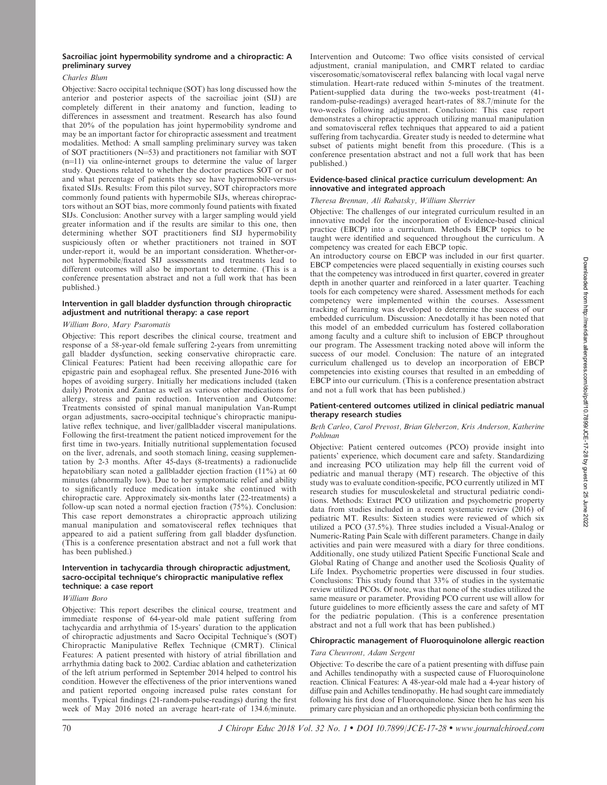# Charles Blum

Objective: Sacro occipital technique (SOT) has long discussed how the anterior and posterior aspects of the sacroiliac joint (SIJ) are completely different in their anatomy and function, leading to differences in assessment and treatment. Research has also found that 20% of the population has joint hypermobility syndrome and may be an important factor for chiropractic assessment and treatment modalities. Method: A small sampling preliminary survey was taken of SOT practitioners  $(N=53)$  and practitioners not familiar with SOT  $(n=11)$  via online-internet groups to determine the value of larger study. Questions related to whether the doctor practices SOT or not and what percentage of patients they see have hypermobile-versusfixated SIJs. Results: From this pilot survey, SOT chiropractors more commonly found patients with hypermobile SIJs, whereas chiropractors without an SOT bias, more commonly found patients with fixated SIJs. Conclusion: Another survey with a larger sampling would yield greater information and if the results are similar to this one, then determining whether SOT practitioners find SIJ hypermobility suspiciously often or whether practitioners not trained in SOT under-report it, would be an important consideration. Whether-ornot hypermobile/fixated SIJ assessments and treatments lead to different outcomes will also be important to determine. (This is a conference presentation abstract and not a full work that has been published.)

# Intervention in gall bladder dysfunction through chiropractic adjustment and nutritional therapy: a case report

### William Boro, Mary Psaromatis

Objective: This report describes the clinical course, treatment and response of a 58-year-old female suffering 2-years from unremitting gall bladder dysfunction, seeking conservative chiropractic care. Clinical Features: Patient had been receiving allopathic care for epigastric pain and esophageal reflux. She presented June-2016 with hopes of avoiding surgery. Initially her medications included (taken daily) Protonix and Zantac as well as various other medications for allergy, stress and pain reduction. Intervention and Outcome: Treatments consisted of spinal manual manipulation Van-Rumpt organ adjustments, sacro-occipital technique's chiropractic manipulative reflex technique, and liver/gallbladder visceral manipulations. Following the first-treatment the patient noticed improvement for the first time in two-years. Initially nutritional supplementation focused on the liver, adrenals, and sooth stomach lining, ceasing supplementation by 2-3 months. After 45-days (8-treatments) a radionuclide hepatobiliary scan noted a gallbladder ejection fraction (11%) at 60 minutes (abnormally low). Due to her symptomatic relief and ability to significantly reduce medication intake she continued with chiropractic care. Approximately six-months later (22-treatments) a follow-up scan noted a normal ejection fraction (75%). Conclusion: This case report demonstrates a chiropractic approach utilizing manual manipulation and somatovisceral reflex techniques that appeared to aid a patient suffering from gall bladder dysfunction. (This is a conference presentation abstract and not a full work that has been published.)

### Intervention in tachycardia through chiropractic adjustment, sacro-occipital technique's chiropractic manipulative reflex technique: a case report

### William Boro

Objective: This report describes the clinical course, treatment and immediate response of 64-year-old male patient suffering from tachycardia and arrhythmia of 15-years' duration to the application of chiropractic adjustments and Sacro Occipital Technique's (SOT) Chiropractic Manipulative Reflex Technique (CMRT). Clinical Features: A patient presented with history of atrial fibrillation and arrhythmia dating back to 2002. Cardiac ablation and catheterization of the left atrium performed in September 2014 helped to control his condition. However the effectiveness of the prior interventions waned and patient reported ongoing increased pulse rates constant for months. Typical findings (21-random-pulse-readings) during the first week of May 2016 noted an average heart-rate of 134.6/minute.

Intervention and Outcome: Two office visits consisted of cervical adjustment, cranial manipulation, and CMRT related to cardiac viscerosomatic/somatovisceral reflex balancing with local vagal nerve stimulation. Heart-rate reduced within 5-minutes of the treatment. Patient-supplied data during the two-weeks post-treatment (41 random-pulse-readings) averaged heart-rates of 88.7/minute for the two-weeks following adjustment. Conclusion: This case report demonstrates a chiropractic approach utilizing manual manipulation and somatovisceral reflex techniques that appeared to aid a patient suffering from tachycardia. Greater study is needed to determine what subset of patients might benefit from this procedure. (This is a conference presentation abstract and not a full work that has been published.)

### Evidence-based clinical practice curriculum development: An innovative and integrated approach

# Theresa Brennan, Ali Rabatsky, William Sherrier

Objective: The challenges of our integrated curriculum resulted in an innovative model for the incorporation of Evidence-based clinical practice (EBCP) into a curriculum. Methods EBCP topics to be taught were identified and sequenced throughout the curriculum. A competency was created for each EBCP topic.

An introductory course on EBCP was included in our first quarter. EBCP competencies were placed sequentially in existing courses such that the competency was introduced in first quarter, covered in greater depth in another quarter and reinforced in a later quarter. Teaching tools for each competency were shared. Assessment methods for each competency were implemented within the courses. Assessment tracking of learning was developed to determine the success of our embedded curriculum. Discussion: Anecdotally it has been noted that this model of an embedded curriculum has fostered collaboration among faculty and a culture shift to inclusion of EBCP throughout our program. The Assessment tracking noted above will inform the success of our model. Conclusion: The nature of an integrated curriculum challenged us to develop an incorporation of EBCP competencies into existing courses that resulted in an embedding of EBCP into our curriculum. (This is a conference presentation abstract and not a full work that has been published.)

### Patient-centered outcomes utilized in clinical pediatric manual therapy research studies

#### Beth Carleo, Carol Prevost, Brian Gleberzon, Kris Anderson, Katherine Pohlman

Objective: Patient centered outcomes (PCO) provide insight into patients' experience, which document care and safety. Standardizing and increasing PCO utilization may help fill the current void of pediatric and manual therapy (MT) research. The objective of this study was to evaluate condition-specific, PCO currently utilized in MT research studies for musculoskeletal and structural pediatric conditions. Methods: Extract PCO utilization and psychometric property data from studies included in a recent systematic review (2016) of pediatric MT. Results: Sixteen studies were reviewed of which six utilized a PCO (37.5%). Three studies included a Visual-Analog or Numeric-Rating Pain Scale with different parameters. Change in daily activities and pain were measured with a diary for three conditions. Additionally, one study utilized Patient Specific Functional Scale and Global Rating of Change and another used the Scoliosis Quality of Life Index. Psychometric properties were discussed in four studies. Conclusions: This study found that 33% of studies in the systematic review utilized PCOs. Of note, was that none of the studies utilized the same measure or parameter. Providing PCO current use will allow for future guidelines to more efficiently assess the care and safety of MT for the pediatric population. (This is a conference presentation abstract and not a full work that has been published.)

# Chiropractic management of Fluoroquinolone allergic reaction

# Tara Cheuvront, Adam Sergent

Objective: To describe the care of a patient presenting with diffuse pain and Achilles tendinopathy with a suspected cause of Fluoroquinolone reaction. Clinical Features: A 48-year-old male had a 4-year history of diffuse pain and Achilles tendinopathy. He had sought care immediately following his first dose of Fluoroquinolone. Since then he has seen his primary care physician and an orthopedic physician both confirming the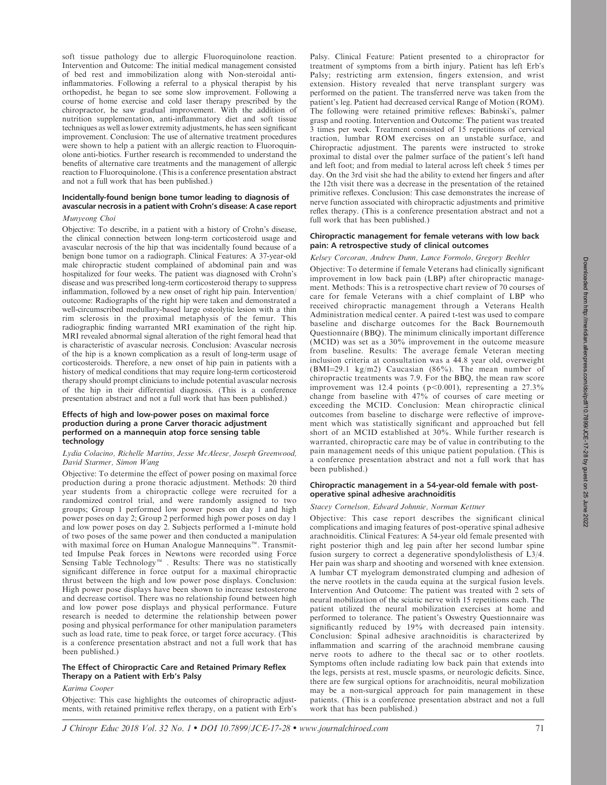soft tissue pathology due to allergic Fluoroquinolone reaction. Intervention and Outcome: The initial medical management consisted of bed rest and immobilization along with Non-steroidal antiinflammatories. Following a referral to a physical therapist by his orthopedist, he began to see some slow improvement. Following a course of home exercise and cold laser therapy prescribed by the chiropractor, he saw gradual improvement. With the addition of nutrition supplementation, anti-inflammatory diet and soft tissue techniques as well as lower extremity adjustments, he has seen significant improvement. Conclusion: The use of alternative treatment procedures were shown to help a patient with an allergic reaction to Fluoroquinolone anti-biotics. Further research is recommended to understand the benefits of alternative care treatments and the management of allergic reaction to Fluoroquinolone. (This is a conference presentation abstract and not a full work that has been published.)

# Incidentally-found benign bone tumor leading to diagnosis of avascular necrosis in a patient with Crohn's disease: A case report

### Munyeong Choi

Objective: To describe, in a patient with a history of Crohn's disease, the clinical connection between long-term corticosteroid usage and avascular necrosis of the hip that was incidentally found because of a benign bone tumor on a radiograph. Clinical Features: A 37-year-old male chiropractic student complained of abdominal pain and was hospitalized for four weeks. The patient was diagnosed with Crohn's disease and was prescribed long-term corticosteroid therapy to suppress inflammation, followed by a new onset of right hip pain. Intervention/ outcome: Radiographs of the right hip were taken and demonstrated a well-circumscribed medullary-based large osteolytic lesion with a thin rim sclerosis in the proximal metaphysis of the femur. This radiographic finding warranted MRI examination of the right hip. MRI revealed abnormal signal alteration of the right femoral head that is characteristic of avascular necrosis. Conclusion: Avascular necrosis of the hip is a known complication as a result of long-term usage of corticosteroids. Therefore, a new onset of hip pain in patients with a history of medical conditions that may require long-term corticosteroid therapy should prompt clinicians to include potential avascular necrosis of the hip in their differential diagnosis. (This is a conference presentation abstract and not a full work that has been published.)

### Effects of high and low-power poses on maximal force production during a prone Carver thoracic adjustment performed on a mannequin atop force sensing table technology

# Lydia Colacino, Richelle Martins, Jesse McAleese, Joseph Greenwood, David Starmer, Simon Wang

Objective: To determine the effect of power posing on maximal force production during a prone thoracic adjustment. Methods: 20 third year students from a chiropractic college were recruited for a randomized control trial, and were randomly assigned to two groups; Group 1 performed low power poses on day 1 and high power poses on day 2; Group 2 performed high power poses on day 1 and low power poses on day 2. Subjects performed a 1-minute hold of two poses of the same power and then conducted a manipulation with maximal force on Human Analogue Mannequins<sup>™</sup>. Transmitted Impulse Peak forces in Newtons were recorded using Force Sensing Table Technology<sup> $m$ </sup>. Results: There was no statistically significant difference in force output for a maximal chiropractic thrust between the high and low power pose displays. Conclusion: High power pose displays have been shown to increase testosterone and decrease cortisol. There was no relationship found between high and low power pose displays and physical performance. Future research is needed to determine the relationship between power posing and physical performance for other manipulation parameters such as load rate, time to peak force, or target force accuracy. (This is a conference presentation abstract and not a full work that has been published.)

# The Effect of Chiropractic Care and Retained Primary Reflex Therapy on a Patient with Erb's Palsy

#### Karima Cooper

Objective: This case highlights the outcomes of chiropractic adjustments, with retained primitive reflex therapy, on a patient with Erb's Palsy. Clinical Feature: Patient presented to a chiropractor for treatment of symptoms from a birth injury. Patient has left Erb's Palsy; restricting arm extension, fingers extension, and wrist extension. History revealed that nerve transplant surgery was performed on the patient. The transferred nerve was taken from the patient's leg. Patient had decreased cervical Range of Motion (ROM). The following were retained primitive reflexes: Babinski's, palmer grasp and rooting. Intervention and Outcome: The patient was treated 3 times per week. Treatment consisted of 15 repetitions of cervical traction, lumbar ROM exercises on an unstable surface, and Chiropractic adjustment. The parents were instructed to stroke proximal to distal over the palmer surface of the patient's left hand and left foot; and from medial to lateral across left cheek 5 times per day. On the 3rd visit she had the ability to extend her fingers and after the 12th visit there was a decrease in the presentation of the retained primitive reflexes. Conclusion: This case demonstrates the increase of nerve function associated with chiropractic adjustments and primitive reflex therapy. (This is a conference presentation abstract and not a full work that has been published.)

#### Chiropractic management for female veterans with low back pain: A retrospective study of clinical outcomes

Kelsey Corcoran, Andrew Dunn, Lance Formolo, Gregory Beehler Objective: To determine if female Veterans had clinically significant improvement in low back pain (LBP) after chiropractic management. Methods: This is a retrospective chart review of 70 courses of care for female Veterans with a chief complaint of LBP who received chiropractic management through a Veterans Health Administration medical center. A paired t-test was used to compare baseline and discharge outcomes for the Back Bournemouth Questionnaire (BBQ). The minimum clinically important difference (MCID) was set as a 30% improvement in the outcome measure from baseline. Results: The average female Veteran meeting inclusion criteria at consultation was a 44.8 year old, overweight  $(BMI=29.1 \text{ kg/m2})$  Caucasian  $(86\%)$ . The mean number of chiropractic treatments was 7.9. For the BBQ, the mean raw score improvement was 12.4 points ( $p<0.001$ ), representing a 27.3% change from baseline with 47% of courses of care meeting or exceeding the MCID. Conclusion: Mean chiropractic clinical outcomes from baseline to discharge were reflective of improvement which was statistically significant and approached but fell short of an MCID established at 30%. While further research is warranted, chiropractic care may be of value in contributing to the pain management needs of this unique patient population. (This is a conference presentation abstract and not a full work that has been published.)

### Chiropractic management in a 54-year-old female with postoperative spinal adhesive arachnoiditis

#### Stacey Cornelson, Edward Johnnie, Norman Kettner

Objective: This case report describes the significant clinical complications and imaging features of post-operative spinal adhesive arachnoiditis. Clinical Features: A 54-year old female presented with right posterior thigh and leg pain after her second lumbar spine fusion surgery to correct a degenerative spondylolisthesis of L3/4. Her pain was sharp and shooting and worsened with knee extension. A lumbar CT myelogram demonstrated clumping and adhesion of the nerve rootlets in the cauda equina at the surgical fusion levels. Intervention And Outcome: The patient was treated with 2 sets of neural mobilization of the sciatic nerve with 15 repetitions each. The patient utilized the neural mobilization exercises at home and performed to tolerance. The patient's Oswestry Questionnaire was significantly reduced by 19% with decreased pain intensity. Conclusion: Spinal adhesive arachnoiditis is characterized by inflammation and scarring of the arachnoid membrane causing nerve roots to adhere to the thecal sac or to other rootlets. Symptoms often include radiating low back pain that extends into the legs, persists at rest, muscle spasms, or neurologic deficits. Since, there are few surgical options for arachnoiditis, neural mobilization may be a non-surgical approach for pain management in these patients. (This is a conference presentation abstract and not a full work that has been published.)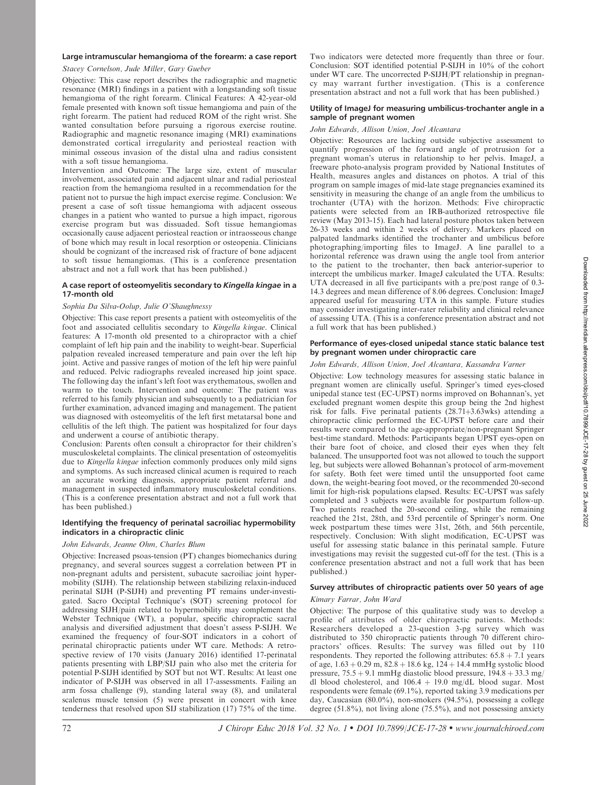# Large intramuscular hemangioma of the forearm: a case report

### Stacey Cornelson, Jude Miller, Gary Gueber

Objective: This case report describes the radiographic and magnetic resonance (MRI) findings in a patient with a longstanding soft tissue hemangioma of the right forearm. Clinical Features: A 42-year-old female presented with known soft tissue hemangioma and pain of the right forearm. The patient had reduced ROM of the right wrist. She wanted consultation before pursuing a rigorous exercise routine. Radiographic and magnetic resonance imaging (MRI) examinations demonstrated cortical irregularity and periosteal reaction with minimal osseous invasion of the distal ulna and radius consistent with a soft tissue hemangioma.

Intervention and Outcome: The large size, extent of muscular involvement, associated pain and adjacent ulnar and radial periosteal reaction from the hemangioma resulted in a recommendation for the patient not to pursue the high impact exercise regime. Conclusion: We present a case of soft tissue hemangioma with adjacent osseous changes in a patient who wanted to pursue a high impact, rigorous exercise program but was dissuaded. Soft tissue hemangiomas occasionally cause adjacent periosteal reaction or intraosseous change of bone which may result in local resorption or osteopenia. Clinicians should be cognizant of the increased risk of fracture of bone adjacent to soft tissue hemangiomas. (This is a conference presentation abstract and not a full work that has been published.)

### A case report of osteomyelitis secondary to Kingella kingae in a 17-month old

# Sophia Da Silva-Oolup, Julie O'Shaughnessy

Objective: This case report presents a patient with osteomyelitis of the foot and associated cellulitis secondary to Kingella kingae. Clinical features: A 17-month old presented to a chiropractor with a chief complaint of left hip pain and the inability to weight-bear. Superficial palpation revealed increased temperature and pain over the left hip joint. Active and passive ranges of motion of the left hip were painful and reduced. Pelvic radiographs revealed increased hip joint space. The following day the infant's left foot was erythematous, swollen and warm to the touch. Intervention and outcome: The patient was referred to his family physician and subsequently to a pediatrician for further examination, advanced imaging and management. The patient was diagnosed with osteomyelitis of the left first metatarsal bone and cellulitis of the left thigh. The patient was hospitalized for four days and underwent a course of antibiotic therapy.

Conclusion: Parents often consult a chiropractor for their children's musculoskeletal complaints. The clinical presentation of osteomyelitis due to Kingella kingae infection commonly produces only mild signs and symptoms. As such increased clinical acumen is required to reach an accurate working diagnosis, appropriate patient referral and management in suspected inflammatory musculoskeletal conditions. (This is a conference presentation abstract and not a full work that has been published.)

# Identifying the frequency of perinatal sacroiliac hypermobility indicators in a chiropractic clinic

# John Edwards, Jeanne Ohm, Charles Blum

Objective: Increased psoas-tension (PT) changes biomechanics during pregnancy, and several sources suggest a correlation between PT in non-pregnant adults and persistent, subacute sacroiliac joint hypermobility (SIJH). The relationship between stabilizing relaxin-induced perinatal SIJH (P-SIJH) and preventing PT remains under-investigated. Sacro Occiptal Technique's (SOT) screening protocol for addressing SIJH/pain related to hypermobility may complement the Webster Technique (WT), a popular, specific chiropractic sacral analysis and diversified adjustment that doesn't assess P-SIJH. We examined the frequency of four-SOT indicators in a cohort of perinatal chiropractic patients under WT care. Methods: A retrospective review of 170 visits (January 2016) identified 17-perinatal patients presenting with LBP/SIJ pain who also met the criteria for potential P-SIJH identified by SOT but not WT. Results: At least one indicator of P-SIJH was observed in all 17-assessments. Failing an arm fossa challenge (9), standing lateral sway (8), and unilateral scalenus muscle tension (5) were present in concert with knee tenderness that resolved upon SIJ stabilization (17) 75% of the time.

Two indicators were detected more frequently than three or four. Conclusion: SOT identified potential P-SIJH in 10% of the cohort under WT care. The uncorrected P-SIJH/PT relationship in pregnancy may warrant further investigation. (This is a conference presentation abstract and not a full work that has been published.)

### Utility of ImageJ for measuring umbilicus-trochanter angle in a sample of pregnant women

### John Edwards, Allison Union, Joel Alcantara

Objective: Resources are lacking outside subjective assessment to quantify progression of the forward angle of protrusion for a pregnant woman's uterus in relationship to her pelvis. ImageJ, a freeware photo-analysis program provided by National Institutes of Health, measures angles and distances on photos. A trial of this program on sample images of mid-late stage pregnancies examined its sensitivity in measuring the change of an angle from the umbilicus to trochanter (UTA) with the horizon. Methods: Five chiropractic patients were selected from an IRB-authorized retrospective file review (May 2013-15). Each had lateral posture photos taken between 26-33 weeks and within 2 weeks of delivery. Markers placed on palpated landmarks identified the trochanter and umbilicus before photographing/importing files to ImageJ. A line parallel to a horizontal reference was drawn using the angle tool from anterior to the patient to the trochanter, then back anterior-superior to intercept the umbilicus marker. ImageJ calculated the UTA. Results: UTA decreased in all five participants with a pre/post range of 0.3- 14.3 degrees and mean difference of 8.06 degrees. Conclusion: ImageJ appeared useful for measuring UTA in this sample. Future studies may consider investigating inter-rater reliability and clinical relevance of assessing UTA. (This is a conference presentation abstract and not a full work that has been published.)

### Performance of eyes-closed unipedal stance static balance test by pregnant women under chiropractic care

# John Edwards, Allison Union, Joel Alcantara, Kassandra Varner

Objective: Low technology measures for assessing static balance in pregnant women are clinically useful. Springer's timed eyes-closed unipedal stance test (EC-UPST) norms improved on Bohannan's, yet excluded pregnant women despite this group being the 2nd highest risk for falls. Five perinatal patients  $(28.71+3.63wks)$  attending a chiropractic clinic performed the EC-UPST before care and their results were compared to the age-appropriate/non-pregnant Springer best-time standard. Methods: Participants began UPST eyes-open on their bare foot of choice, and closed their eyes when they felt balanced. The unsupported foot was not allowed to touch the support leg, but subjects were allowed Bohannan's protocol of arm-movement for safety. Both feet were timed until the unsupported foot came down, the weight-bearing foot moved, or the recommended 20-second limit for high-risk populations elapsed. Results: EC-UPST was safely completed and 3 subjects were available for postpartum follow-up. Two patients reached the 20-second ceiling, while the remaining reached the 21st, 28th, and 53rd percentile of Springer's norm. One week postpartum these times were 31st, 26th, and 56th percentile, respectively. Conclusion: With slight modification, EC-UPST was useful for assessing static balance in this perinatal sample. Future investigations may revisit the suggested cut-off for the test. (This is a conference presentation abstract and not a full work that has been published.)

# Survey attributes of chiropractic patients over 50 years of age

# Kimary Farrar, John Ward

Objective: The purpose of this qualitative study was to develop a profile of attributes of older chiropractic patients. Methods: Researchers developed a 23-question 3-pg survey which was distributed to 350 chiropractic patients through 70 different chiropractors' offices. Results: The survey was filled out by 110 respondents. They reported the following attributes:  $65.8 + 7.1$  years of age,  $1.63 + 0.29$  m,  $82.8 + 18.6$  kg,  $124 + 14.4$  mmHg systolic blood pressure,  $75.5 + 9.1$  mmHg diastolic blood pressure,  $194.8 + 33.3$  mg/ dl blood cholesterol, and  $106.4 + 19.0$  mg/dL blood sugar. Most respondents were female (69.1%), reported taking 3.9 medications per day, Caucasian (80.0%), non-smokers (94.5%), possessing a college degree (51.8%), not living alone (75.5%), and not possessing anxiety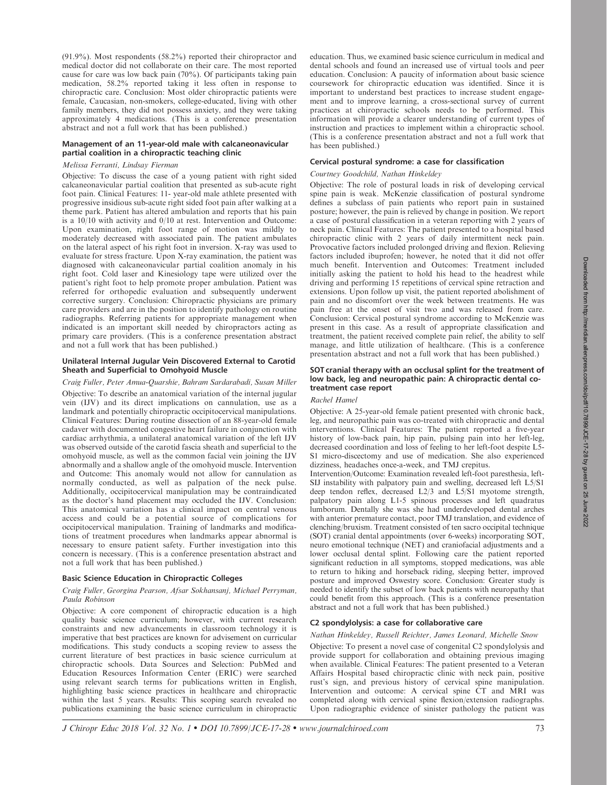(91.9%). Most respondents (58.2%) reported their chiropractor and medical doctor did not collaborate on their care. The most reported cause for care was low back pain (70%). Of participants taking pain medication, 58.2% reported taking it less often in response to chiropractic care. Conclusion: Most older chiropractic patients were female, Caucasian, non-smokers, college-educated, living with other family members, they did not possess anxiety, and they were taking approximately 4 medications. (This is a conference presentation abstract and not a full work that has been published.)

### Management of an 11-year-old male with calcaneonavicular partial coalition in a chiropractic teaching clinic

### Melissa Ferranti, Lindsay Fierman

Objective: To discuss the case of a young patient with right sided calcaneonavicular partial coalition that presented as sub-acute right foot pain. Clinical Features: 11- year-old male athlete presented with progressive insidious sub-acute right sided foot pain after walking at a theme park. Patient has altered ambulation and reports that his pain is a 10/10 with activity and 0/10 at rest. Intervention and Outcome: Upon examination, right foot range of motion was mildly to moderately decreased with associated pain. The patient ambulates on the lateral aspect of his right foot in inversion. X-ray was used to evaluate for stress fracture. Upon X-ray examination, the patient was diagnosed with calcaneonavicular partial coalition anomaly in his right foot. Cold laser and Kinesiology tape were utilized over the patient's right foot to help promote proper ambulation. Patient was referred for orthopedic evaluation and subsequently underwent corrective surgery. Conclusion: Chiropractic physicians are primary care providers and are in the position to identify pathology on routine radiographs. Referring patients for appropriate management when indicated is an important skill needed by chiropractors acting as primary care providers. (This is a conference presentation abstract and not a full work that has been published.)

### Unilateral Internal Jugular Vein Discovered External to Carotid Sheath and Superficial to Omohyoid Muscle

Craig Fuller, Peter Amua-Quarshie, Bahram Sardarabadi, Susan Miller Objective: To describe an anatomical variation of the internal jugular vein (IJV) and its direct implications on cannulation, use as a landmark and potentially chiropractic occipitocervical manipulations. Clinical Features: During routine dissection of an 88-year-old female cadaver with documented congestive heart failure in conjunction with cardiac arrhythmia, a unilateral anatomical variation of the left IJV was observed outside of the carotid fascia sheath and superficial to the omohyoid muscle, as well as the common facial vein joining the IJV abnormally and a shallow angle of the omohyoid muscle. Intervention and Outcome: This anomaly would not allow for cannulation as normally conducted, as well as palpation of the neck pulse. Additionally, occipitocervical manipulation may be contraindicated as the doctor's hand placement may occluded the IJV. Conclusion: This anatomical variation has a clinical impact on central venous access and could be a potential source of complications for occipitocervical manipulation. Training of landmarks and modifications of treatment procedures when landmarks appear abnormal is necessary to ensure patient safety. Further investigation into this concern is necessary. (This is a conference presentation abstract and not a full work that has been published.)

# Basic Science Education in Chiropractic Colleges

### Craig Fuller, Georgina Pearson, Afsar Sokhansanj, Michael Perryman, Paula Robinson

Objective: A core component of chiropractic education is a high quality basic science curriculum; however, with current research constraints and new advancements in classroom technology it is imperative that best practices are known for advisement on curricular modifications. This study conducts a scoping review to assess the current literature of best practices in basic science curriculum at chiropractic schools. Data Sources and Selection: PubMed and Education Resources Information Center (ERIC) were searched using relevant search terms for publications written in English, highlighting basic science practices in healthcare and chiropractic within the last 5 years. Results: This scoping search revealed no publications examining the basic science curriculum in chiropractic education. Thus, we examined basic science curriculum in medical and dental schools and found an increased use of virtual tools and peer education. Conclusion: A paucity of information about basic science coursework for chiropractic education was identified. Since it is important to understand best practices to increase student engagement and to improve learning, a cross-sectional survey of current practices at chiropractic schools needs to be performed. This information will provide a clearer understanding of current types of instruction and practices to implement within a chiropractic school. (This is a conference presentation abstract and not a full work that has been published.)

# Cervical postural syndrome: a case for classification

# Courtney Goodchild, Nathan Hinkeldey

Objective: The role of postural loads in risk of developing cervical spine pain is weak. McKenzie classification of postural syndrome defines a subclass of pain patients who report pain in sustained posture; however, the pain is relieved by change in position. We report a case of postural classification in a veteran reporting with 2 years of neck pain. Clinical Features: The patient presented to a hospital based chiropractic clinic with 2 years of daily intermittent neck pain. Provocative factors included prolonged driving and flexion. Relieving factors included ibuprofen; however, he noted that it did not offer much benefit. Intervention and Outcomes: Treatment included initially asking the patient to hold his head to the headrest while driving and performing 15 repetitions of cervical spine retraction and extensions. Upon follow up visit, the patient reported abolishment of pain and no discomfort over the week between treatments. He was pain free at the onset of visit two and was released from care. Conclusion: Cervical postural syndrome according to McKenzie was present in this case. As a result of appropriate classification and treatment, the patient received complete pain relief, the ability to self manage, and little utilization of healthcare. (This is a conference presentation abstract and not a full work that has been published.)

### SOT cranial therapy with an occlusal splint for the treatment of low back, leg and neuropathic pain: A chiropractic dental cotreatment case report

### Rachel Hamel

Objective: A 25-year-old female patient presented with chronic back, leg, and neuropathic pain was co-treated with chiropractic and dental interventions. Clinical Features: The patient reported a five-year history of low-back pain, hip pain, pulsing pain into her left-leg, decreased coordination and loss of feeling to her left-foot despite L5- S1 micro-discectomy and use of medication. She also experienced dizziness, headaches once-a-week, and TMJ crepitus.

Intervention/Outcome: Examination revealed left-foot paresthesia, left-SIJ instability with palpatory pain and swelling, decreased left L5/S1 deep tendon reflex, decreased L2/3 and L5/S1 myotome strength, palpatory pain along L1-5 spinous processes and left quadratus lumborum. Dentally she was she had underdeveloped dental arches with anterior premature contact, poor TMJ translation, and evidence of clenching/bruxism. Treatment consisted of ten sacro occipital technique (SOT) cranial dental appointments (over 6-weeks) incorporating SOT, neuro emotional technique (NET) and craniofacial adjustments and a lower occlusal dental splint. Following care the patient reported significant reduction in all symptoms, stopped medications, was able to return to hiking and horseback riding, sleeping better, improved posture and improved Oswestry score. Conclusion: Greater study is needed to identify the subset of low back patients with neuropathy that could benefit from this approach. (This is a conference presentation abstract and not a full work that has been published.)

# C2 spondylolysis: a case for collaborative care

### Nathan Hinkeldey, Russell Reichter, James Leonard, Michelle Snow

Objective: To present a novel case of congenital C2 spondylolysis and provide support for collaboration and obtaining previous imaging when available. Clinical Features: The patient presented to a Veteran Affairs Hospital based chiropractic clinic with neck pain, positive rust's sign, and previous history of cervical spine manipulation. Intervention and outcome: A cervical spine CT and MRI was completed along with cervical spine flexion/extension radiographs. Upon radiographic evidence of sinister pathology the patient was

Downloaded from http://meridian.allenpress.com/doi/pdf/10.7899/JCE-17-28 by guest on 25 June 2022 Downloaded from http://meridian.allenpress.com/doi/pdf/10.7899/JCE-17-28 by guest on 25 June 2022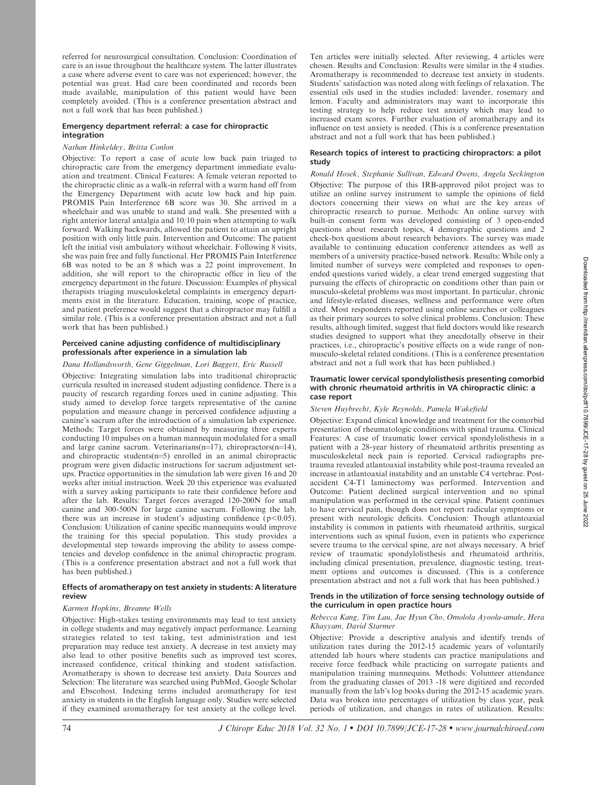referred for neurosurgical consultation. Conclusion: Coordination of care is an issue throughout the healthcare system. The latter illustrates a case where adverse event to care was not experienced; however, the potential was great. Had care been coordinated and records been made available, manipulation of this patient would have been completely avoided. (This is a conference presentation abstract and not a full work that has been published.)

### Emergency department referral: a case for chiropractic integration

### Nathan Hinkeldey, Britta Conlon

Objective: To report a case of acute low back pain triaged to chiropractic care from the emergency department immediate evaluation and treatment. Clinical Features: A female veteran reported to the chiropractic clinic as a walk-in referral with a warm hand off from the Emergency Department with acute low back and hip pain. PROMIS Pain Interference 6B score was 30. She arrived in a wheelchair and was unable to stand and walk. She presented with a right anterior lateral antalgia and 10/10 pain when attempting to walk forward. Walking backwards, allowed the patient to attain an upright position with only little pain. Intervention and Outcome: The patient left the initial visit ambulatory without wheelchair. Following  $\hat{8}$  visits, she was pain free and fully functional. Her PROMIS Pain Interference 6B was noted to be an 8 which was a 22 point improvement. In addition, she will report to the chiropractic office in lieu of the emergency department in the future. Discussion: Examples of physical therapists triaging musculoskeletal complaints in emergency departments exist in the literature. Education, training, scope of practice, and patient preference would suggest that a chiropractor may fulfill a similar role. (This is a conference presentation abstract and not a full work that has been published.)

# Perceived canine adjusting confidence of multidisciplinary professionals after experience in a simulation lab

# Dana Hollandsworth, Gene Giggelman, Lori Baggett, Eric Russell

Objective: Integrating simulation labs into traditional chiropractic curricula resulted in increased student adjusting confidence. There is a paucity of research regarding forces used in canine adjusting. This study aimed to develop force targets representative of the canine population and measure change in perceived confidence adjusting a canine's sacrum after the introduction of a simulation lab experience. Methods: Target forces were obtained by measuring three experts conducting 10 impulses on a human mannequin modulated for a small and large canine sacrum. Veterinarians(n=17), chiropractors(n=14), and chiropractic students $(n=5)$  enrolled in an animal chiropractic program were given didactic instructions for sacrum adjustment setups. Practice opportunities in the simulation lab were given 16 and 20 weeks after initial instruction. Week 20 this experience was evaluated with a survey asking participants to rate their confidence before and after the lab. Results: Target forces averaged 120-200N for small canine and 300-500N for large canine sacrum. Following the lab, there was an increase in student's adjusting confidence ( $p<0.05$ ). Conclusion: Utilization of canine specific mannequins would improve the training for this special population. This study provides a developmental step towards improving the ability to assess competencies and develop confidence in the animal chiropractic program. (This is a conference presentation abstract and not a full work that has been published.)

# Effects of aromatherapy on test anxiety in students: A literature review

### Karmen Hopkins, Breanne Wells

Objective: High-stakes testing environments may lead to test anxiety in college students and may negatively impact performance. Learning strategies related to test taking, test administration and test preparation may reduce test anxiety. A decrease in test anxiety may also lead to other positive benefits such as improved test scores, increased confidence, critical thinking and student satisfaction. Aromatherapy is shown to decrease test anxiety. Data Sources and Selection: The literature was searched using PubMed, Google Scholar and Ebscohost. Indexing terms included aromatherapy for test anxiety in students in the English language only. Studies were selected if they examined aromatherapy for test anxiety at the college level.

Ten articles were initially selected. After reviewing, 4 articles were chosen. Results and Conclusion: Results were similar in the 4 studies. Aromatherapy is recommended to decrease test anxiety in students. Students' satisfaction was noted along with feelings of relaxation. The essential oils used in the studies included: lavender, rosemary and lemon. Faculty and administrators may want to incorporate this testing strategy to help reduce test anxiety which may lead to increased exam scores. Further evaluation of aromatherapy and its influence on test anxiety is needed. (This is a conference presentation abstract and not a full work that has been published.)

# Research topics of interest to practicing chiropractors: a pilot study

# Ronald Hosek, Stephanie Sullivan, Edward Owens, Angela Seckington

Objective: The purpose of this IRB-approved pilot project was to utilize an online survey instrument to sample the opinions of field doctors concerning their views on what are the key areas of chiropractic research to pursue. Methods: An online survey with built-in consent form was developed consisting of 3 open-ended questions about research topics, 4 demographic questions and 2 check-box questions about research behaviors. The survey was made available to continuing education conference attendees as well as members of a university practice-based network. Results: While only a limited number of surveys were completed and responses to openended questions varied widely, a clear trend emerged suggesting that pursuing the effects of chiropractic on conditions other than pain or musculo-skeletal problems was most important. In particular, chronic and lifestyle-related diseases, wellness and performance were often cited. Most respondents reported using online searches or colleagues as their primary sources to solve clinical problems. Conclusion: These results, although limited, suggest that field doctors would like research studies designed to support what they anecdotally observe in their practices, i.e., chiropractic's positive effects on a wide range of nonmusculo-skeletal related conditions. (This is a conference presentation abstract and not a full work that has been published.)

#### Traumatic lower cervical spondylolisthesis presenting comorbid with chronic rheumatoid arthritis in VA chiropractic clinic: a case report

# Steven Huybrecht, Kyle Reynolds, Pamela Wakefield

Objective: Expand clinical knowledge and treatment for the comorbid presentation of rheumatologic conditions with spinal trauma. Clinical Features: A case of traumatic lower cervical spondylolisthesis in a patient with a 28-year history of rheumatoid arthritis presenting as musculoskeletal neck pain is reported. Cervical radiographs pretrauma revealed atlantoaxial instability while post-trauma revealed an increase in atlantoaxial instability and an unstable C4 vertebrae. Postaccident C4-T1 laminectomy was performed. Intervention and Outcome: Patient declined surgical intervention and no spinal manipulation was performed in the cervical spine. Patient continues to have cervical pain, though does not report radicular symptoms or present with neurologic deficits. Conclusion: Though atlantoaxial instability is common in patients with rheumatoid arthritis, surgical interventions such as spinal fusion, even in patients who experience severe trauma to the cervical spine, are not always necessary. A brief review of traumatic spondylolisthesis and rheumatoid arthritis, including clinical presentation, prevalence, diagnostic testing, treatment options and outcomes is discussed. (This is a conference presentation abstract and not a full work that has been published.)

# Trends in the utilization of force sensing technology outside of the curriculum in open practice hours

### Rebecca Kang, Tim Lau, Jae Hyun Cho, Omolola Ayoola-amale, Hera Khayyam, David Starmer

Objective: Provide a descriptive analysis and identify trends of utilization rates during the 2012-15 academic years of voluntarily attended lab hours where students can practice manipulations and receive force feedback while practicing on surrogate patients and manipulation training mannequins. Methods: Volunteer attendance from the graduating classes of 2013 -18 were digitized and recorded manually from the lab's log books during the 2012-15 academic years. Data was broken into percentages of utilization by class year, peak periods of utilization, and changes in rates of utilization. Results: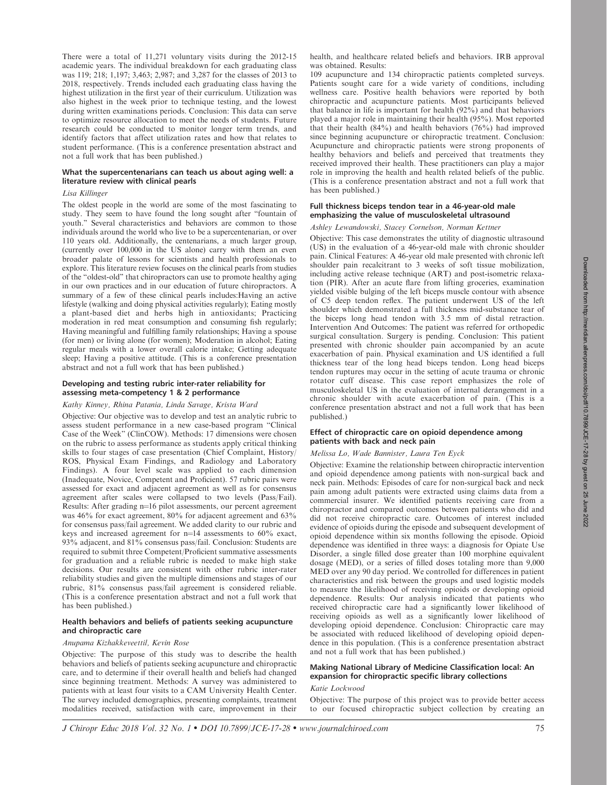There were a total of 11,271 voluntary visits during the 2012-15 academic years. The individual breakdown for each graduating class was 119; 218; 1,197; 3,463; 2,987; and 3,287 for the classes of 2013 to 2018, respectively. Trends included each graduating class having the highest utilization in the first year of their curriculum. Utilization was also highest in the week prior to technique testing, and the lowest during written examinations periods. Conclusion: This data can serve to optimize resource allocation to meet the needs of students. Future research could be conducted to monitor longer term trends, and identify factors that affect utilization rates and how that relates to student performance. (This is a conference presentation abstract and not a full work that has been published.)

#### What the supercentenarians can teach us about aging well: a literature review with clinical pearls

### Lisa Killinger

The oldest people in the world are some of the most fascinating to study. They seem to have found the long sought after ''fountain of youth.'' Several characteristics and behaviors are common to those individuals around the world who live to be a supercentenarian, or over 110 years old. Additionally, the centenarians, a much larger group, (currently over 100,000 in the US alone) carry with them an even broader palate of lessons for scientists and health professionals to explore. This literature review focuses on the clinical pearls from studies of the ''oldest-old'' that chiropractors can use to promote healthy aging in our own practices and in our education of future chiropractors. A summary of a few of these clinical pearls includes:Having an active lifestyle (walking and doing physical activities regularly); Eating mostly a plant-based diet and herbs high in antioxidants; Practicing moderation in red meat consumption and consuming fish regularly; Having meaningful and fulfilling family relationships; Having a spouse (for men) or living alone (for women); Moderation in alcohol; Eating regular meals with a lower overall calorie intake; Getting adequate sleep; Having a positive attitude. (This is a conference presentation abstract and not a full work that has been published.)

#### Developing and testing rubric inter-rater reliability for assessing meta-competency 1 & 2 performance

#### Kathy Kinney, Rhina Patania, Linda Savage, Krista Ward

Objective: Our objective was to develop and test an analytic rubric to assess student performance in a new case-based program ''Clinical Case of the Week'' (ClinCOW). Methods: 17 dimensions were chosen on the rubric to assess performance as students apply critical thinking skills to four stages of case presentation (Chief Complaint, History/ ROS, Physical Exam Findings, and Radiology and Laboratory Findings). A four level scale was applied to each dimension (Inadequate, Novice, Competent and Proficient). 57 rubric pairs were assessed for exact and adjacent agreement as well as for consensus agreement after scales were collapsed to two levels (Pass/Fail). Results: After grading n=16 pilot assessments, our percent agreement was 46% for exact agreement, 80% for adjacent agreement and 63% for consensus pass/fail agreement. We added clarity to our rubric and keys and increased agreement for  $n=14$  assessments to 60% exact, 93% adjacent, and 81% consensus pass/fail. Conclusion: Students are required to submit three Competent/Proficient summative assessments for graduation and a reliable rubric is needed to make high stake decisions. Our results are consistent with other rubric inter-rater reliability studies and given the multiple dimensions and stages of our rubric, 81% consensus pass/fail agreement is considered reliable. (This is a conference presentation abstract and not a full work that has been published.)

#### Health behaviors and beliefs of patients seeking acupuncture and chiropractic care

#### Anupama Kizhakkeveettil, Kevin Rose

Objective: The purpose of this study was to describe the health behaviors and beliefs of patients seeking acupuncture and chiropractic care, and to determine if their overall health and beliefs had changed since beginning treatment. Methods: A survey was administered to patients with at least four visits to a CAM University Health Center. The survey included demographics, presenting complaints, treatment modalities received, satisfaction with care, improvement in their health, and healthcare related beliefs and behaviors. IRB approval was obtained. Results:

109 acupuncture and 134 chiropractic patients completed surveys. Patients sought care for a wide variety of conditions, including wellness care. Positive health behaviors were reported by both chiropractic and acupuncture patients. Most participants believed that balance in life is important for health  $(92\%)$  and that behaviors played a major role in maintaining their health (95%). Most reported that their health (84%) and health behaviors (76%) had improved since beginning acupuncture or chiropractic treatment. Conclusion: Acupuncture and chiropractic patients were strong proponents of healthy behaviors and beliefs and perceived that treatments they received improved their health. These practitioners can play a major role in improving the health and health related beliefs of the public. (This is a conference presentation abstract and not a full work that has been published.)

# Full thickness biceps tendon tear in a 46-year-old male emphasizing the value of musculoskeletal ultrasound

# Ashley Lewandowski, Stacey Cornelson, Norman Kettner

Objective: This case demonstrates the utility of diagnostic ultrasound (US) in the evaluation of a 46-year-old male with chronic shoulder pain. Clinical Features: A 46-year old male presented with chronic left shoulder pain recalcitrant to 3 weeks of soft tissue mobilization, including active release technique (ART) and post-isometric relaxation (PIR). After an acute flare from lifting groceries, examination yielded visible bulging of the left biceps muscle contour with absence of C5 deep tendon reflex. The patient underwent US of the left shoulder which demonstrated a full thickness mid-substance tear of the biceps long head tendon with 3.5 mm of distal retraction. Intervention And Outcomes: The patient was referred for orthopedic surgical consultation. Surgery is pending. Conclusion: This patient presented with chronic shoulder pain accompanied by an acute exacerbation of pain. Physical examination and US identified a full thickness tear of the long head biceps tendon. Long head biceps tendon ruptures may occur in the setting of acute trauma or chronic rotator cuff disease. This case report emphasizes the role of musculoskeletal US in the evaluation of internal derangement in a chronic shoulder with acute exacerbation of pain. (This is a conference presentation abstract and not a full work that has been published.)

#### Effect of chiropractic care on opioid dependence among patients with back and neck pain

# Melissa Lo, Wade Bannister, Laura Ten Eyck

Objective: Examine the relationship between chiropractic intervention and opioid dependence among patients with non-surgical back and neck pain. Methods: Episodes of care for non-surgical back and neck pain among adult patients were extracted using claims data from a commercial insurer. We identified patients receiving care from a chiropractor and compared outcomes between patients who did and did not receive chiropractic care. Outcomes of interest included evidence of opioids during the episode and subsequent development of opioid dependence within six months following the episode. Opioid dependence was identified in three ways: a diagnosis for Opiate Use Disorder, a single filled dose greater than 100 morphine equivalent dosage (MED), or a series of filled doses totaling more than 9,000 MED over any 90 day period. We controlled for differences in patient characteristics and risk between the groups and used logistic models to measure the likelihood of receiving opioids or developing opioid dependence. Results: Our analysis indicated that patients who received chiropractic care had a significantly lower likelihood of receiving opioids as well as a significantly lower likelihood of developing opioid dependence. Conclusion: Chiropractic care may be associated with reduced likelihood of developing opioid dependence in this population. (This is a conference presentation abstract and not a full work that has been published.)

## Making National Library of Medicine Classification local: An expansion for chiropractic specific library collections

# Katie Lockwood

Objective: The purpose of this project was to provide better access to our focused chiropractic subject collection by creating an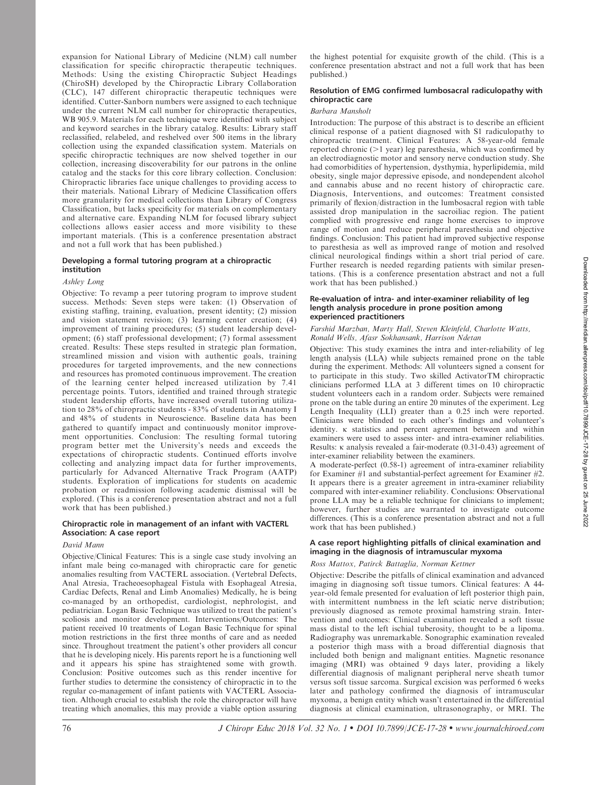expansion for National Library of Medicine (NLM) call number classification for specific chiropractic therapeutic techniques. Methods: Using the existing Chiropractic Subject Headings (ChiroSH) developed by the Chiropractic Library Collaboration (CLC), 147 different chiropractic therapeutic techniques were identified. Cutter-Sanborn numbers were assigned to each technique under the current NLM call number for chiropractic therapeutics, WB 905.9. Materials for each technique were identified with subject and keyword searches in the library catalog. Results: Library staff reclassified, relabeled, and reshelved over 500 items in the library collection using the expanded classification system. Materials on specific chiropractic techniques are now shelved together in our collection, increasing discoverability for our patrons in the online catalog and the stacks for this core library collection. Conclusion: Chiropractic libraries face unique challenges to providing access to their materials. National Library of Medicine Classification offers more granularity for medical collections than Library of Congress Classification, but lacks specificity for materials on complementary and alternative care. Expanding NLM for focused library subject collections allows easier access and more visibility to these important materials. (This is a conference presentation abstract and not a full work that has been published.)

# Developing a formal tutoring program at a chiropractic institution

# Ashley Long

Objective: To revamp a peer tutoring program to improve student success. Methods: Seven steps were taken: (1) Observation of existing staffing, training, evaluation, present identity; (2) mission and vision statement revision; (3) learning center creation; (4) improvement of training procedures; (5) student leadership development; (6) staff professional development; (7) formal assessment created. Results: These steps resulted in strategic plan formation, streamlined mission and vision with authentic goals, training procedures for targeted improvements, and the new connections and resources has promoted continuous improvement. The creation of the learning center helped increased utilization by 7.41 percentage points. Tutors, identified and trained through strategic student leadership efforts, have increased overall tutoring utilization to 28% of chiropractic students - 83% of students in Anatomy I and 48% of students in Neuroscience. Baseline data has been gathered to quantify impact and continuously monitor improvement opportunities. Conclusion: The resulting formal tutoring program better met the University's needs and exceeds the expectations of chiropractic students. Continued efforts involve collecting and analyzing impact data for further improvements, particularly for Advanced Alternative Track Program (AATP) students. Exploration of implications for students on academic probation or readmission following academic dismissal will be explored. (This is a conference presentation abstract and not a full work that has been published.)

# Chiropractic role in management of an infant with VACTERL Association: A case report

### David Mann

Objective/Clinical Features: This is a single case study involving an infant male being co-managed with chiropractic care for genetic anomalies resulting from VACTERL association. (Vertebral Defects, Anal Atresia, Tracheoesophageal Fistula with Esophageal Atresia, Cardiac Defects, Renal and Limb Anomalies) Medically, he is being co-managed by an orthopedist, cardiologist, nephrologist, and pediatrician. Logan Basic Technique was utilized to treat the patient's scoliosis and monitor development. Interventions/Outcomes: The patient received 10 treatments of Logan Basic Technique for spinal motion restrictions in the first three months of care and as needed since. Throughout treatment the patient's other providers all concur that he is developing nicely. His parents report he is a functioning well and it appears his spine has straightened some with growth. Conclusion: Positive outcomes such as this render incentive for further studies to determine the consistency of chiropractic in to the regular co-management of infant patients with VACTERL Association. Although crucial to establish the role the chiropractor will have treating which anomalies, this may provide a viable option assuring the highest potential for exquisite growth of the child. (This is a conference presentation abstract and not a full work that has been published.)

# Resolution of EMG confirmed lumbosacral radiculopathy with chiropractic care

### Barbara Mansholt

Introduction: The purpose of this abstract is to describe an efficient clinical response of a patient diagnosed with S1 radiculopathy to chiropractic treatment. Clinical Features: A 58-year-old female reported chronic  $(>1$  year) leg paresthesia, which was confirmed by an electrodiagnostic motor and sensory nerve conduction study. She had comorbidities of hypertension, dysthymia, hyperlipidemia, mild obesity, single major depressive episode, and nondependent alcohol and cannabis abuse and no recent history of chiropractic care. Diagnosis, Interventions, and outcomes: Treatment consisted primarily of flexion/distraction in the lumbosacral region with table assisted drop manipulation in the sacroiliac region. The patient complied with progressive end range home exercises to improve range of motion and reduce peripheral paresthesia and objective findings. Conclusion: This patient had improved subjective response to paresthesia as well as improved range of motion and resolved clinical neurological findings within a short trial period of care. Further research is needed regarding patients with similar presentations. (This is a conference presentation abstract and not a full work that has been published.)

### Re-evaluation of intra- and inter-examiner reliability of leg length analysis procedure in prone position among experienced practitioners

#### Farshid Marzban, Marty Hall, Steven Kleinfeld, Charlotte Watts, Ronald Wells, Afasr Sokhansank, Harrison Ndetan

Objective: This study examines the intra and inter-reliability of leg length analysis (LLA) while subjects remained prone on the table during the experiment. Methods: All volunteers signed a consent for to participate in this study. Two skilled ActivatorTM chiropractic clinicians performed LLA at 3 different times on 10 chiropractic student volunteers each in a random order. Subjects were remained prone on the table during an entire 20 minutes of the experiment. Leg Length Inequality (LLI) greater than a 0.25 inch were reported. Clinicians were blinded to each other's findings and volunteer's identity.  $\kappa$  statistics and percent agreement between and within examiners were used to assess inter- and intra-examiner reliabilities. Results:  $\kappa$  analysis revealed a fair-moderate (0.31-0.43) agreement of inter-examiner reliability between the examiners.

A moderate-perfect (0.58-1) agreement of intra-examiner reliability for Examiner #1 and substantial-perfect agreement for Examiner #2. It appears there is a greater agreement in intra-examiner reliability compared with inter-examiner reliability. Conclusions: Observational prone LLA may be a reliable technique for clinicians to implement; however, further studies are warranted to investigate outcome differences. (This is a conference presentation abstract and not a full work that has been published.)

### A case report highlighting pitfalls of clinical examination and imaging in the diagnosis of intramuscular myxoma

# Ross Mattox, Patirck Battaglia, Norman Kettner

Objective: Describe the pitfalls of clinical examination and advanced imaging in diagnosing soft tissue tumors. Clinical features: A 44 year-old female presented for evaluation of left posterior thigh pain, with intermittent numbness in the left sciatic nerve distribution; previously diagnosed as remote proximal hamstring strain. Intervention and outcomes: Clinical examination revealed a soft tissue mass distal to the left ischial tuberosity, thought to be a lipoma. Radiography was unremarkable. Sonographic examination revealed a posterior thigh mass with a broad differential diagnosis that included both benign and malignant entities. Magnetic resonance imaging (MRI) was obtained 9 days later, providing a likely differential diagnosis of malignant peripheral nerve sheath tumor versus soft tissue sarcoma. Surgical excision was performed 6 weeks later and pathology confirmed the diagnosis of intramuscular myxoma, a benign entity which wasn't entertained in the differential diagnosis at clinical examination, ultrasonography, or MRI. The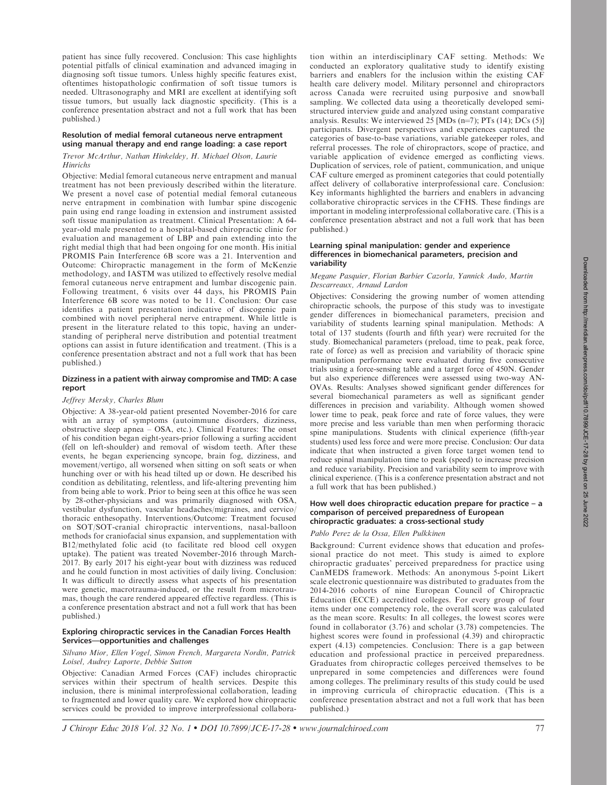patient has since fully recovered. Conclusion: This case highlights potential pitfalls of clinical examination and advanced imaging in diagnosing soft tissue tumors. Unless highly specific features exist, oftentimes histopathologic confirmation of soft tissue tumors is needed. Ultrasonography and MRI are excellent at identifying soft tissue tumors, but usually lack diagnostic specificity. (This is a conference presentation abstract and not a full work that has been published.)

# Resolution of medial femoral cutaneous nerve entrapment using manual therapy and end range loading: a case report

# Trevor McArthur, Nathan Hinkeldey, H. Michael Olson, Laurie **Hinrichs**

Objective: Medial femoral cutaneous nerve entrapment and manual treatment has not been previously described within the literature. We present a novel case of potential medial femoral cutaneous nerve entrapment in combination with lumbar spine discogenic pain using end range loading in extension and instrument assisted soft tissue manipulation as treatment. Clinical Presentation: A 64 year-old male presented to a hospital-based chiropractic clinic for evaluation and management of LBP and pain extending into the right medial thigh that had been ongoing for one month. His initial PROMIS Pain Interference 6B score was a 21. Intervention and Outcome: Chiropractic management in the form of McKenzie methodology, and IASTM was utilized to effectively resolve medial femoral cutaneous nerve entrapment and lumbar discogenic pain. Following treatment, 6 visits over 44 days, his PROMIS Pain Interference 6B score was noted to be 11. Conclusion: Our case identifies a patient presentation indicative of discogenic pain combined with novel peripheral nerve entrapment. While little is present in the literature related to this topic, having an understanding of peripheral nerve distribution and potential treatment options can assist in future identification and treatment. (This is a conference presentation abstract and not a full work that has been published.)

### Dizziness in a patient with airway compromise and TMD: A case report

### Jeffrey Mersky, Charles Blum

Objective: A 38-year-old patient presented November-2016 for care with an array of symptoms (autoimmune disorders, dizziness, obstructive sleep apnea – OSA, etc.). Clinical Features: The onset of his condition began eight-years-prior following a surfing accident (fell on left-shoulder) and removal of wisdom teeth. After these events, he began experiencing syncope, brain fog, dizziness, and movement/vertigo, all worsened when sitting on soft seats or when hunching over or with his head tilted up or down. He described his condition as debilitating, relentless, and life-altering preventing him from being able to work. Prior to being seen at this office he was seen by 28-other-physicians and was primarily diagnosed with OSA, vestibular dysfunction, vascular headaches/migraines, and cervico/ thoracic enthesopathy. Interventions/Outcome: Treatment focused on SOT/SOT-cranial chiropractic interventions, nasal-balloon methods for craniofacial sinus expansion, and supplementation with B12/methylated folic acid (to facilitate red blood cell oxygen uptake). The patient was treated November-2016 through March-2017. By early 2017 his eight-year bout with dizziness was reduced and he could function in most activities of daily living. Conclusion: It was difficult to directly assess what aspects of his presentation were genetic, macrotrauma-induced, or the result from microtraumas, though the care rendered appeared effective regardless. (This is a conference presentation abstract and not a full work that has been published.)

# Exploring chiropractic services in the Canadian Forces Health Services—opportunities and challenges

### Silvano Mior, Ellen Vogel, Simon French, Margareta Nordin, Patrick Loisel, Audrey Laporte, Debbie Sutton

Objective: Canadian Armed Forces (CAF) includes chiropractic services within their spectrum of health services. Despite this inclusion, there is minimal interprofessional collaboration, leading to fragmented and lower quality care. We explored how chiropractic services could be provided to improve interprofessional collaboration within an interdisciplinary CAF setting. Methods: We conducted an exploratory qualitative study to identify existing barriers and enablers for the inclusion within the existing CAF health care delivery model. Military personnel and chiropractors across Canada were recruited using purposive and snowball sampling. We collected data using a theoretically developed semistructured interview guide and analyzed using constant comparative analysis. Results: We interviewed  $25$  [MDs (n=7); PTs (14); DCs (5)] participants. Divergent perspectives and experiences captured the categories of base-to-base variations, variable gatekeeper roles, and referral processes. The role of chiropractors, scope of practice, and variable application of evidence emerged as conflicting views. Duplication of services, role of patient, communication, and unique CAF culture emerged as prominent categories that could potentially affect delivery of collaborative interprofessional care. Conclusion: Key informants highlighted the barriers and enablers in advancing collaborative chiropractic services in the CFHS. These findings are important in modeling interprofessional collaborative care. (This is a conference presentation abstract and not a full work that has been published.)

### Learning spinal manipulation: gender and experience differences in biomechanical parameters, precision and variability

### Megane Pasquier, Florian Barbier Cazorla, Yannick Audo, Martin Descarreaux, Arnaud Lardon

Objectives: Considering the growing number of women attending chiropractic schools, the purpose of this study was to investigate gender differences in biomechanical parameters, precision and variability of students learning spinal manipulation. Methods: A total of 137 students (fourth and fifth year) were recruited for the study. Biomechanical parameters (preload, time to peak, peak force, rate of force) as well as precision and variability of thoracic spine manipulation performance were evaluated during five consecutive trials using a force-sensing table and a target force of 450N. Gender but also experience differences were assessed using two-way AN-OVAs. Results: Analyses showed significant gender differences for several biomechanical parameters as well as significant gender differences in precision and variability. Although women showed lower time to peak, peak force and rate of force values, they were more precise and less variable than men when performing thoracic spine manipulations. Students with clinical experience (fifth-year students) used less force and were more precise. Conclusion: Our data indicate that when instructed a given force target women tend to reduce spinal manipulation time to peak (speed) to increase precision and reduce variability. Precision and variability seem to improve with clinical experience. (This is a conference presentation abstract and not a full work that has been published.)

### How well does chiropractic education prepare for practice – a comparison of perceived preparedness of European chiropractic graduates: a cross-sectional study

# Pablo Perez de la Ossa, Ellen Pulkkinen

Background: Current evidence shows that education and professional practice do not meet. This study is aimed to explore chiropractic graduates' perceived preparedness for practice using CanMEDS framework. Methods: An anonymous 5-point Likert scale electronic questionnaire was distributed to graduates from the 2014-2016 cohorts of nine European Council of Chiropractic Education (ECCE) accredited colleges. For every group of four items under one competency role, the overall score was calculated as the mean score. Results: In all colleges, the lowest scores were found in collaborator (3.76) and scholar (3.78) competencies. The highest scores were found in professional (4.39) and chiropractic expert (4.13) competencies. Conclusion: There is a gap between education and professional practice in perceived preparedness. Graduates from chiropractic colleges perceived themselves to be unprepared in some competencies and differences were found among colleges. The preliminary results of this study could be used in improving curricula of chiropractic education. (This is a conference presentation abstract and not a full work that has been published.)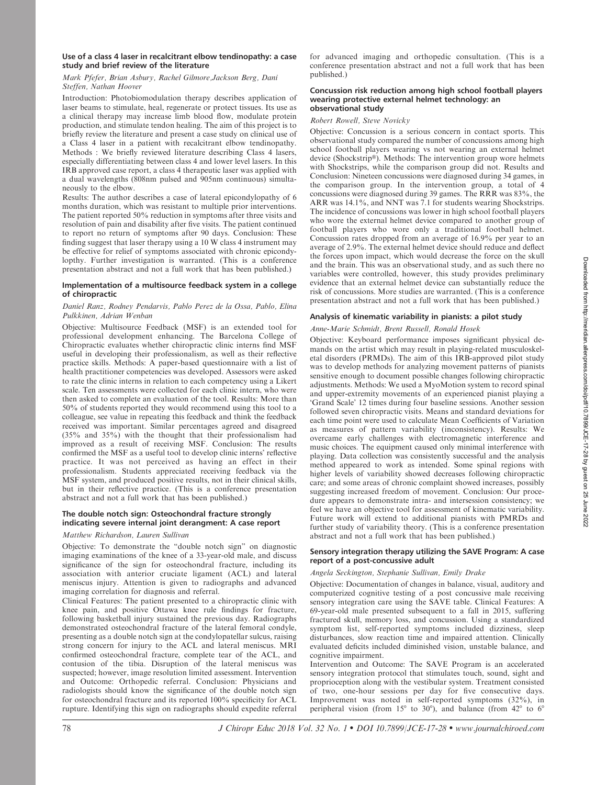### Use of a class 4 laser in recalcitrant elbow tendinopathy: a case study and brief review of the literature

# Mark Pfefer, Brian Asbury, Rachel Gilmore,Jackson Berg, Dani Steffen, Nathan Hoover

Introduction: Photobiomodulation therapy describes application of laser beams to stimulate, heal, regenerate or protect tissues. Its use as a clinical therapy may increase limb blood flow, modulate protein production, and stimulate tendon healing. The aim of this project is to briefly review the literature and present a case study on clinical use of a Class 4 laser in a patient with recalcitrant elbow tendinopathy. Methods : We briefly reviewed literature describing Class 4 lasers, especially differentiating between class 4 and lower level lasers. In this IRB approved case report, a class 4 therapeutic laser was applied with a dual wavelengths (808nm pulsed and 905nm continuous) simultaneously to the elbow.

Results: The author describes a case of lateral epicondylopathy of 6 months duration, which was resistant to multiple prior interventions. The patient reported 50% reduction in symptoms after three visits and resolution of pain and disability after five visits. The patient continued to report no return of symptoms after 90 days. Conclusion: These finding suggest that laser therapy using a 10 W class 4 instrument may be effective for relief of symptoms associated with chronic epicondylopthy. Further investigation is warranted. (This is a conference presentation abstract and not a full work that has been published.)

### Implementation of a multisource feedback system in a college of chiropractic

### Daniel Ranz, Rodney Pendarvis, Pablo Perez de la Ossa, Pablo, Elina Pulkkinen, Adrian Wenban

Objective: Multisource Feedback (MSF) is an extended tool for professional development enhancing. The Barcelona College of Chiropractic evaluates whether chiropractic clinic interns find MSF useful in developing their professionalism, as well as their reflective practice skills. Methods: A paper-based questionnaire with a list of health practitioner competencies was developed. Assessors were asked to rate the clinic interns in relation to each competency using a Likert scale. Ten assessments were collected for each clinic intern, who were then asked to complete an evaluation of the tool. Results: More than 50% of students reported they would recommend using this tool to a colleague, see value in repeating this feedback and think the feedback received was important. Similar percentages agreed and disagreed (35% and 35%) with the thought that their professionalism had improved as a result of receiving MSF. Conclusion: The results confirmed the MSF as a useful tool to develop clinic interns' reflective practice. It was not perceived as having an effect in their professionalism. Students appreciated receiving feedback via the MSF system, and produced positive results, not in their clinical skills, but in their reflective practice. (This is a conference presentation abstract and not a full work that has been published.)

# The double notch sign: Osteochondral fracture strongly indicating severe internal joint derangment: A case report

### Matthew Richardson, Lauren Sullivan

Objective: To demonstrate the ''double notch sign'' on diagnostic imaging examinations of the knee of a 33-year-old male, and discuss significance of the sign for osteochondral fracture, including its association with anterior cruciate ligament (ACL) and lateral meniscus injury. Attention is given to radiographs and advanced imaging correlation for diagnosis and referral.

Clinical Features: The patient presented to a chiropractic clinic with knee pain, and positive Ottawa knee rule findings for fracture, following basketball injury sustained the previous day. Radiographs demonstrated osteochondral fracture of the lateral femoral condyle, presenting as a double notch sign at the condylopatellar sulcus, raising strong concern for injury to the ACL and lateral meniscus. MRI confirmed osteochondral fracture, complete tear of the ACL, and contusion of the tibia. Disruption of the lateral meniscus was suspected; however, image resolution limited assessment. Intervention and Outcome: Orthopedic referral. Conclusion: Physicians and radiologists should know the significance of the double notch sign for osteochondral fracture and its reported 100% specificity for ACL rupture. Identifying this sign on radiographs should expedite referral for advanced imaging and orthopedic consultation. (This is a conference presentation abstract and not a full work that has been published.)

### Concussion risk reduction among high school football players wearing protective external helmet technology: an observational study

### Robert Rowell, Steve Novicky

Objective: Concussion is a serious concern in contact sports. This observational study compared the number of concussions among high school football players wearing vs not wearing an external helmet device (Shockstrip®). Methods: The intervention group wore helmets with Shockstrips, while the comparison group did not. Results and Conclusion: Nineteen concussions were diagnosed during 34 games, in the comparison group. In the intervention group, a total of 4 concussions were diagnosed during 39 games. The RRR was 83%, the ARR was 14.1%, and NNT was 7.1 for students wearing Shockstrips. The incidence of concussions was lower in high school football players who wore the external helmet device compared to another group of football players who wore only a traditional football helmet. Concussion rates dropped from an average of 16.9% per year to an average of 2.9%. The external helmet device should reduce and deflect the forces upon impact, which would decrease the force on the skull and the brain. This was an observational study, and as such there no variables were controlled, however, this study provides preliminary evidence that an external helmet device can substantially reduce the risk of concussions. More studies are warranted. (This is a conference presentation abstract and not a full work that has been published.)

# Analysis of kinematic variability in pianists: a pilot study

### Anne-Marie Schmidt, Brent Russell, Ronald Hosek

Objective: Keyboard performance imposes significant physical demands on the artist which may result in playing-related musculoskeletal disorders (PRMDs). The aim of this IRB-approved pilot study was to develop methods for analyzing movement patterns of pianists sensitive enough to document possible changes following chiropractic adjustments. Methods: We used a MyoMotion system to record spinal and upper-extremity movements of an experienced pianist playing a 'Grand Scale' 12 times during four baseline sessions. Another session followed seven chiropractic visits. Means and standard deviations for each time point were used to calculate Mean Coefficients of Variation as measures of pattern variability (inconsistency). Results: We overcame early challenges with electromagnetic interference and music choices. The equipment caused only minimal interference with playing. Data collection was consistently successful and the analysis method appeared to work as intended. Some spinal regions with higher levels of variability showed decreases following chiropractic care; and some areas of chronic complaint showed increases, possibly suggesting increased freedom of movement. Conclusion: Our procedure appears to demonstrate intra- and intersession consistency; we feel we have an objective tool for assessment of kinematic variability. Future work will extend to additional pianists with PMRDs and further study of variability theory. (This is a conference presentation abstract and not a full work that has been published.)

### Sensory integration therapy utilizing the SAVE Program: A case report of a post-concussive adult

### Angela Seckington, Stephanie Sullivan, Emily Drake

Objective: Documentation of changes in balance, visual, auditory and computerized cognitive testing of a post concussive male receiving sensory integration care using the SAVE table. Clinical Features: A 69-year-old male presented subsequent to a fall in 2015, suffering fractured skull, memory loss, and concussion. Using a standardized symptom list, self-reported symptoms included dizziness, sleep disturbances, slow reaction time and impaired attention. Clinically evaluated deficits included diminished vision, unstable balance, and cognitive impairment.

Intervention and Outcome: The SAVE Program is an accelerated sensory integration protocol that stimulates touch, sound, sight and proprioception along with the vestibular system. Treatment consisted of two, one-hour sessions per day for five consecutive days. Improvement was noted in self-reported symptoms (32%), in peripheral vision (from 15 $\degree$  to 30 $\degree$ ), and balance (from 42 $\degree$  to 6 $\degree$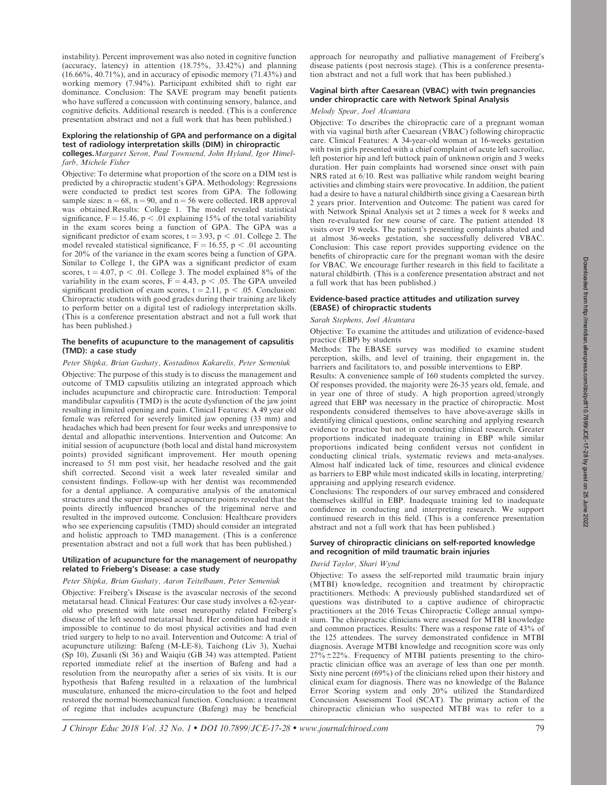instability). Percent improvement was also noted in cognitive function (accuracy, latency) in attention (18.75%, 33.42%) and planning (16.66%, 40.71%), and in accuracy of episodic memory (71.43%) and working memory (7.94%). Participant exhibited shift to right ear dominance. Conclusion: The SAVE program may benefit patients who have suffered a concussion with continuing sensory, balance, and cognitive deficits. Additional research is needed. (This is a conference presentation abstract and not a full work that has been published.)

### Exploring the relationship of GPA and performance on a digital test of radiology interpretation skills (DIM) in chiropractic

colleges.Margaret Seron, Paul Townsend, John Hyland, Igor Himelfarb, Michele Fisher

Objective: To determine what proportion of the score on a DIM test is predicted by a chiropractic student's GPA. Methodology: Regressions were conducted to predict test scores from GPA. The following sample sizes:  $n = 68$ ,  $n = 90$ , and  $n = 56$  were collected. IRB approval was obtained.Results: College 1. The model revealed statistical significance,  $F = 15.46$ ,  $p < .01$  explaining 15% of the total variability in the exam scores being a function of GPA. The GPA was a significant predictor of exam scores,  $t = 3.93$ ,  $p < .01$ . College 2. The model revealed statistical significance,  $F = 16.55$ , p < .01 accounting for 20% of the variance in the exam scores being a function of GPA. Similar to College 1, the GPA was a significant predictor of exam scores,  $t = 4.07$ ,  $p < .01$ . College 3. The model explained 8% of the variability in the exam scores,  $F = 4.43$ , p < .05. The GPA unveiled significant prediction of exam scores,  $t = 2.11$ ,  $p < .05$ . Conclusion: Chiropractic students with good grades during their training are likely to perform better on a digital test of radiology interpretation skills. (This is a conference presentation abstract and not a full work that has been published.)

### The benefits of acupuncture to the management of capsulitis (TMD): a case study

#### Peter Shipka, Brian Gushaty, Kostadinos Kakarelis, Peter Semeniuk

Objective: The purpose of this study is to discuss the management and outcome of TMD capsulitis utilizing an integrated approach which includes acupuncture and chiropractic care. Introduction: Temporal mandibular capsulitis (TMD) is the acute dysfunction of the jaw joint resulting in limited opening and pain. Clinical Features: A 49 year old female was referred for severely limited jaw opening (33 mm) and headaches which had been present for four weeks and unresponsive to dental and allopathic interventions. Intervention and Outcome: An initial session of acupuncture (both local and distal hand microsystem points) provided significant improvement. Her mouth opening increased to 51 mm post visit, her headache resolved and the gait shift corrected. Second visit a week later revealed similar and consistent findings. Follow-up with her dentist was recommended for a dental appliance. A comparative analysis of the anatomical structures and the super imposed acupuncture points revealed that the points directly influenced branches of the trigeminal nerve and resulted in the improved outcome. Conclusion: Healthcare providers who see experiencing capsulitis (TMD) should consider an integrated and holistic approach to TMD management. (This is a conference presentation abstract and not a full work that has been published.)

### Utilization of acupuncture for the management of neuropathy related to Frieberg's Disease: a case study

#### Peter Shipka, Brian Gushaty, Aaron Teitelbaum, Peter Semeniuk

Objective: Freiberg's Disease is the avascular necrosis of the second metatarsal head. Clinical Features: Our case study involves a 62-yearold who presented with late onset neuropathy related Freiberg's disease of the left second metatarsal head. Her condition had made it impossible to continue to do most physical activities and had even tried surgery to help to no avail. Intervention and Outcome: A trial of acupuncture utilizing: Bafeng (M-LE-8), Taichong (Liv 3), Xuehai (Sp 10), Zusanli (St 36) and Waiqiu (GB 34) was attempted. Patient reported immediate relief at the insertion of Bafeng and had a resolution from the neuropathy after a series of six visits. It is our hypothesis that Bafeng resulted in a relaxation of the lumbrical musculature, enhanced the micro-circulation to the foot and helped restored the normal biomechanical function. Conclusion: a treatment of regime that includes acupuncture (Bafeng) may be beneficial approach for neuropathy and palliative management of Freiberg's disease patients (post necrosis stage). (This is a conference presentation abstract and not a full work that has been published.)

# Vaginal birth after Caesarean (VBAC) with twin pregnancies under chiropractic care with Network Spinal Analysis

# Melody Spear, Joel Alcantara

Objective: To describes the chiropractic care of a pregnant woman with via vaginal birth after Caesarean (VBAC) following chiropractic care. Clinical Features: A 34-year-old woman at 16-weeks gestation with twin girls presented with a chief complaint of acute left sacroiliac, left posterior hip and left buttock pain of unknown origin and 3 weeks duration. Her pain complaints had worsened since onset with pain NRS rated at 6/10. Rest was palliative while random weight bearing activities and climbing stairs were provocative. In addition, the patient had a desire to have a natural childbirth since giving a Caesarean birth 2 years prior. Intervention and Outcome: The patient was cared for with Network Spinal Analysis set at 2 times a week for 8 weeks and then re-evaluated for new course of care. The patient attended 18 visits over 19 weeks. The patient's presenting complaints abated and at almost 36-weeks gestation, she successfully delivered VBAC. Conclusion: This case report provides supporting evidence on the benefits of chiropractic care for the pregnant woman with the desire for VBAC. We encourage further research in this field to facilitate a natural childbirth. (This is a conference presentation abstract and not a full work that has been published.)

### Evidence-based practice attitudes and utilization survey (EBASE) of chiropractic students

#### Sarah Stephens, Joel Alcantara

Objective: To examine the attitudes and utilization of evidence-based practice (EBP) by students

Methods: The EBASE survey was modified to examine student perception, skills, and level of training, their engagement in, the barriers and facilitators to, and possible interventions to EBP.

Results: A convenience sample of 160 students completed the survey. Of responses provided, the majority were 26-35 years old, female, and in year one of three of study. A high proportion agreed/strongly agreed that EBP was necessary in the practice of chiropractic. Most respondents considered themselves to have above-average skills in identifying clinical questions, online searching and applying research evidence to practice but not in conducting clinical research. Greater proportions indicated inadequate training in EBP while similar proportions indicated being confident versus not confident in conducting clinical trials, systematic reviews and meta-analyses. Almost half indicated lack of time, resources and clinical evidence as barriers to EBP while most indicated skills in locating, interpreting/ appraising and applying research evidence.

Conclusions: The responders of our survey embraced and considered themselves skillful in EBP. Inadequate training led to inadequate confidence in conducting and interpreting research. We support continued research in this field. (This is a conference presentation abstract and not a full work that has been published.)

### Survey of chiropractic clinicians on self-reported knowledge and recognition of mild traumatic brain injuries

#### David Taylor, Shari Wynd

Objective: To assess the self-reported mild traumatic brain injury (MTBI) knowledge, recognition and treatment by chiropractic practitioners. Methods: A previously published standardized set of questions was distributed to a captive audience of chiropractic practitioners at the 2016 Texas Chiropractic College annual symposium. The chiropractic clinicians were assessed for MTBI knowledge and common practices. Results: There was a response rate of 43% of the 125 attendees. The survey demonstrated confidence in MTBI diagnosis. Average MTBI knowledge and recognition score was only  $27\% \pm 22\%$ . Frequency of MTBI patients presenting to the chiropractic clinician office was an average of less than one per month. Sixty nine percent (69%) of the clinicians relied upon their history and clinical exam for diagnosis. There was no knowledge of the Balance Error Scoring system and only 20% utilized the Standardized Concussion Assessment Tool (SCAT). The primary action of the chiropractic clinician who suspected MTBI was to refer to a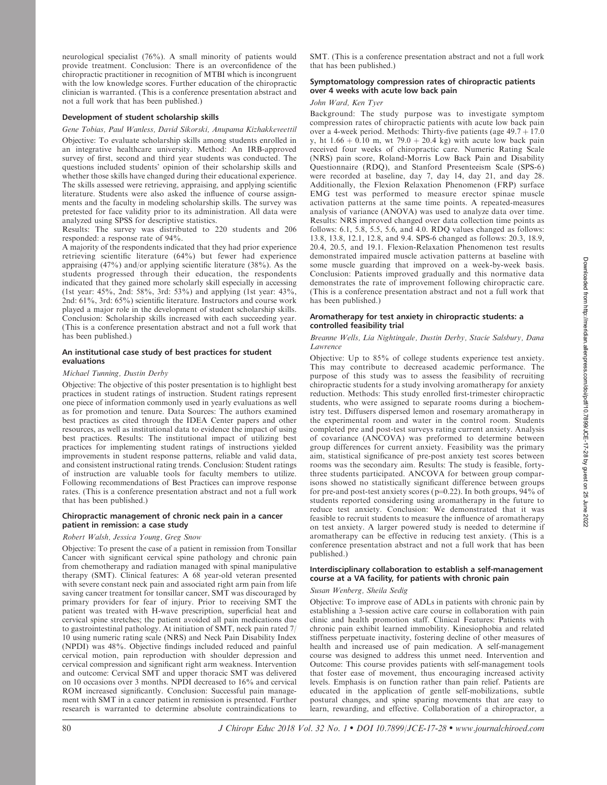neurological specialist (76%). A small minority of patients would provide treatment. Conclusion: There is an overconfidence of the chiropractic practitioner in recognition of MTBI which is incongruent with the low knowledge scores. Further education of the chiropractic clinician is warranted. (This is a conference presentation abstract and not a full work that has been published.)

#### Development of student scholarship skills

### Gene Tobias, Paul Wanless, David Sikorski, Anupama Kizhakkeveettil

Objective: To evaluate scholarship skills among students enrolled in an integrative healthcare university. Method: An IRB-approved survey of first, second and third year students was conducted. The questions included students' opinion of their scholarship skills and whether those skills have changed during their educational experience. The skills assessed were retrieving, appraising, and applying scientific literature. Students were also asked the influence of course assignments and the faculty in modeling scholarship skills. The survey was pretested for face validity prior to its administration. All data were analyzed using SPSS for descriptive statistics.

Results: The survey was distributed to 220 students and 206 responded: a response rate of 94%.

A majority of the respondents indicated that they had prior experience retrieving scientific literature (64%) but fewer had experience appraising (47%) and/or applying scientific literature (38%). As the students progressed through their education, the respondents indicated that they gained more scholarly skill especially in accessing (1st year: 45%, 2nd: 58%, 3rd: 53%) and applying (1st year: 43%, 2nd: 61%, 3rd: 65%) scientific literature. Instructors and course work played a major role in the development of student scholarship skills. Conclusion: Scholarship skills increased with each succeeding year. (This is a conference presentation abstract and not a full work that has been published.)

# An institutional case study of best practices for student evaluations

#### Michael Tunning, Dustin Derby

Objective: The objective of this poster presentation is to highlight best practices in student ratings of instruction. Student ratings represent one piece of information commonly used in yearly evaluations as well as for promotion and tenure. Data Sources: The authors examined best practices as cited through the IDEA Center papers and other resources, as well as institutional data to evidence the impact of using best practices. Results: The institutional impact of utilizing best practices for implementing student ratings of instructions yielded improvements in student response patterns, reliable and valid data, and consistent instructional rating trends. Conclusion: Student ratings of instruction are valuable tools for faculty members to utilize. Following recommendations of Best Practices can improve response rates. (This is a conference presentation abstract and not a full work that has been published.)

### Chiropractic management of chronic neck pain in a cancer patient in remission: a case study

### Robert Walsh, Jessica Young, Greg Snow

Objective: To present the case of a patient in remission from Tonsillar Cancer with significant cervical spine pathology and chronic pain from chemotherapy and radiation managed with spinal manipulative therapy (SMT). Clinical features: A 68 year-old veteran presented with severe constant neck pain and associated right arm pain from life saving cancer treatment for tonsillar cancer, SMT was discouraged by primary providers for fear of injury. Prior to receiving SMT the patient was treated with H-wave prescription, superficial heat and cervical spine stretches; the patient avoided all pain medications due to gastrointestinal pathology. At initiation of SMT, neck pain rated 7/ 10 using numeric rating scale (NRS) and Neck Pain Disability Index (NPDI) was 48%. Objective findings included reduced and painful cervical motion, pain reproduction with shoulder depression and cervical compression and significant right arm weakness. Intervention and outcome: Cervical SMT and upper thoracic SMT was delivered on 10 occasions over 3 months. NPDI decreased to 16% and cervical ROM increased significantly. Conclusion: Successful pain management with SMT in a cancer patient in remission is presented. Further research is warranted to determine absolute contraindications to

SMT. (This is a conference presentation abstract and not a full work that has been published.)

# Symptomatology compression rates of chiropractic patients over 4 weeks with acute low back pain

# John Ward, Ken Tyer

Background: The study purpose was to investigate symptom compression rates of chiropractic patients with acute low back pain over a 4-week period. Methods: Thirty-five patients (age  $49.7 + 17.0$ ) y, ht  $1.66 + 0.10$  m, wt 79.0 + 20.4 kg) with acute low back pain received four weeks of chiropractic care. Numeric Rating Scale (NRS) pain score, Roland-Morris Low Back Pain and Disability Questionnaire (RDQ), and Stanford Presenteeism Scale (SPS-6) were recorded at baseline, day 7, day 14, day 21, and day 28. Additionally, the Flexion Relaxation Phenomenon (FRP) surface EMG test was performed to measure erector spinae muscle activation patterns at the same time points. A repeated-measures analysis of variance (ANOVA) was used to analyze data over time. Results: NRS improved changed over data collection time points as follows: 6.1, 5.8, 5.5, 5.6, and 4.0. RDQ values changed as follows: 13.8, 13.8, 12.1, 12.8, and 9.4. SPS-6 changed as follows: 20.3, 18.9, 20.4, 20.5, and 19.1. Flexion-Relaxation Phenomenon test results demonstrated impaired muscle activation patterns at baseline with some muscle guarding that improved on a week-by-week basis. Conclusion: Patients improved gradually and this normative data demonstrates the rate of improvement following chiropractic care. (This is a conference presentation abstract and not a full work that has been published.)

### Aromatherapy for test anxiety in chiropractic students: a controlled feasibility trial

### Breanne Wells, Lia Nightingale, Dustin Derby, Stacie Salsbury, Dana Lawrence

Objective: Up to 85% of college students experience test anxiety. This may contribute to decreased academic performance. The purpose of this study was to assess the feasibility of recruiting chiropractic students for a study involving aromatherapy for anxiety reduction. Methods: This study enrolled first-trimester chiropractic students, who were assigned to separate rooms during a biochemistry test. Diffusers dispersed lemon and rosemary aromatherapy in the experimental room and water in the control room. Students completed pre and post-test surveys rating current anxiety. Analysis of covariance (ANCOVA) was preformed to determine between group differences for current anxiety. Feasibility was the primary aim, statistical significance of pre-post anxiety test scores between rooms was the secondary aim. Results: The study is feasible, fortythree students participated. ANCOVA for between group comparisons showed no statistically significant difference between groups for pre-and post-test anxiety scores ( $p=0.22$ ). In both groups, 94% of students reported considering using aromatherapy in the future to reduce test anxiety. Conclusion: We demonstrated that it was feasible to recruit students to measure the influence of aromatherapy on test anxiety. A larger powered study is needed to determine if aromatherapy can be effective in reducing test anxiety. (This is a conference presentation abstract and not a full work that has been published.)

### Interdisciplinary collaboration to establish a self-management course at a VA facility, for patients with chronic pain

#### Susan Wenberg, Sheila Sedig

Objective: To improve ease of ADLs in patients with chronic pain by establishing a 3-session active care course in collaboration with pain clinic and health promotion staff. Clinical Features: Patients with chronic pain exhibit learned immobility. Kinesiophobia and related stiffness perpetuate inactivity, fostering decline of other measures of health and increased use of pain medication. A self-management course was designed to address this unmet need. Intervention and Outcome: This course provides patients with self-management tools that foster ease of movement, thus encouraging increased activity levels. Emphasis is on function rather than pain relief. Patients are educated in the application of gentle self-mobilizations, subtle postural changes, and spine sparing movements that are easy to learn, rewarding, and effective. Collaboration of a chiropractor, a